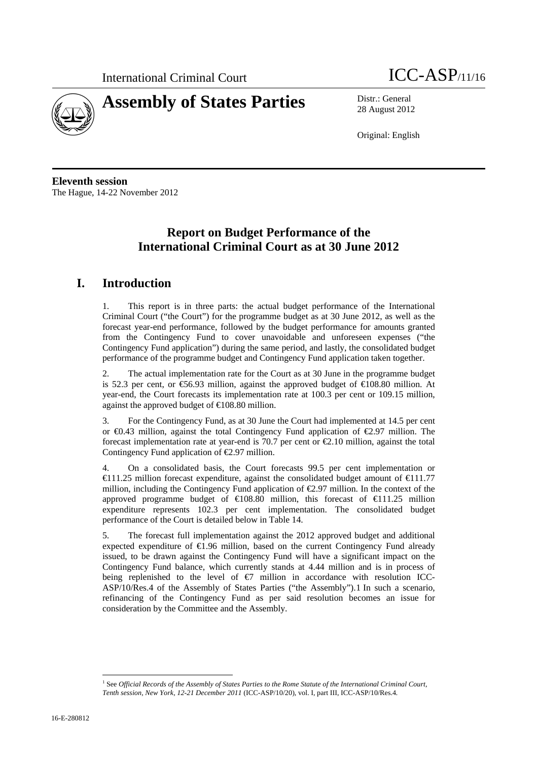

# **Assembly of States Parties** Distr.: General

28 August 2012

Original: English

**Eleventh session**  The Hague, 14-22 November 2012

# **Report on Budget Performance of the International Criminal Court as at 30 June 2012**

# **I. Introduction**

1. This report is in three parts: the actual budget performance of the International Criminal Court ("the Court") for the programme budget as at 30 June 2012, as well as the forecast year-end performance, followed by the budget performance for amounts granted from the Contingency Fund to cover unavoidable and unforeseen expenses ("the Contingency Fund application") during the same period, and lastly, the consolidated budget performance of the programme budget and Contingency Fund application taken together.

2. The actual implementation rate for the Court as at 30 June in the programme budget is 52.3 per cent, or  $\mathfrak{S}6.93$  million, against the approved budget of  $\mathfrak{S}08.80$  million. At year-end, the Court forecasts its implementation rate at 100.3 per cent or 109.15 million, against the approved budget of  $\in$  108.80 million.

3. For the Contingency Fund, as at 30 June the Court had implemented at 14.5 per cent or €0.43 million, against the total Contingency Fund application of €2.97 million. The forecast implementation rate at year-end is 70.7 per cent or  $\epsilon$ 2.10 million, against the total Contingency Fund application of  $\epsilon$ 2.97 million.

4. On a consolidated basis, the Court forecasts 99.5 per cent implementation or  $\in$  11.25 million forecast expenditure, against the consolidated budget amount of  $\in$  11.77 million, including the Contingency Fund application of €2.97 million. In the context of the approved programme budget of  $\in$  108.80 million, this forecast of  $\in$  11.25 million expenditure represents 102.3 per cent implementation. The consolidated budget performance of the Court is detailed below in Table 14.

5. The forecast full implementation against the 2012 approved budget and additional expected expenditure of  $\epsilon 1.96$  million, based on the current Contingency Fund already issued, to be drawn against the Contingency Fund will have a significant impact on the Contingency Fund balance, which currently stands at 4.44 million and is in process of being replenished to the level of  $\bigoplus$  million in accordance with resolution ICC-ASP/10/Res.4 of the Assembly of States Parties ("the Assembly").1 In such a scenario, refinancing of the Contingency Fund as per said resolution becomes an issue for consideration by the Committee and the Assembly.

 $\overline{a}$ <sup>1</sup> See *Official Records of the Assembly of States Parties to the Rome Statute of the International Criminal Court, Tenth session, New York, 12-21 December 2011* (ICC-ASP/10/20), vol. I, part III, ICC-ASP/10/Res.4*.*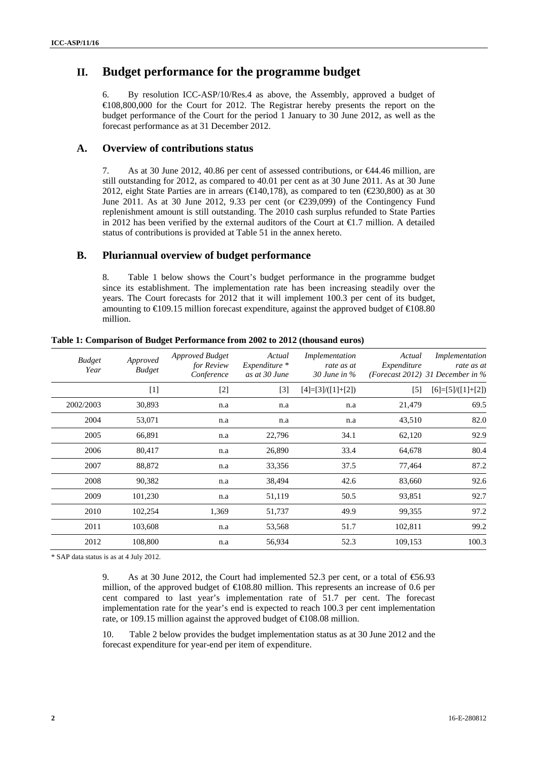# **II. Budget performance for the programme budget**

6. By resolution ICC-ASP/10/Res.4 as above, the Assembly, approved a budget of €108,800,000 for the Court for 2012. The Registrar hereby presents the report on the budget performance of the Court for the period 1 January to 30 June 2012, as well as the forecast performance as at 31 December 2012.

#### **A. Overview of contributions status**

7. As at 30 June 2012, 40.86 per cent of assessed contributions, or €44.46 million, are still outstanding for 2012, as compared to 40.01 per cent as at 30 June 2011. As at 30 June 2012, eight State Parties are in arrears ( $\text{E}(440,178)$ , as compared to ten ( $\text{E}(230,800)$ ) as at 30 June 2011. As at 30 June 2012, 9.33 per cent (or  $\text{\textsterling}39,099$ ) of the Contingency Fund replenishment amount is still outstanding. The 2010 cash surplus refunded to State Parties in 2012 has been verified by the external auditors of the Court at  $\bigoplus$ .7 million. A detailed status of contributions is provided at Table 51 in the annex hereto.

#### **B. Pluriannual overview of budget performance**

8. Table 1 below shows the Court's budget performance in the programme budget since its establishment. The implementation rate has been increasing steadily over the years. The Court forecasts for 2012 that it will implement 100.3 per cent of its budget, amounting to  $\text{\textsterling}09.15$  million forecast expenditure, against the approved budget of  $\text{\textsterling}08.80$ million.

| <b>Budget</b><br>Year | Approved<br><b>Budget</b> | <b>Approved Budget</b><br>for Review<br>Conference | Actual<br>Expenditure *<br>as at 30 June | Implementation<br>rate as at<br>30 June in $\%$ | Actual<br>Expenditure | Implementation<br>rate as at<br>(Forecast 2012) 31 December in $%$ |
|-----------------------|---------------------------|----------------------------------------------------|------------------------------------------|-------------------------------------------------|-----------------------|--------------------------------------------------------------------|
|                       | $[1]$                     | $\lceil 2 \rceil$                                  | $[3]$                                    | $[4]=[3]/([1]+[2])$                             | $\lceil 5 \rceil$     | $[6]=[5]/([1]+[2])$                                                |
| 2002/2003             | 30,893                    | n.a                                                | n.a                                      | n.a                                             | 21,479                | 69.5                                                               |
| 2004                  | 53,071                    | n.a                                                | n.a                                      | n.a                                             | 43,510                | 82.0                                                               |
| 2005                  | 66,891                    | n.a                                                | 22,796                                   | 34.1                                            | 62,120                | 92.9                                                               |
| 2006                  | 80,417                    | n.a                                                | 26,890                                   | 33.4                                            | 64,678                | 80.4                                                               |
| 2007                  | 88,872                    | n.a                                                | 33,356                                   | 37.5                                            | 77.464                | 87.2                                                               |
| 2008                  | 90,382                    | n.a                                                | 38,494                                   | 42.6                                            | 83,660                | 92.6                                                               |
| 2009                  | 101,230                   | n.a                                                | 51,119                                   | 50.5                                            | 93,851                | 92.7                                                               |
| 2010                  | 102,254                   | 1,369                                              | 51,737                                   | 49.9                                            | 99,355                | 97.2                                                               |
| 2011                  | 103,608                   | n.a                                                | 53,568                                   | 51.7                                            | 102,811               | 99.2                                                               |
| 2012                  | 108,800                   | n.a                                                | 56,934                                   | 52.3                                            | 109,153               | 100.3                                                              |

#### **Table 1: Comparison of Budget Performance from 2002 to 2012 (thousand euros)**

\* SAP data status is as at 4 July 2012.

9. As at 30 June 2012, the Court had implemented 52.3 per cent, or a total of  $\epsilon$ 6.93 million, of the approved budget of  $\in$  08.80 million. This represents an increase of 0.6 per cent compared to last year's implementation rate of 51.7 per cent. The forecast implementation rate for the year's end is expected to reach 100.3 per cent implementation rate, or 109.15 million against the approved budget of  $\in$  08.08 million.

10. Table 2 below provides the budget implementation status as at 30 June 2012 and the forecast expenditure for year-end per item of expenditure.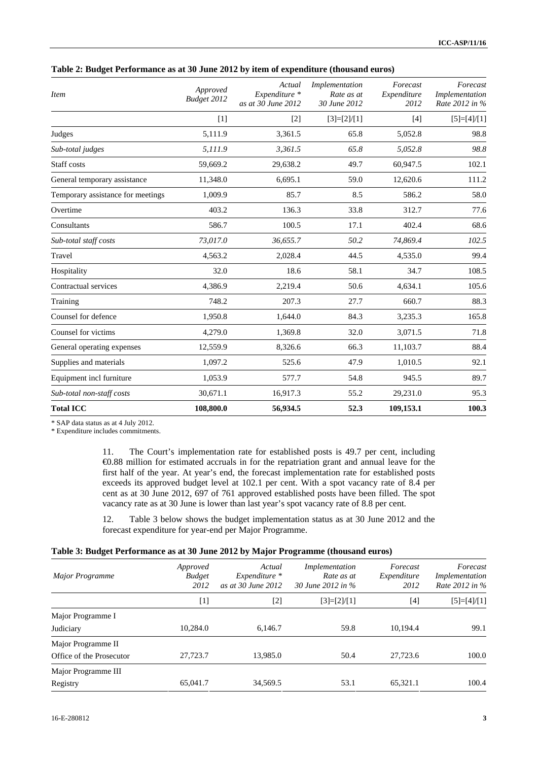| Sub-total non-staff costs<br><b>Total ICC</b> | 30,671.1<br>108,800.0   | 16,917.3<br>56,934.5                          | 55.2<br>52.3                                 | 29,231.0<br>109,153.1           | 95.3<br>100.3                                |
|-----------------------------------------------|-------------------------|-----------------------------------------------|----------------------------------------------|---------------------------------|----------------------------------------------|
| Equipment incl furniture                      | 1,053.9                 | 577.7                                         | 54.8                                         | 945.5                           | 89.7                                         |
| Supplies and materials                        | 1,097.2                 | 525.6                                         | 47.9                                         | 1,010.5                         | 92.1                                         |
| General operating expenses                    | 12,559.9                | 8,326.6                                       | 66.3                                         | 11,103.7                        | 88.4                                         |
| Counsel for victims                           | 4,279.0                 | 1,369.8                                       | 32.0                                         | 3,071.5                         | 71.8                                         |
| Counsel for defence                           | 1,950.8                 | 1.644.0                                       | 84.3                                         | 3,235.3                         | 165.8                                        |
| Training                                      | 748.2                   | 207.3                                         | 27.7                                         | 660.7                           | 88.3                                         |
| Contractual services                          | 4,386.9                 | 2,219.4                                       | 50.6                                         | 4,634.1                         | 105.6                                        |
| Hospitality                                   | 32.0                    | 18.6                                          | 58.1                                         | 34.7                            | 108.5                                        |
| Travel                                        | 4,563.2                 | 2,028.4                                       | 44.5                                         | 4,535.0                         | 99.4                                         |
| Sub-total staff costs                         | 73,017.0                | 36,655.7                                      | 50.2                                         | 74,869.4                        | 102.5                                        |
| Consultants                                   | 586.7                   | 100.5                                         | 17.1                                         | 402.4                           | 68.6                                         |
| Overtime                                      | 403.2                   | 136.3                                         | 33.8                                         | 312.7                           | 77.6                                         |
| Temporary assistance for meetings             | 1,009.9                 | 85.7                                          | 8.5                                          | 586.2                           | 58.0                                         |
| General temporary assistance                  | 11,348.0                | 6,695.1                                       | 59.0                                         | 12,620.6                        | 111.2                                        |
| Staff costs                                   | 59,669.2                | 29,638.2                                      | 49.7                                         | 60,947.5                        | 102.1                                        |
| Sub-total judges                              | 5,111.9                 | 3,361.5                                       | 65.8                                         | 5,052.8                         | 98.8                                         |
| Judges                                        | 5,111.9                 | 3,361.5                                       | 65.8                                         | 5,052.8                         | 98.8                                         |
|                                               | [1]                     | $[2]$                                         | $[3]=[2]/[1]$                                | $[4]$                           | $[5]=[4]/[1]$                                |
| <b>Item</b>                                   | Approved<br>Budget 2012 | Actual<br>Expenditure *<br>as at 30 June 2012 | Implementation<br>Rate as at<br>30 June 2012 | Forecast<br>Expenditure<br>2012 | Forecast<br>Implementation<br>Rate 2012 in % |

#### **Table 2: Budget Performance as at 30 June 2012 by item of expenditure (thousand euros)**

\* SAP data status as at 4 July 2012.

\* Expenditure includes commitments.

11. The Court's implementation rate for established posts is 49.7 per cent, including €0.88 million for estimated accruals in for the repatriation grant and annual leave for the first half of the year. At year's end, the forecast implementation rate for established posts exceeds its approved budget level at 102.1 per cent. With a spot vacancy rate of 8.4 per cent as at 30 June 2012, 697 of 761 approved established posts have been filled. The spot vacancy rate as at 30 June is lower than last year's spot vacancy rate of 8.8 per cent.

12. Table 3 below shows the budget implementation status as at 30 June 2012 and the forecast expenditure for year-end per Major Programme.

#### **Table 3: Budget Performance as at 30 June 2012 by Major Programme (thousand euros)**

| Major Programme          | Approved<br><b>Budget</b><br>2012 | Actual<br>$Expenditure *$<br>as at 30 June 2012 | Implementation<br>Rate as at<br>30 June 2012 in $\%$ | Forecast<br>Expenditure<br>2012 | Forecast<br>Implementation<br>Rate 2012 in % |
|--------------------------|-----------------------------------|-------------------------------------------------|------------------------------------------------------|---------------------------------|----------------------------------------------|
|                          | [1]                               | $[2]$                                           | $[3]=[2]/[1]$                                        | [4]                             | $[5]=[4]/[1]$                                |
| Major Programme I        |                                   |                                                 |                                                      |                                 |                                              |
| Judiciary                | 10.284.0                          | 6.146.7                                         | 59.8                                                 | 10.194.4                        | 99.1                                         |
| Major Programme II       |                                   |                                                 |                                                      |                                 |                                              |
| Office of the Prosecutor | 27,723.7                          | 13,985.0                                        | 50.4                                                 | 27,723.6                        | 100.0                                        |
| Major Programme III      |                                   |                                                 |                                                      |                                 |                                              |
| Registry                 | 65,041.7                          | 34,569.5                                        | 53.1                                                 | 65.321.1                        | 100.4                                        |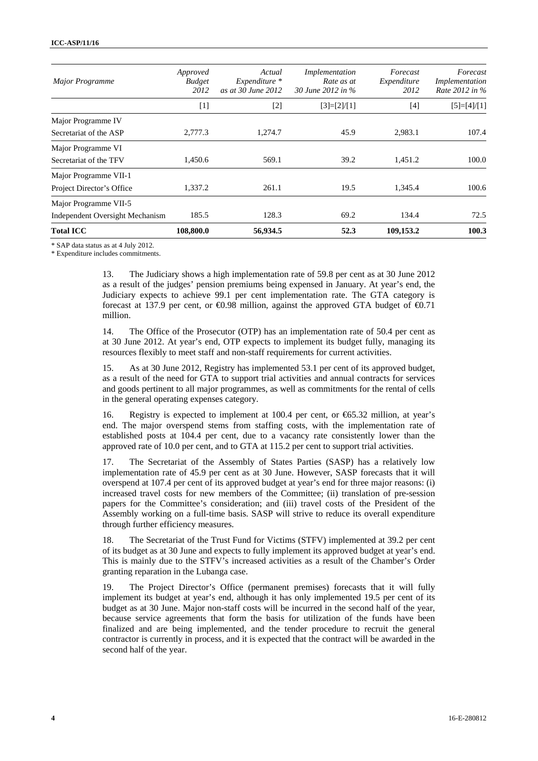| <b>Major Programme</b>          | Approved<br><b>Budget</b><br>2012 | Actual<br>$Expenditure *$<br>as at 30 June 2012 | Implementation<br>Rate as at<br>30 June 2012 in % | Forecast<br>Expenditure<br>2012 | Forecast<br>Implementation<br>Rate 2012 in % |
|---------------------------------|-----------------------------------|-------------------------------------------------|---------------------------------------------------|---------------------------------|----------------------------------------------|
|                                 | [1]                               | $[2]$                                           | $[3]=[2]/[1]$                                     | $[4]$                           | $[5]=[4]/[1]$                                |
| Major Programme IV              |                                   |                                                 |                                                   |                                 |                                              |
| Secretariat of the ASP          | 2,777.3                           | 1.274.7                                         | 45.9                                              | 2,983.1                         | 107.4                                        |
| Major Programme VI              |                                   |                                                 |                                                   |                                 |                                              |
| Secretariat of the TFV          | 1,450.6                           | 569.1                                           | 39.2                                              | 1,451.2                         | 100.0                                        |
| Major Programme VII-1           |                                   |                                                 |                                                   |                                 |                                              |
| Project Director's Office       | 1,337.2                           | 261.1                                           | 19.5                                              | 1,345.4                         | 100.6                                        |
| Major Programme VII-5           |                                   |                                                 |                                                   |                                 |                                              |
| Independent Oversight Mechanism | 185.5                             | 128.3                                           | 69.2                                              | 134.4                           | 72.5                                         |
| <b>Total ICC</b>                | 108,800.0                         | 56,934.5                                        | 52.3                                              | 109,153.2                       | 100.3                                        |

\* SAP data status as at 4 July 2012.

\* Expenditure includes commitments.

13. The Judiciary shows a high implementation rate of 59.8 per cent as at 30 June 2012 as a result of the judges' pension premiums being expensed in January. At year's end, the Judiciary expects to achieve 99.1 per cent implementation rate. The GTA category is forecast at 137.9 per cent, or  $\bigoplus$ .98 million, against the approved GTA budget of  $\bigoplus$ .71 million.

14. The Office of the Prosecutor (OTP) has an implementation rate of 50.4 per cent as at 30 June 2012. At year's end, OTP expects to implement its budget fully, managing its resources flexibly to meet staff and non-staff requirements for current activities.

15. As at 30 June 2012, Registry has implemented 53.1 per cent of its approved budget, as a result of the need for GTA to support trial activities and annual contracts for services and goods pertinent to all major programmes, as well as commitments for the rental of cells in the general operating expenses category.

16. Registry is expected to implement at 100.4 per cent, or €65.32 million, at year's end. The major overspend stems from staffing costs, with the implementation rate of established posts at 104.4 per cent, due to a vacancy rate consistently lower than the approved rate of 10.0 per cent, and to GTA at 115.2 per cent to support trial activities.

17. The Secretariat of the Assembly of States Parties (SASP) has a relatively low implementation rate of 45.9 per cent as at 30 June. However, SASP forecasts that it will overspend at 107.4 per cent of its approved budget at year's end for three major reasons: (i) increased travel costs for new members of the Committee; (ii) translation of pre-session papers for the Committee's consideration; and (iii) travel costs of the President of the Assembly working on a full-time basis. SASP will strive to reduce its overall expenditure through further efficiency measures.

18. The Secretariat of the Trust Fund for Victims (STFV) implemented at 39.2 per cent of its budget as at 30 June and expects to fully implement its approved budget at year's end. This is mainly due to the STFV's increased activities as a result of the Chamber's Order granting reparation in the Lubanga case.

19. The Project Director's Office (permanent premises) forecasts that it will fully implement its budget at year's end, although it has only implemented 19.5 per cent of its budget as at 30 June. Major non-staff costs will be incurred in the second half of the year, because service agreements that form the basis for utilization of the funds have been finalized and are being implemented, and the tender procedure to recruit the general contractor is currently in process, and it is expected that the contract will be awarded in the second half of the year.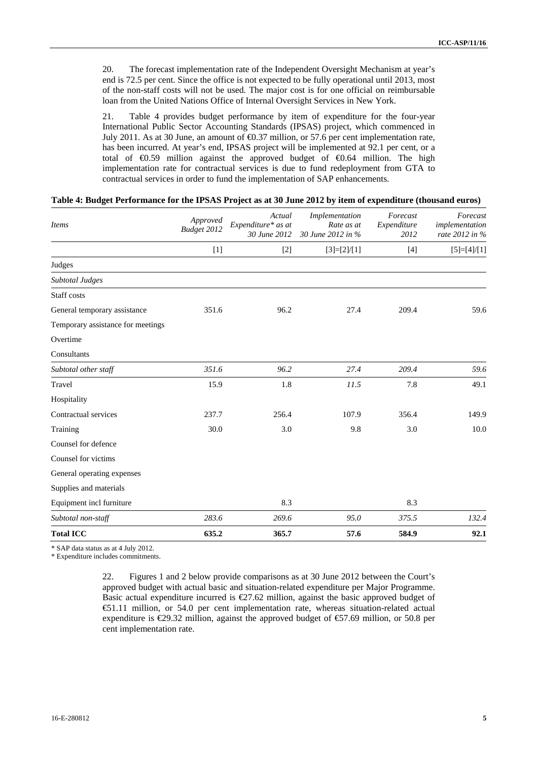20. The forecast implementation rate of the Independent Oversight Mechanism at year's end is 72.5 per cent. Since the office is not expected to be fully operational until 2013, most of the non-staff costs will not be used. The major cost is for one official on reimbursable loan from the United Nations Office of Internal Oversight Services in New York.

21. Table 4 provides budget performance by item of expenditure for the four-year International Public Sector Accounting Standards (IPSAS) project, which commenced in July 2011. As at 30 June, an amount of  $\epsilon$ 0.37 million, or 57.6 per cent implementation rate, has been incurred. At year's end, IPSAS project will be implemented at 92.1 per cent, or a total of €0.59 million against the approved budget of €0.64 million. The high implementation rate for contractual services is due to fund redeployment from GTA to contractual services in order to fund the implementation of SAP enhancements.

#### **Table 4: Budget Performance for the IPSAS Project as at 30 June 2012 by item of expenditure (thousand euros)**

| <b>Items</b>                      | Approved<br>Budget 2012 | Actual<br>Expenditure* as at<br>30 June 2012 | Implementation<br>Rate as at<br>30 June 2012 in % | Forecast<br>Expenditure<br>2012 | Forecast<br>implementation<br>rate 2012 in % |
|-----------------------------------|-------------------------|----------------------------------------------|---------------------------------------------------|---------------------------------|----------------------------------------------|
|                                   | $[1]$                   | $[2]$                                        | $[3]=[2]/[1]$                                     | $[4]$                           | $[5]{=}[4]/[1]$                              |
| Judges                            |                         |                                              |                                                   |                                 |                                              |
| <b>Subtotal Judges</b>            |                         |                                              |                                                   |                                 |                                              |
| Staff costs                       |                         |                                              |                                                   |                                 |                                              |
| General temporary assistance      | 351.6                   | 96.2                                         | 27.4                                              | 209.4                           | 59.6                                         |
| Temporary assistance for meetings |                         |                                              |                                                   |                                 |                                              |
| Overtime                          |                         |                                              |                                                   |                                 |                                              |
| Consultants                       |                         |                                              |                                                   |                                 |                                              |
| Subtotal other staff              | 351.6                   | 96.2                                         | 27.4                                              | 209.4                           | 59.6                                         |
| Travel                            | 15.9                    | 1.8                                          | 11.5                                              | 7.8                             | 49.1                                         |
| Hospitality                       |                         |                                              |                                                   |                                 |                                              |
| Contractual services              | 237.7                   | 256.4                                        | 107.9                                             | 356.4                           | 149.9                                        |
| Training                          | 30.0                    | 3.0                                          | 9.8                                               | 3.0                             | 10.0                                         |
| Counsel for defence               |                         |                                              |                                                   |                                 |                                              |
| Counsel for victims               |                         |                                              |                                                   |                                 |                                              |
| General operating expenses        |                         |                                              |                                                   |                                 |                                              |
| Supplies and materials            |                         |                                              |                                                   |                                 |                                              |
| Equipment incl furniture          |                         | 8.3                                          |                                                   | 8.3                             |                                              |
| Subtotal non-staff                | 283.6                   | 269.6                                        | 95.0                                              | 375.5                           | 132.4                                        |
| <b>Total ICC</b>                  | 635.2                   | 365.7                                        | 57.6                                              | 584.9                           | 92.1                                         |

\* SAP data status as at 4 July 2012.

\* Expenditure includes commitments.

22. Figures 1 and 2 below provide comparisons as at 30 June 2012 between the Court's approved budget with actual basic and situation-related expenditure per Major Programme. Basic actual expenditure incurred is  $\epsilon$ 27.62 million, against the basic approved budget of €51.11 million, or 54.0 per cent implementation rate, whereas situation-related actual expenditure is  $\epsilon$ 29.32 million, against the approved budget of  $\epsilon$ 57.69 million, or 50.8 per cent implementation rate.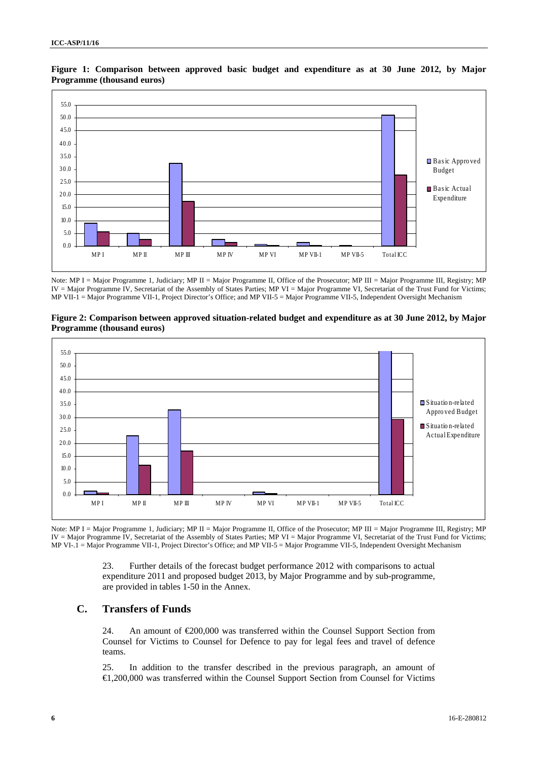

**Figure 1: Comparison between approved basic budget and expenditure as at 30 June 2012, by Major Programme (thousand euros)** 

Note: MP I = Major Programme 1, Judiciary; MP II = Major Programme II, Office of the Prosecutor; MP III = Major Programme III, Registry; MP IV = Major Programme IV, Secretariat of the Assembly of States Parties; MP VI = Major Programme VI, Secretariat of the Trust Fund for Victims; MP VII-1 = Major Programme VII-1, Project Director's Office; and MP VII-5 = Major Programme VII-5, Independent Oversight Mechanism

#### **Figure 2: Comparison between approved situation-related budget and expenditure as at 30 June 2012, by Major Programme (thousand euros)**



Note: MP I = Major Programme 1, Judiciary; MP II = Major Programme II, Office of the Prosecutor; MP III = Major Programme III, Registry; MP IV = Major Programme IV, Secretariat of the Assembly of States Parties; MP VI = Major Programme VI, Secretariat of the Trust Fund for Victims; MP VI-.1 = Major Programme VII-1, Project Director's Office; and MP VII-5 = Major Programme VII-5, Independent Oversight Mechanism

> 23. Further details of the forecast budget performance 2012 with comparisons to actual expenditure 2011 and proposed budget 2013, by Major Programme and by sub-programme, are provided in tables 1-50 in the Annex.

# **C. Transfers of Funds**

24. An amount of  $\epsilon 200,000$  was transferred within the Counsel Support Section from Counsel for Victims to Counsel for Defence to pay for legal fees and travel of defence teams.

25. In addition to the transfer described in the previous paragraph, an amount of €1,200,000 was transferred within the Counsel Support Section from Counsel for Victims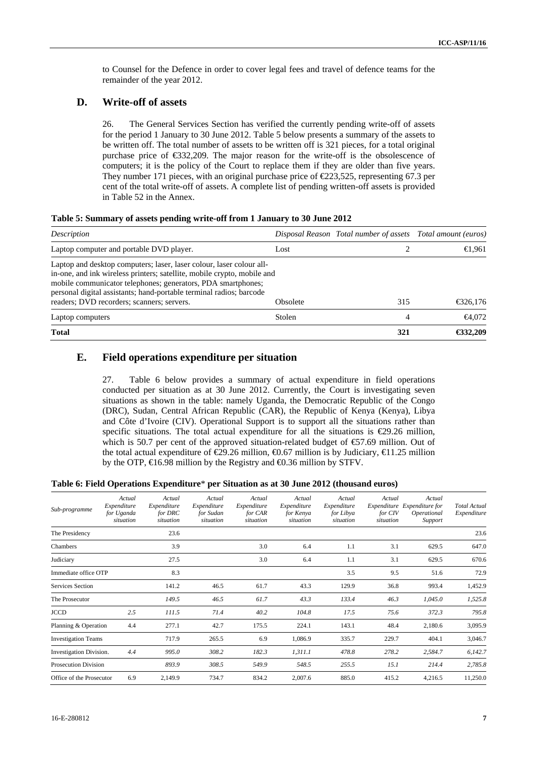to Counsel for the Defence in order to cover legal fees and travel of defence teams for the remainder of the year 2012.

# **D. Write-off of assets**

26. The General Services Section has verified the currently pending write-off of assets for the period 1 January to 30 June 2012. Table 5 below presents a summary of the assets to be written off. The total number of assets to be written off is 321 pieces, for a total original purchase price of €332,209. The major reason for the write-off is the obsolescence of computers; it is the policy of the Court to replace them if they are older than five years. They number 171 pieces, with an original purchase price of  $\epsilon$ 223,525, representing 67.3 per cent of the total write-off of assets. A complete list of pending written-off assets is provided in Table 52 in the Annex.

| Table 5: Summary of assets pending write-off from 1 January to 30 June 2012 |  |  |  |
|-----------------------------------------------------------------------------|--|--|--|
|                                                                             |  |  |  |

| Description                                                                                                                                                                                                                                                                                                                          |          | Disposal Reason Total number of assets Total amount (euros) |             |
|--------------------------------------------------------------------------------------------------------------------------------------------------------------------------------------------------------------------------------------------------------------------------------------------------------------------------------------|----------|-------------------------------------------------------------|-------------|
| Laptop computer and portable DVD player.                                                                                                                                                                                                                                                                                             | Lost     |                                                             | €1,961      |
| Laptop and desktop computers; laser, laser colour, laser colour all-<br>in-one, and ink wireless printers; satellite, mobile crypto, mobile and<br>mobile communicator telephones; generators, PDA smartphones;<br>personal digital assistants; hand-portable terminal radios; barcode<br>readers; DVD recorders; scanners; servers. | Obsolete | 315                                                         | € $326,176$ |
| Laptop computers                                                                                                                                                                                                                                                                                                                     | Stolen   |                                                             | $-64.072$   |
| <b>Total</b>                                                                                                                                                                                                                                                                                                                         |          | 321                                                         | €32,209     |

#### **E. Field operations expenditure per situation**

27. Table 6 below provides a summary of actual expenditure in field operations conducted per situation as at 30 June 2012. Currently, the Court is investigating seven situations as shown in the table: namely Uganda, the Democratic Republic of the Congo (DRC), Sudan, Central African Republic (CAR), the Republic of Kenya (Kenya), Libya and Côte d'Ivoire (CIV). Operational Support is to support all the situations rather than specific situations. The total actual expenditure for all the situations is  $\epsilon$ 29.26 million, which is 50.7 per cent of the approved situation-related budget of €7.69 million. Out of the total actual expenditure of  $\epsilon$ 29.26 million,  $\epsilon$ 0.67 million is by Judiciary,  $\epsilon$ 1.25 million by the OTP,  $\in 6.98$  million by the Registry and  $\infty$ .36 million by STFV.

#### **Table 6: Field Operations Expenditure**\* **per Situation as at 30 June 2012 (thousand euros)**

| Sub-programme                  | Actual<br>Expenditure<br>for Uganda<br>situation | Actual<br>Expenditure<br>for DRC<br>situation | Actual<br>Expenditure<br>for Sudan<br>situation | Actual<br>Expenditure<br>for CAR<br>situation | Actual<br>Expenditure<br>for Kenya<br>situation | Actual<br>Expenditure<br>for Libya<br>situation | Actual<br>Expenditure<br>for CIV<br>situation | Actual<br>Expenditure for<br>Operational<br>Support | <b>Total Actual</b><br>Expenditure |
|--------------------------------|--------------------------------------------------|-----------------------------------------------|-------------------------------------------------|-----------------------------------------------|-------------------------------------------------|-------------------------------------------------|-----------------------------------------------|-----------------------------------------------------|------------------------------------|
| The Presidency                 |                                                  | 23.6                                          |                                                 |                                               |                                                 |                                                 |                                               |                                                     | 23.6                               |
| Chambers                       |                                                  | 3.9                                           |                                                 | 3.0                                           | 6.4                                             | 1.1                                             | 3.1                                           | 629.5                                               | 647.0                              |
| Judiciary                      |                                                  | 27.5                                          |                                                 | 3.0                                           | 6.4                                             | 1.1                                             | 3.1                                           | 629.5                                               | 670.6                              |
| Immediate office OTP           |                                                  | 8.3                                           |                                                 |                                               |                                                 | 3.5                                             | 9.5                                           | 51.6                                                | 72.9                               |
| Services Section               |                                                  | 141.2                                         | 46.5                                            | 61.7                                          | 43.3                                            | 129.9                                           | 36.8                                          | 993.4                                               | 1,452.9                            |
| The Prosecutor                 |                                                  | 149.5                                         | 46.5                                            | 61.7                                          | 43.3                                            | 133.4                                           | 46.3                                          | 1,045.0                                             | 1,525.8                            |
| <b>JCCD</b>                    | 2.5                                              | 111.5                                         | 71.4                                            | 40.2                                          | 104.8                                           | 17.5                                            | 75.6                                          | 372.3                                               | 795.8                              |
| Planning & Operation           | 4.4                                              | 277.1                                         | 42.7                                            | 175.5                                         | 224.1                                           | 143.1                                           | 48.4                                          | 2,180.6                                             | 3,095.9                            |
| <b>Investigation Teams</b>     |                                                  | 717.9                                         | 265.5                                           | 6.9                                           | 1,086.9                                         | 335.7                                           | 229.7                                         | 404.1                                               | 3,046.7                            |
| <b>Investigation Division.</b> | 4.4                                              | 995.0                                         | 308.2                                           | 182.3                                         | 1,311.1                                         | 478.8                                           | 278.2                                         | 2,584.7                                             | 6,142.7                            |
| <b>Prosecution Division</b>    |                                                  | 893.9                                         | 308.5                                           | 549.9                                         | 548.5                                           | 255.5                                           | 15.1                                          | 214.4                                               | 2,785.8                            |
| Office of the Prosecutor       | 6.9                                              | 2,149.9                                       | 734.7                                           | 834.2                                         | 2,007.6                                         | 885.0                                           | 415.2                                         | 4,216.5                                             | 11,250.0                           |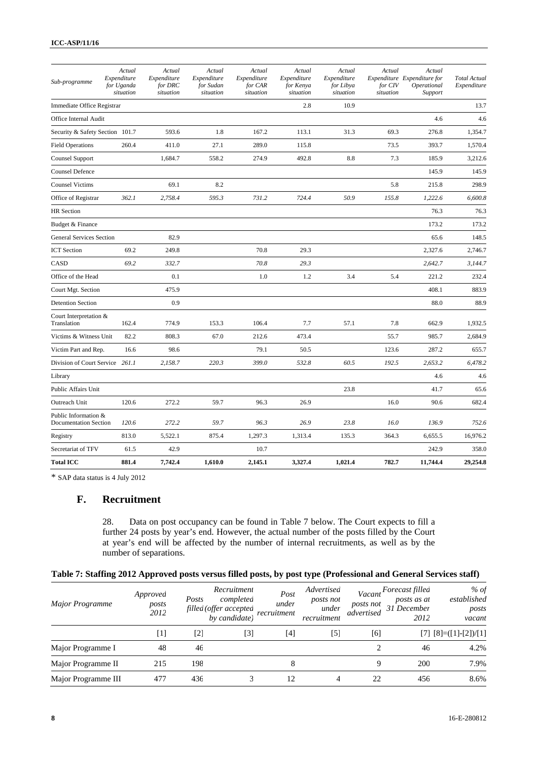| Sub-programme                                        | Actual<br>Expenditure<br>for Uganda<br>situation | Actual<br>Expenditure<br>for DRC<br>situation | Actual<br>Expenditure<br>for Sudan<br>situation | Actual<br>Expenditure<br>for CAR<br>situation | Actual<br>Expenditure<br>for Kenya<br>situation | Actual<br>Expenditure<br>for Libya<br>situation | Actual<br>for CIV<br>situation | Actual<br>Expenditure Expenditure for<br>Operational<br>Support | <b>Total Actual</b><br>Expenditure |
|------------------------------------------------------|--------------------------------------------------|-----------------------------------------------|-------------------------------------------------|-----------------------------------------------|-------------------------------------------------|-------------------------------------------------|--------------------------------|-----------------------------------------------------------------|------------------------------------|
| Immediate Office Registrar                           |                                                  |                                               |                                                 |                                               | 2.8                                             | 10.9                                            |                                |                                                                 | 13.7                               |
| Office Internal Audit                                |                                                  |                                               |                                                 |                                               |                                                 |                                                 |                                | 4.6                                                             | 4.6                                |
| Security & Safety Section 101.7                      |                                                  | 593.6                                         | 1.8                                             | 167.2                                         | 113.1                                           | 31.3                                            | 69.3                           | 276.8                                                           | 1,354.7                            |
| <b>Field Operations</b>                              | 260.4                                            | 411.0                                         | 27.1                                            | 289.0                                         | 115.8                                           |                                                 | 73.5                           | 393.7                                                           | 1,570.4                            |
| <b>Counsel Support</b>                               |                                                  | 1,684.7                                       | 558.2                                           | 274.9                                         | 492.8                                           | 8.8                                             | 7.3                            | 185.9                                                           | 3,212.6                            |
| <b>Counsel Defence</b>                               |                                                  |                                               |                                                 |                                               |                                                 |                                                 |                                | 145.9                                                           | 145.9                              |
| <b>Counsel Victims</b>                               |                                                  | 69.1                                          | 8.2                                             |                                               |                                                 |                                                 | 5.8                            | 215.8                                                           | 298.9                              |
| Office of Registrar                                  | 362.1                                            | 2.758.4                                       | 595.3                                           | 731.2                                         | 724.4                                           | 50.9                                            | 155.8                          | 1,222.6                                                         | 6.600.8                            |
| <b>HR</b> Section                                    |                                                  |                                               |                                                 |                                               |                                                 |                                                 |                                | 76.3                                                            | 76.3                               |
| Budget & Finance                                     |                                                  |                                               |                                                 |                                               |                                                 |                                                 |                                | 173.2                                                           | 173.2                              |
| <b>General Services Section</b>                      |                                                  | 82.9                                          |                                                 |                                               |                                                 |                                                 |                                | 65.6                                                            | 148.5                              |
| <b>ICT</b> Section                                   | 69.2                                             | 249.8                                         |                                                 | 70.8                                          | 29.3                                            |                                                 |                                | 2,327.6                                                         | 2.746.7                            |
| CASD                                                 | 69.2                                             | 332.7                                         |                                                 | 70.8                                          | 29.3                                            |                                                 |                                | 2,642.7                                                         | 3,144.7                            |
| Office of the Head                                   |                                                  | 0.1                                           |                                                 | 1.0                                           | 1.2                                             | 3.4                                             | 5.4                            | 221.2                                                           | 232.4                              |
| Court Mgt. Section                                   |                                                  | 475.9                                         |                                                 |                                               |                                                 |                                                 |                                | 408.1                                                           | 883.9                              |
| <b>Detention Section</b>                             |                                                  | 0.9                                           |                                                 |                                               |                                                 |                                                 |                                | 88.0                                                            | 88.9                               |
| Court Interpretation &<br>Translation                | 162.4                                            | 774.9                                         | 153.3                                           | 106.4                                         | 7.7                                             | 57.1                                            | 7.8                            | 662.9                                                           | 1,932.5                            |
| Victims & Witness Unit                               | 82.2                                             | 808.3                                         | 67.0                                            | 212.6                                         | 473.4                                           |                                                 | 55.7                           | 985.7                                                           | 2.684.9                            |
| Victim Part and Rep.                                 | 16.6                                             | 98.6                                          |                                                 | 79.1                                          | 50.5                                            |                                                 | 123.6                          | 287.2                                                           | 655.7                              |
| Division of Court Service 261.1                      |                                                  | 2,158.7                                       | 220.3                                           | 399.0                                         | 532.8                                           | 60.5                                            | 192.5                          | 2,653.2                                                         | 6.478.2                            |
| Library                                              |                                                  |                                               |                                                 |                                               |                                                 |                                                 |                                | 4.6                                                             | 4.6                                |
| Public Affairs Unit                                  |                                                  |                                               |                                                 |                                               |                                                 | 23.8                                            |                                | 41.7                                                            | 65.6                               |
| Outreach Unit                                        | 120.6                                            | 272.2                                         | 59.7                                            | 96.3                                          | 26.9                                            |                                                 | 16.0                           | 90.6                                                            | 682.4                              |
| Public Information &<br><b>Documentation Section</b> | 120.6                                            | 272.2                                         | 59.7                                            | 96.3                                          | 26.9                                            | 23.8                                            | 16.0                           | 136.9                                                           | 752.6                              |
| Registry                                             | 813.0                                            | 5,522.1                                       | 875.4                                           | 1,297.3                                       | 1,313.4                                         | 135.3                                           | 364.3                          | 6,655.5                                                         | 16,976.2                           |
| Secretariat of TFV                                   | 61.5                                             | 42.9                                          |                                                 | 10.7                                          |                                                 |                                                 |                                | 242.9                                                           | 358.0                              |
| <b>Total ICC</b>                                     | 881.4                                            | 7,742.4                                       | 1,610.0                                         | 2,145.1                                       | 3,327.4                                         | 1,021.4                                         | 782.7                          | 11,744.4                                                        | 29,254.8                           |

\* SAP data status is 4 July 2012

#### **F. Recruitment**

28. Data on post occupancy can be found in Table 7 below. The Court expects to fill a further 24 posts by year's end. However, the actual number of the posts filled by the Court at year's end will be affected by the number of internal recruitments, as well as by the number of separations.

#### **Table 7: Staffing 2012 Approved posts versus filled posts, by post type (Professional and General Services staff)**

| <b>Major Programme</b> | Approved<br>posts<br>2012 | Posts | Recruitment<br>completed<br>filled (offer accepted<br>by candidate) | Post<br>under<br>recruitment | Advertised<br>posts not<br>under<br>recruitment | Vacant<br>posts not<br>advertised | Forecast filled<br>posts as at<br>31 December<br>2012 | % of<br>established<br>posts<br>vacant |
|------------------------|---------------------------|-------|---------------------------------------------------------------------|------------------------------|-------------------------------------------------|-----------------------------------|-------------------------------------------------------|----------------------------------------|
|                        | $[1]$                     | [2]   | $[3]$                                                               | [4]                          | $[5]$                                           | [6]                               |                                                       | $[7]$ $[8] = ([1] - [2]) / [1]$        |
| Major Programme I      | 48                        | 46    |                                                                     |                              |                                                 | 2                                 | 46                                                    | 4.2%                                   |
| Major Programme II     | 215                       | 198   |                                                                     |                              |                                                 | Q                                 | 200                                                   | 7.9%                                   |
| Major Programme III    | 477                       | 436   |                                                                     |                              |                                                 | 22                                | 456                                                   | 8.6%                                   |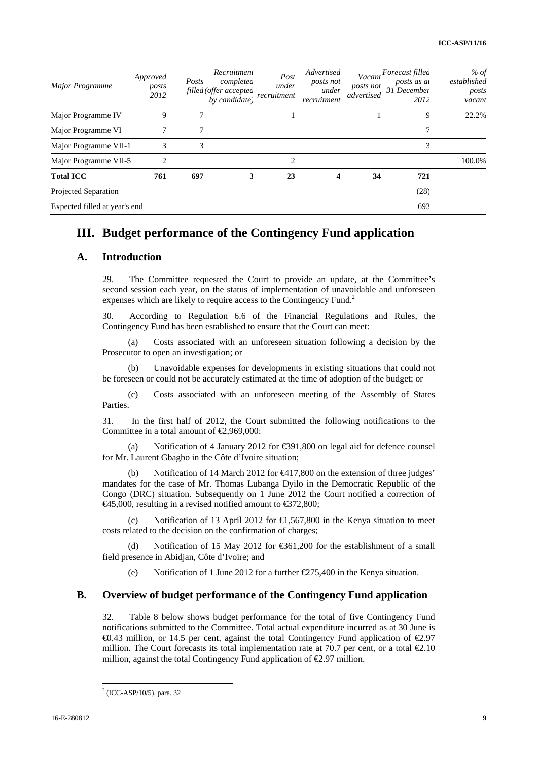| Major Programme               | Approved<br>posts<br>2012 | Posts<br>filled (offer accepted | Recruitment<br>completed<br>by candidate) | Post<br>under<br>recruitment | Advertised<br>posts not<br>under<br>recruitment | posts not<br>advertised | Vacant Forecast filled<br>posts as at<br>31 December<br>2012 | % of<br>established<br>posts<br>vacant |
|-------------------------------|---------------------------|---------------------------------|-------------------------------------------|------------------------------|-------------------------------------------------|-------------------------|--------------------------------------------------------------|----------------------------------------|
| Major Programme IV            | 9                         |                                 |                                           |                              |                                                 |                         | 9                                                            | 22.2%                                  |
| Major Programme VI            | 7                         | 7                               |                                           |                              |                                                 |                         | ┑                                                            |                                        |
| Major Programme VII-1         | 3                         | 3                               |                                           |                              |                                                 |                         | 3                                                            |                                        |
| Major Programme VII-5         | $\mathfrak{D}$            |                                 |                                           | $\mathfrak{D}$               |                                                 |                         |                                                              | 100.0%                                 |
| <b>Total ICC</b>              | 761                       | 697                             | 3                                         | 23                           | 4                                               | 34                      | 721                                                          |                                        |
| Projected Separation          |                           |                                 |                                           |                              |                                                 |                         | (28)                                                         |                                        |
| Expected filled at year's end |                           |                                 |                                           |                              |                                                 |                         | 693                                                          |                                        |

# **III. Budget performance of the Contingency Fund application**

#### **A. Introduction**

29. The Committee requested the Court to provide an update, at the Committee's second session each year, on the status of implementation of unavoidable and unforeseen expenses which are likely to require access to the Contingency Fund.<sup>2</sup>

30. According to Regulation 6.6 of the Financial Regulations and Rules, the Contingency Fund has been established to ensure that the Court can meet:

(a) Costs associated with an unforeseen situation following a decision by the Prosecutor to open an investigation; or

(b) Unavoidable expenses for developments in existing situations that could not be foreseen or could not be accurately estimated at the time of adoption of the budget; or

(c) Costs associated with an unforeseen meeting of the Assembly of States Parties.

31. In the first half of 2012, the Court submitted the following notifications to the Committee in a total amount of  $\epsilon$ 2,969,000:

(a) Notification of 4 January 2012 for  $\in$  91,800 on legal aid for defence counsel for Mr. Laurent Gbagbo in the Côte d'Ivoire situation;

(b) Notification of 14 March 2012 for  $\bigoplus$  17,800 on the extension of three judges' mandates for the case of Mr. Thomas Lubanga Dyilo in the Democratic Republic of the Congo (DRC) situation. Subsequently on 1 June 2012 the Court notified a correction of  $\epsilon$ 45,000, resulting in a revised notified amount to  $\epsilon$ 372,800;

(c) Notification of 13 April 2012 for  $\in$ 1,567,800 in the Kenya situation to meet costs related to the decision on the confirmation of charges;

Notification of 15 May 2012 for  $\text{\textsterling}861,200$  for the establishment of a small field presence in Abidjan, Côte d'Ivoire; and

(e) Notification of 1 June 2012 for a further  $\epsilon$ 275,400 in the Kenya situation.

#### **B. Overview of budget performance of the Contingency Fund application**

32. Table 8 below shows budget performance for the total of five Contingency Fund notifications submitted to the Committee. Total actual expenditure incurred as at 30 June is  $\textcircled{43}$  million, or 14.5 per cent, against the total Contingency Fund application of  $\textcircled{2.97}$ million. The Court forecasts its total implementation rate at 70.7 per cent, or a total  $\epsilon 2.10$ million, against the total Contingency Fund application of  $\epsilon$ 2.97 million.

<sup>2</sup> (ICC-ASP/10/5), para. 32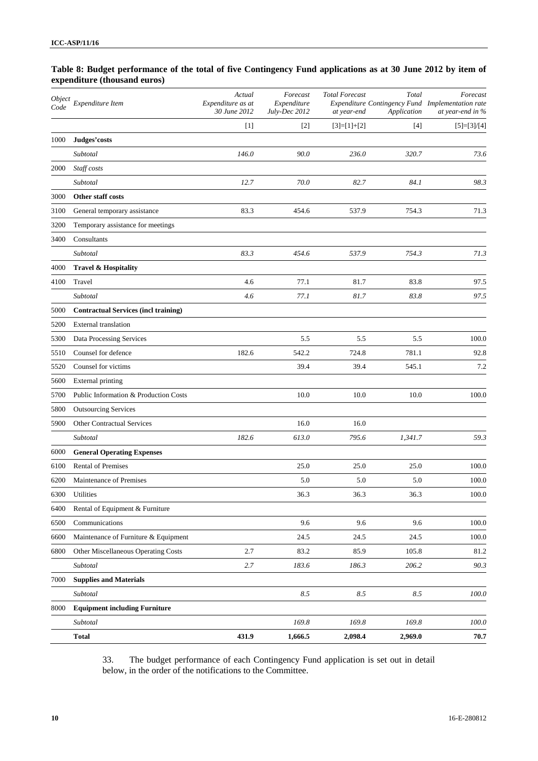#### **Table 8: Budget performance of the total of five Contingency Fund applications as at 30 June 2012 by item of expenditure (thousand euros)**

| <i><b>Object</b></i><br>Code | Expenditure Item                            | Actual<br>Expenditure as at<br>30 June 2012 | Forecast<br>Expenditure<br>July-Dec 2012 | <b>Total Forecast</b><br>at year-end | Total<br>Application | Forecast<br>Expenditure Contingency Fund Implementation rate<br>at year-end in % |
|------------------------------|---------------------------------------------|---------------------------------------------|------------------------------------------|--------------------------------------|----------------------|----------------------------------------------------------------------------------|
|                              |                                             | $[1]$                                       | $[2]$                                    | $[3]=[1]+[2]$                        | $[4]$                | $[5]=[3]/[4]$                                                                    |
| 1000                         | Judges'costs                                |                                             |                                          |                                      |                      |                                                                                  |
|                              | Subtotal                                    | 146.0                                       | 90.0                                     | 236.0                                | 320.7                | 73.6                                                                             |
| 2000                         | Staff costs                                 |                                             |                                          |                                      |                      |                                                                                  |
|                              | Subtotal                                    | 12.7                                        | 70.0                                     | 82.7                                 | 84.1                 | 98.3                                                                             |
| 3000                         | Other staff costs                           |                                             |                                          |                                      |                      |                                                                                  |
| 3100                         | General temporary assistance                | 83.3                                        | 454.6                                    | 537.9                                | 754.3                | 71.3                                                                             |
| 3200                         | Temporary assistance for meetings           |                                             |                                          |                                      |                      |                                                                                  |
| 3400                         | Consultants                                 |                                             |                                          |                                      |                      |                                                                                  |
|                              | Subtotal                                    | 83.3                                        | 454.6                                    | 537.9                                | 754.3                | 71.3                                                                             |
| 4000                         | Travel & Hospitality                        |                                             |                                          |                                      |                      |                                                                                  |
| 4100                         | Travel                                      | 4.6                                         | 77.1                                     | 81.7                                 | 83.8                 | 97.5                                                                             |
|                              | Subtotal                                    | 4.6                                         | 77.1                                     | 81.7                                 | 83.8                 | 97.5                                                                             |
| 5000                         | <b>Contractual Services (incl training)</b> |                                             |                                          |                                      |                      |                                                                                  |
| 5200                         | <b>External translation</b>                 |                                             |                                          |                                      |                      |                                                                                  |
| 5300                         | Data Processing Services                    |                                             | 5.5                                      | 5.5                                  | 5.5                  | 100.0                                                                            |
| 5510                         | Counsel for defence                         | 182.6                                       | 542.2                                    | 724.8                                | 781.1                | 92.8                                                                             |
| 5520                         | Counsel for victims                         |                                             | 39.4                                     | 39.4                                 | 545.1                | 7.2                                                                              |
| 5600                         | External printing                           |                                             |                                          |                                      |                      |                                                                                  |
| 5700                         | Public Information & Production Costs       |                                             | 10.0                                     | 10.0                                 | 10.0                 | 100.0                                                                            |
| 5800                         | <b>Outsourcing Services</b>                 |                                             |                                          |                                      |                      |                                                                                  |
| 5900                         | <b>Other Contractual Services</b>           |                                             | 16.0                                     | 16.0                                 |                      |                                                                                  |
|                              | Subtotal                                    | 182.6                                       | 613.0                                    | 795.6                                | 1,341.7              | 59.3                                                                             |
| 6000                         | <b>General Operating Expenses</b>           |                                             |                                          |                                      |                      |                                                                                  |
| 6100                         | <b>Rental of Premises</b>                   |                                             | 25.0                                     | 25.0                                 | 25.0                 | 100.0                                                                            |
| 6200                         | Maintenance of Premises                     |                                             | 5.0                                      | 5.0                                  | 5.0                  | 100.0                                                                            |
| 6300                         | Utilities                                   |                                             | 36.3                                     | 36.3                                 | 36.3                 | 100.0                                                                            |
| 6400                         | Rental of Equipment & Furniture             |                                             |                                          |                                      |                      |                                                                                  |
| 6500                         | Communications                              |                                             | 9.6                                      | 9.6                                  | 9.6                  | 100.0                                                                            |
| 6600                         | Maintenance of Furniture & Equipment        |                                             | 24.5                                     | 24.5                                 | 24.5                 | 100.0                                                                            |
| 6800                         | Other Miscellaneous Operating Costs         | 2.7                                         | 83.2                                     | 85.9                                 | 105.8                | 81.2                                                                             |
|                              | Subtotal                                    | 2.7                                         | 183.6                                    | 186.3                                | 206.2                | 90.3                                                                             |
| 7000                         | <b>Supplies and Materials</b>               |                                             |                                          |                                      |                      |                                                                                  |
|                              | Subtotal                                    |                                             | $8.5\,$                                  | 8.5                                  | 8.5                  | $100.0\,$                                                                        |
| 8000                         | <b>Equipment including Furniture</b>        |                                             |                                          |                                      |                      |                                                                                  |
|                              | Subtotal                                    |                                             | 169.8                                    | 169.8                                | 169.8                | 100.0                                                                            |
|                              | <b>Total</b>                                | 431.9                                       | 1,666.5                                  | 2,098.4                              | 2,969.0              | 70.7                                                                             |

33. The budget performance of each Contingency Fund application is set out in detail below, in the order of the notifications to the Committee.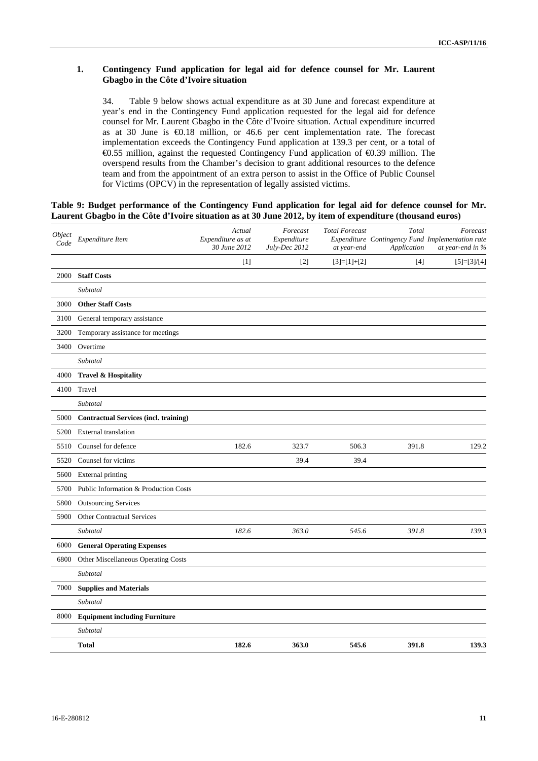#### **1. Contingency Fund application for legal aid for defence counsel for Mr. Laurent Gbagbo in the Côte d'Ivoire situation**

34. Table 9 below shows actual expenditure as at 30 June and forecast expenditure at year's end in the Contingency Fund application requested for the legal aid for defence counsel for Mr. Laurent Gbagbo in the Côte d'Ivoire situation. Actual expenditure incurred as at 30 June is €0.18 million, or 46.6 per cent implementation rate. The forecast implementation exceeds the Contingency Fund application at 139.3 per cent, or a total of €0.55 million, against the requested Contingency Fund application of €0.39 million. The overspend results from the Chamber's decision to grant additional resources to the defence team and from the appointment of an extra person to assist in the Office of Public Counsel for Victims (OPCV) in the representation of legally assisted victims.

#### **Table 9: Budget performance of the Contingency Fund application for legal aid for defence counsel for Mr. Laurent Gbagbo in the Côte d'Ivoire situation as at 30 June 2012, by item of expenditure (thousand euros)**

| Object<br>Code | Expenditure Item                             | Actual<br>Expenditure as at<br>30 June 2012 | Forecast<br>Expenditure<br>July-Dec 2012 | <b>Total Forecast</b><br>at year-end | Total<br>Application | Forecast<br>Expenditure Contingency Fund Implementation rate<br>at year-end in % |
|----------------|----------------------------------------------|---------------------------------------------|------------------------------------------|--------------------------------------|----------------------|----------------------------------------------------------------------------------|
|                |                                              | $[1]$                                       | $[2]$                                    | $[3]=[1]+[2]$                        |                      | $[5]=[3]/[4]$                                                                    |
| 2000           | <b>Staff Costs</b>                           |                                             |                                          |                                      |                      |                                                                                  |
|                | Subtotal                                     |                                             |                                          |                                      |                      |                                                                                  |
| 3000           | <b>Other Staff Costs</b>                     |                                             |                                          |                                      |                      |                                                                                  |
| 3100           | General temporary assistance                 |                                             |                                          |                                      |                      |                                                                                  |
| 3200           | Temporary assistance for meetings            |                                             |                                          |                                      |                      |                                                                                  |
| 3400           | Overtime                                     |                                             |                                          |                                      |                      |                                                                                  |
|                | Subtotal                                     |                                             |                                          |                                      |                      |                                                                                  |
| 4000           | Travel & Hospitality                         |                                             |                                          |                                      |                      |                                                                                  |
| 4100           | Travel                                       |                                             |                                          |                                      |                      |                                                                                  |
|                | Subtotal                                     |                                             |                                          |                                      |                      |                                                                                  |
| 5000           | <b>Contractual Services (incl. training)</b> |                                             |                                          |                                      |                      |                                                                                  |
| 5200           | <b>External</b> translation                  |                                             |                                          |                                      |                      |                                                                                  |
| 5510           | Counsel for defence                          | 182.6                                       | 323.7                                    | 506.3                                | 391.8                | 129.2                                                                            |
| 5520           | Counsel for victims                          |                                             | 39.4                                     | 39.4                                 |                      |                                                                                  |
| 5600           | <b>External printing</b>                     |                                             |                                          |                                      |                      |                                                                                  |
| 5700           | Public Information & Production Costs        |                                             |                                          |                                      |                      |                                                                                  |
| 5800           | <b>Outsourcing Services</b>                  |                                             |                                          |                                      |                      |                                                                                  |
| 5900           | <b>Other Contractual Services</b>            |                                             |                                          |                                      |                      |                                                                                  |
|                | Subtotal                                     | 182.6                                       | 363.0                                    | 545.6                                | 391.8                | 139.3                                                                            |
| 6000           | <b>General Operating Expenses</b>            |                                             |                                          |                                      |                      |                                                                                  |
| 6800           | Other Miscellaneous Operating Costs          |                                             |                                          |                                      |                      |                                                                                  |
|                | Subtotal                                     |                                             |                                          |                                      |                      |                                                                                  |
| 7000           | <b>Supplies and Materials</b>                |                                             |                                          |                                      |                      |                                                                                  |
|                | Subtotal                                     |                                             |                                          |                                      |                      |                                                                                  |
| 8000           | <b>Equipment including Furniture</b>         |                                             |                                          |                                      |                      |                                                                                  |
|                | Subtotal                                     |                                             |                                          |                                      |                      |                                                                                  |
|                | <b>Total</b>                                 | 182.6                                       | 363.0                                    | 545.6                                | 391.8                | 139.3                                                                            |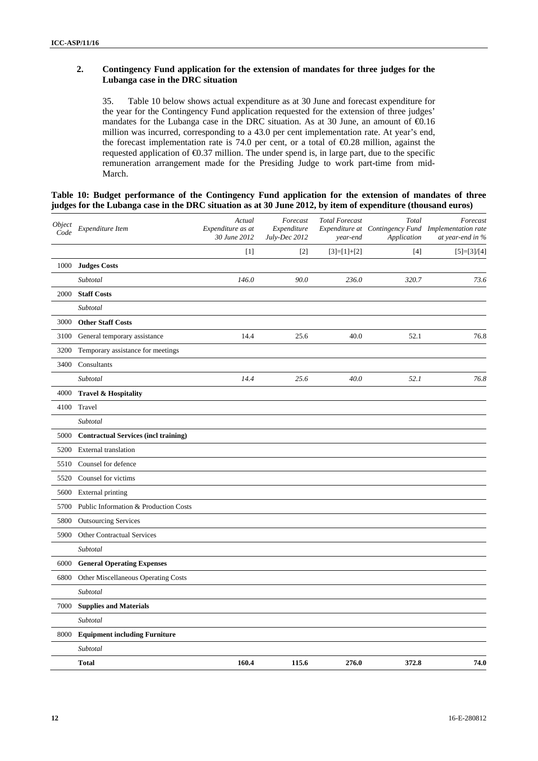#### **2. Contingency Fund application for the extension of mandates for three judges for the Lubanga case in the DRC situation**

35. Table 10 below shows actual expenditure as at 30 June and forecast expenditure for the year for the Contingency Fund application requested for the extension of three judges' mandates for the Lubanga case in the DRC situation. As at 30 June, an amount of  $\epsilon$ 0.16 million was incurred, corresponding to a 43.0 per cent implementation rate. At year's end, the forecast implementation rate is 74.0 per cent, or a total of  $\epsilon$ 0.28 million, against the requested application of €0.37 million. The under spend is, in large part, due to the specific remuneration arrangement made for the Presiding Judge to work part-time from mid-March.

#### **Table 10: Budget performance of the Contingency Fund application for the extension of mandates of three judges for the Lubanga case in the DRC situation as at 30 June 2012, by item of expenditure (thousand euros)**

| Object<br>Code | Expenditure Item                            | Actual<br>Expenditure as at<br>30 June 2012 | Forecast<br>Expenditure<br>July-Dec 2012 | <b>Total Forecast</b><br>year-end | Total<br>Application | Forecast<br>Expenditure at Contingency Fund Implementation rate<br>at year-end in % |
|----------------|---------------------------------------------|---------------------------------------------|------------------------------------------|-----------------------------------|----------------------|-------------------------------------------------------------------------------------|
|                |                                             | $[1]$                                       | $[2]$                                    | $[3]=[1]+[2]$                     | $[4]$                | $[5]=[3]/[4]$                                                                       |
| 1000           | <b>Judges Costs</b>                         |                                             |                                          |                                   |                      |                                                                                     |
|                | Subtotal                                    | 146.0                                       | 90.0                                     | 236.0                             | 320.7                | 73.6                                                                                |
| 2000           | <b>Staff Costs</b>                          |                                             |                                          |                                   |                      |                                                                                     |
|                | Subtotal                                    |                                             |                                          |                                   |                      |                                                                                     |
| 3000           | <b>Other Staff Costs</b>                    |                                             |                                          |                                   |                      |                                                                                     |
| 3100           | General temporary assistance                | 14.4                                        | 25.6                                     | 40.0                              | 52.1                 | 76.8                                                                                |
| 3200           | Temporary assistance for meetings           |                                             |                                          |                                   |                      |                                                                                     |
| 3400           | Consultants                                 |                                             |                                          |                                   |                      |                                                                                     |
|                | Subtotal                                    | 14.4                                        | 25.6                                     | 40.0                              | 52.1                 | 76.8                                                                                |
| 4000           | <b>Travel &amp; Hospitality</b>             |                                             |                                          |                                   |                      |                                                                                     |
| 4100           | Travel                                      |                                             |                                          |                                   |                      |                                                                                     |
|                | Subtotal                                    |                                             |                                          |                                   |                      |                                                                                     |
| 5000           | <b>Contractual Services (incl training)</b> |                                             |                                          |                                   |                      |                                                                                     |
| 5200           | <b>External</b> translation                 |                                             |                                          |                                   |                      |                                                                                     |
| 5510           | Counsel for defence                         |                                             |                                          |                                   |                      |                                                                                     |
| 5520           | Counsel for victims                         |                                             |                                          |                                   |                      |                                                                                     |
| 5600           | <b>External printing</b>                    |                                             |                                          |                                   |                      |                                                                                     |
| 5700           | Public Information & Production Costs       |                                             |                                          |                                   |                      |                                                                                     |
| 5800           | <b>Outsourcing Services</b>                 |                                             |                                          |                                   |                      |                                                                                     |
| 5900           | Other Contractual Services                  |                                             |                                          |                                   |                      |                                                                                     |
|                | Subtotal                                    |                                             |                                          |                                   |                      |                                                                                     |
| 6000           | <b>General Operating Expenses</b>           |                                             |                                          |                                   |                      |                                                                                     |
| 6800           | Other Miscellaneous Operating Costs         |                                             |                                          |                                   |                      |                                                                                     |
|                | Subtotal                                    |                                             |                                          |                                   |                      |                                                                                     |
| 7000           | <b>Supplies and Materials</b>               |                                             |                                          |                                   |                      |                                                                                     |
|                | Subtotal                                    |                                             |                                          |                                   |                      |                                                                                     |
| 8000           | <b>Equipment including Furniture</b>        |                                             |                                          |                                   |                      |                                                                                     |
|                | Subtotal                                    |                                             |                                          |                                   |                      |                                                                                     |
|                | <b>Total</b>                                | 160.4                                       | 115.6                                    | 276.0                             | 372.8                | 74.0                                                                                |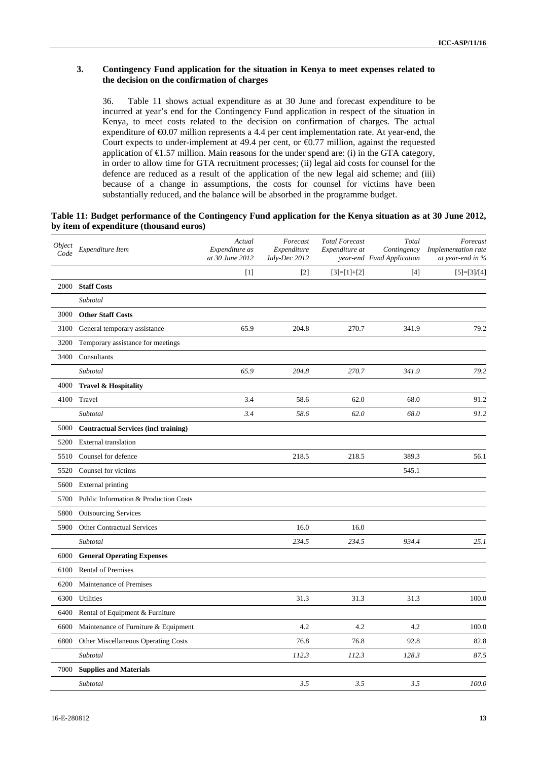#### **3. Contingency Fund application for the situation in Kenya to meet expenses related to the decision on the confirmation of charges**

36. Table 11 shows actual expenditure as at 30 June and forecast expenditure to be incurred at year's end for the Contingency Fund application in respect of the situation in Kenya, to meet costs related to the decision on confirmation of charges. The actual expenditure of €0.07 million represents a 4.4 per cent implementation rate. At year-end, the Court expects to under-implement at 49.4 per cent, or €0.77 million, against the requested application of  $\epsilon$ 1.57 million. Main reasons for the under spend are: (i) in the GTA category, in order to allow time for GTA recruitment processes; (ii) legal aid costs for counsel for the defence are reduced as a result of the application of the new legal aid scheme; and (iii) because of a change in assumptions, the costs for counsel for victims have been substantially reduced, and the balance will be absorbed in the programme budget.

| Table 11: Budget performance of the Contingency Fund application for the Kenya situation as at 30 June 2012, |  |  |
|--------------------------------------------------------------------------------------------------------------|--|--|
| by item of expenditure (thousand euros)                                                                      |  |  |

| Object<br>Code | Expenditure Item                            | Actual<br>Expenditure as<br>at 30 June 2012 | Forecast<br>Expenditure<br>July-Dec 2012 | <b>Total Forecast</b><br>Expenditure at | Total<br>Contingency<br>year-end Fund Application | Forecast<br>Implementation rate<br>at year-end in % |
|----------------|---------------------------------------------|---------------------------------------------|------------------------------------------|-----------------------------------------|---------------------------------------------------|-----------------------------------------------------|
|                |                                             | $[1]$                                       | $[2]$                                    | $[3]=[1]+[2]$                           | $[4]$                                             | $[5]=[3]/[4]$                                       |
| 2000           | <b>Staff Costs</b>                          |                                             |                                          |                                         |                                                   |                                                     |
|                | Subtotal                                    |                                             |                                          |                                         |                                                   |                                                     |
| 3000           | <b>Other Staff Costs</b>                    |                                             |                                          |                                         |                                                   |                                                     |
| 3100           | General temporary assistance                | 65.9                                        | 204.8                                    | 270.7                                   | 341.9                                             | 79.2                                                |
| 3200           | Temporary assistance for meetings           |                                             |                                          |                                         |                                                   |                                                     |
| 3400           | Consultants                                 |                                             |                                          |                                         |                                                   |                                                     |
|                | Subtotal                                    | 65.9                                        | 204.8                                    | 270.7                                   | 341.9                                             | 79.2                                                |
| 4000           | Travel & Hospitality                        |                                             |                                          |                                         |                                                   |                                                     |
| 4100           | Travel                                      | 3.4                                         | 58.6                                     | 62.0                                    | 68.0                                              | 91.2                                                |
|                | Subtotal                                    | 3.4                                         | 58.6                                     | 62.0                                    | 68.0                                              | 91.2                                                |
| 5000           | <b>Contractual Services (incl training)</b> |                                             |                                          |                                         |                                                   |                                                     |
| 5200           | <b>External translation</b>                 |                                             |                                          |                                         |                                                   |                                                     |
| 5510           | Counsel for defence                         |                                             | 218.5                                    | 218.5                                   | 389.3                                             | 56.1                                                |
| 5520           | Counsel for victims                         |                                             |                                          |                                         | 545.1                                             |                                                     |
| 5600           | <b>External printing</b>                    |                                             |                                          |                                         |                                                   |                                                     |
| 5700           | Public Information & Production Costs       |                                             |                                          |                                         |                                                   |                                                     |
| 5800           | <b>Outsourcing Services</b>                 |                                             |                                          |                                         |                                                   |                                                     |
| 5900           | Other Contractual Services                  |                                             | 16.0                                     | 16.0                                    |                                                   |                                                     |
|                | Subtotal                                    |                                             | 234.5                                    | 234.5                                   | 934.4                                             | 25.1                                                |
| 6000           | <b>General Operating Expenses</b>           |                                             |                                          |                                         |                                                   |                                                     |
| 6100           | <b>Rental of Premises</b>                   |                                             |                                          |                                         |                                                   |                                                     |
| 6200           | Maintenance of Premises                     |                                             |                                          |                                         |                                                   |                                                     |
| 6300           | Utilities                                   |                                             | 31.3                                     | 31.3                                    | 31.3                                              | 100.0                                               |
| 6400           | Rental of Equipment & Furniture             |                                             |                                          |                                         |                                                   |                                                     |
| 6600           | Maintenance of Furniture & Equipment        |                                             | 4.2                                      | 4.2                                     | 4.2                                               | 100.0                                               |
| 6800           | Other Miscellaneous Operating Costs         |                                             | 76.8                                     | 76.8                                    | 92.8                                              | 82.8                                                |
|                | Subtotal                                    |                                             | 112.3                                    | 112.3                                   | 128.3                                             | 87.5                                                |
| 7000           | <b>Supplies and Materials</b>               |                                             |                                          |                                         |                                                   |                                                     |
|                | Subtotal                                    |                                             | 3.5                                      | 3.5                                     | 3.5                                               | 100.0                                               |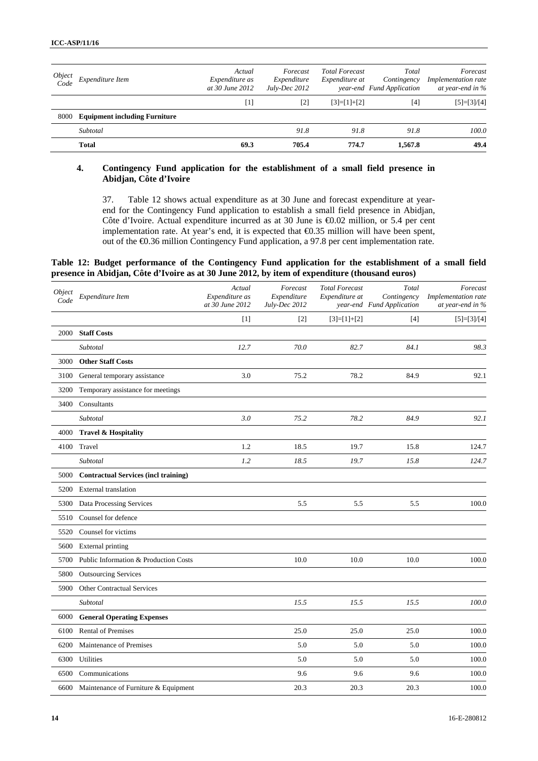|      | Object<br>Code Expenditure Item      | Actual<br>Expenditure as<br>at 30 June 2012 | Forecast<br>Expenditure<br>$July-Dec~2012$                                                                                                                     | <b>Total Forecast</b><br>Expenditure at | Total<br>Contingency<br>year-end Fund Application | Forecast<br><i>Implementation rate</i><br>at year-end in $\%$ |
|------|--------------------------------------|---------------------------------------------|----------------------------------------------------------------------------------------------------------------------------------------------------------------|-----------------------------------------|---------------------------------------------------|---------------------------------------------------------------|
|      |                                      | $[1]$                                       | $[2] % \includegraphics[width=0.9\columnwidth]{figures/fig_10.pdf} \caption{The figure shows the number of parameters in the left and right.} \label{fig:2} %$ | $[3]=[1]+[2]$                           | [4]                                               | $[5]=[3]/[4]$                                                 |
| 8000 | <b>Equipment including Furniture</b> |                                             |                                                                                                                                                                |                                         |                                                   |                                                               |
|      | Subtotal                             |                                             | 91.8                                                                                                                                                           | 91.8                                    | 91.8                                              | 100.0                                                         |
|      | <b>Total</b>                         | 69.3                                        | 705.4                                                                                                                                                          | 774.7                                   | 1.567.8                                           | 49.4                                                          |

#### **4. Contingency Fund application for the establishment of a small field presence in Abidjan, Côte d'Ivoire**

37. Table 12 shows actual expenditure as at 30 June and forecast expenditure at yearend for the Contingency Fund application to establish a small field presence in Abidjan, Côte d'Ivoire. Actual expenditure incurred as at 30 June is €0.02 million, or 5.4 per cent implementation rate. At year's end, it is expected that €0.35 million will have been spent, out of the €0.36 million Contingency Fund application, a 97.8 per cent implementation rate.

#### **Table 12: Budget performance of the Contingency Fund application for the establishment of a small field presence in Abidjan, Côte d'Ivoire as at 30 June 2012, by item of expenditure (thousand euros)**

| Object<br>Code | Expenditure Item                            | Actual<br>Expenditure as<br>at 30 June 2012 | Forecast<br>Expenditure<br>July-Dec 2012 | <b>Total Forecast</b><br>Expenditure at | Total<br>Contingency<br>year-end Fund Application | Forecast<br>Implementation rate<br>at year-end in % |
|----------------|---------------------------------------------|---------------------------------------------|------------------------------------------|-----------------------------------------|---------------------------------------------------|-----------------------------------------------------|
|                |                                             | $[1]$                                       | $[2]$                                    | $[3]=[1]+[2]$                           | $[4]$                                             | $[5]=[3]/[4]$                                       |
| 2000           | <b>Staff Costs</b>                          |                                             |                                          |                                         |                                                   |                                                     |
|                | Subtotal                                    | 12.7                                        | 70.0                                     | 82.7                                    | 84.1                                              | 98.3                                                |
| 3000           | <b>Other Staff Costs</b>                    |                                             |                                          |                                         |                                                   |                                                     |
| 3100           | General temporary assistance                | 3.0                                         | 75.2                                     | 78.2                                    | 84.9                                              | 92.1                                                |
| 3200           | Temporary assistance for meetings           |                                             |                                          |                                         |                                                   |                                                     |
| 3400           | Consultants                                 |                                             |                                          |                                         |                                                   |                                                     |
|                | Subtotal                                    | 3.0                                         | 75.2                                     | 78.2                                    | 84.9                                              | 92.1                                                |
| 4000           | Travel & Hospitality                        |                                             |                                          |                                         |                                                   |                                                     |
| 4100           | Travel                                      | 1.2                                         | 18.5                                     | 19.7                                    | 15.8                                              | 124.7                                               |
|                | Subtotal                                    | 1.2                                         | 18.5                                     | 19.7                                    | 15.8                                              | 124.7                                               |
| 5000           | <b>Contractual Services (incl training)</b> |                                             |                                          |                                         |                                                   |                                                     |
| 5200           | <b>External translation</b>                 |                                             |                                          |                                         |                                                   |                                                     |
| 5300           | Data Processing Services                    |                                             | 5.5                                      | 5.5                                     | 5.5                                               | 100.0                                               |
| 5510           | Counsel for defence                         |                                             |                                          |                                         |                                                   |                                                     |
| 5520           | Counsel for victims                         |                                             |                                          |                                         |                                                   |                                                     |
| 5600           | <b>External printing</b>                    |                                             |                                          |                                         |                                                   |                                                     |
| 5700           | Public Information & Production Costs       |                                             | 10.0                                     | 10.0                                    | 10.0                                              | 100.0                                               |
| 5800           | <b>Outsourcing Services</b>                 |                                             |                                          |                                         |                                                   |                                                     |
| 5900           | <b>Other Contractual Services</b>           |                                             |                                          |                                         |                                                   |                                                     |
|                | Subtotal                                    |                                             | 15.5                                     | 15.5                                    | 15.5                                              | 100.0                                               |
| 6000           | <b>General Operating Expenses</b>           |                                             |                                          |                                         |                                                   |                                                     |
| 6100           | <b>Rental of Premises</b>                   |                                             | 25.0                                     | 25.0                                    | 25.0                                              | 100.0                                               |
| 6200           | Maintenance of Premises                     |                                             | 5.0                                      | 5.0                                     | 5.0                                               | 100.0                                               |
| 6300           | Utilities                                   |                                             | 5.0                                      | 5.0                                     | 5.0                                               | 100.0                                               |
| 6500           | Communications                              |                                             | 9.6                                      | 9.6                                     | 9.6                                               | 100.0                                               |
| 6600           | Maintenance of Furniture & Equipment        |                                             | 20.3                                     | 20.3                                    | 20.3                                              | 100.0                                               |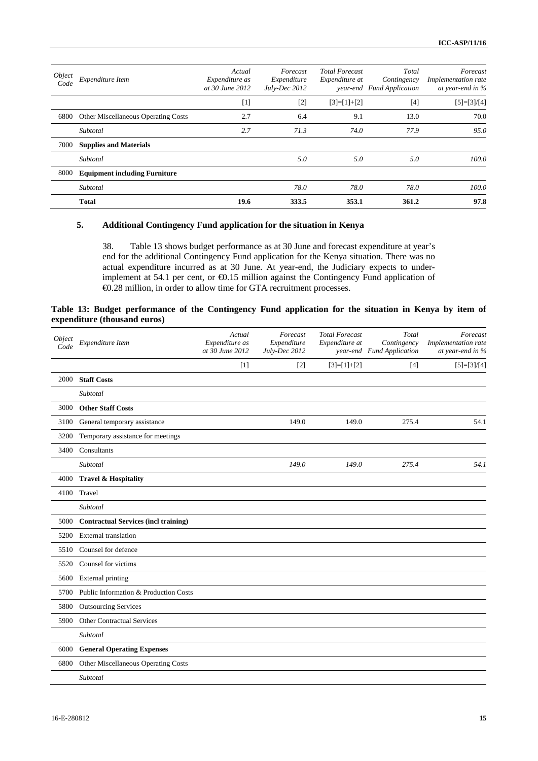| <i>Object</i><br>Code | Expenditure Item                           | Actual<br>Expenditure as<br>at 30 June 2012 | Forecast<br>Expenditure<br>July-Dec 2012 | <b>Total Forecast</b><br>Expenditure at | Total<br>Contingency<br>year-end Fund Application | Forecast<br>Implementation rate<br>at year-end in $\%$ |
|-----------------------|--------------------------------------------|---------------------------------------------|------------------------------------------|-----------------------------------------|---------------------------------------------------|--------------------------------------------------------|
|                       |                                            | $[1]$                                       | $[2]$                                    | $[3]=[1]+[2]$                           | $[4]$                                             | $[5]=[3]/[4]$                                          |
| 6800                  | <b>Other Miscellaneous Operating Costs</b> | 2.7                                         | 6.4                                      | 9.1                                     | 13.0                                              | 70.0                                                   |
|                       | Subtotal                                   | 2.7                                         | 71.3                                     | 74.0                                    | 77.9                                              | 95.0                                                   |
| 7000                  | <b>Supplies and Materials</b>              |                                             |                                          |                                         |                                                   |                                                        |
|                       | Subtotal                                   |                                             | 5.0                                      | 5.0                                     | 5.0                                               | 100.0                                                  |
| 8000                  | <b>Equipment including Furniture</b>       |                                             |                                          |                                         |                                                   |                                                        |
|                       | Subtotal                                   |                                             | 78.0                                     | 78.0                                    | 78.0                                              | 100.0                                                  |
|                       | <b>Total</b>                               | 19.6                                        | 333.5                                    | 353.1                                   | 361.2                                             | 97.8                                                   |

#### **5. Additional Contingency Fund application for the situation in Kenya**

38. Table 13 shows budget performance as at 30 June and forecast expenditure at year's end for the additional Contingency Fund application for the Kenya situation. There was no actual expenditure incurred as at 30 June. At year-end, the Judiciary expects to underimplement at 54.1 per cent, or €0.15 million against the Contingency Fund application of €0.28 million, in order to allow time for GTA recruitment processes.

#### **Table 13: Budget performance of the Contingency Fund application for the situation in Kenya by item of expenditure (thousand euros)**

| Object<br>Code | Expenditure Item                            | Actual<br>Expenditure as<br>at 30 June 2012 | Forecast<br>Expenditure<br>July-Dec 2012 | <b>Total Forecast</b><br>Expenditure at | Total<br>Contingency<br>year-end Fund Application | Forecast<br>Implementation rate<br>at year-end in % |
|----------------|---------------------------------------------|---------------------------------------------|------------------------------------------|-----------------------------------------|---------------------------------------------------|-----------------------------------------------------|
|                |                                             | $[1]$                                       | $[2]$                                    | $[3]=[1]+[2]$                           | $[4]$                                             | $[5]=[3]/[4]$                                       |
| 2000           | <b>Staff Costs</b>                          |                                             |                                          |                                         |                                                   |                                                     |
|                | Subtotal                                    |                                             |                                          |                                         |                                                   |                                                     |
| 3000           | <b>Other Staff Costs</b>                    |                                             |                                          |                                         |                                                   |                                                     |
| 3100           | General temporary assistance                |                                             | 149.0                                    | 149.0                                   | 275.4                                             | 54.1                                                |
| 3200           | Temporary assistance for meetings           |                                             |                                          |                                         |                                                   |                                                     |
| 3400           | Consultants                                 |                                             |                                          |                                         |                                                   |                                                     |
|                | Subtotal                                    |                                             | 149.0                                    | 149.0                                   | 275.4                                             | 54.1                                                |
| 4000           | <b>Travel &amp; Hospitality</b>             |                                             |                                          |                                         |                                                   |                                                     |
| 4100           | Travel                                      |                                             |                                          |                                         |                                                   |                                                     |
|                | Subtotal                                    |                                             |                                          |                                         |                                                   |                                                     |
| 5000           | <b>Contractual Services (incl training)</b> |                                             |                                          |                                         |                                                   |                                                     |
| 5200           | <b>External translation</b>                 |                                             |                                          |                                         |                                                   |                                                     |
| 5510           | Counsel for defence                         |                                             |                                          |                                         |                                                   |                                                     |
| 5520           | Counsel for victims                         |                                             |                                          |                                         |                                                   |                                                     |
| 5600           | External printing                           |                                             |                                          |                                         |                                                   |                                                     |
| 5700           | Public Information & Production Costs       |                                             |                                          |                                         |                                                   |                                                     |
| 5800           | <b>Outsourcing Services</b>                 |                                             |                                          |                                         |                                                   |                                                     |
| 5900           | <b>Other Contractual Services</b>           |                                             |                                          |                                         |                                                   |                                                     |
|                | Subtotal                                    |                                             |                                          |                                         |                                                   |                                                     |
| 6000           | <b>General Operating Expenses</b>           |                                             |                                          |                                         |                                                   |                                                     |
|                | 6800 Other Miscellaneous Operating Costs    |                                             |                                          |                                         |                                                   |                                                     |
|                | Subtotal                                    |                                             |                                          |                                         |                                                   |                                                     |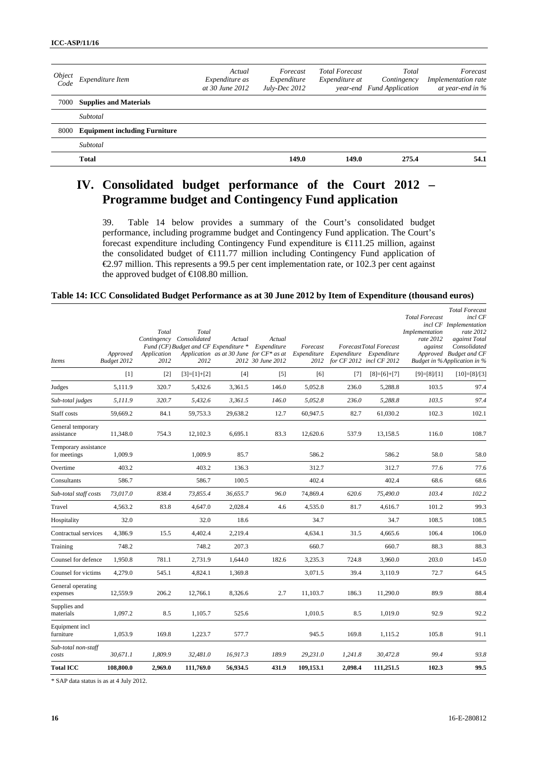| Object<br>Code | Expenditure Item                     | Actual<br><i>Expenditure as</i><br>at 30 June 2012 | Forecast<br>Expenditure<br>$July-Dec~2012$ | <b>Total Forecast</b><br>Expenditure at | Total<br>Contingency<br>year-end Fund Application | Forecast<br>Implementation rate<br>at year-end in % |
|----------------|--------------------------------------|----------------------------------------------------|--------------------------------------------|-----------------------------------------|---------------------------------------------------|-----------------------------------------------------|
|                | 7000 Supplies and Materials          |                                                    |                                            |                                         |                                                   |                                                     |
|                | Subtotal                             |                                                    |                                            |                                         |                                                   |                                                     |
| 8000           | <b>Equipment including Furniture</b> |                                                    |                                            |                                         |                                                   |                                                     |
|                | Subtotal                             |                                                    |                                            |                                         |                                                   |                                                     |
|                | <b>Total</b>                         |                                                    | 149.0                                      | 149.0                                   | 275.4                                             | 54.1                                                |
|                |                                      |                                                    |                                            |                                         |                                                   |                                                     |

# **IV. Consolidated budget performance of the Court 2012 – Programme budget and Contingency Fund application**

39. Table 14 below provides a summary of the Court's consolidated budget performance, including programme budget and Contingency Fund application. The Court's forecast expenditure including Contingency Fund expenditure is €111.25 million, against the consolidated budget of €111.77 million including Contingency Fund application of  $\epsilon$ 2.97 million. This represents a 99.5 per cent implementation rate, or 102.3 per cent against the approved budget of  $€108.80$  million.

#### **Table 14: ICC Consolidated Budget Performance as at 30 June 2012 by Item of Expenditure (thousand euros)**

| <b>Total ICC</b>                     | 108,800.0               | 2,969.0                      | 111,769.0                                                                          | 56,934.5 | 431.9                                                                                    | 109,153.1                       | 2,098.4 | 111,251.5                                                                     | 102.3                                                           | 99.5                                                                                                                                                                     |
|--------------------------------------|-------------------------|------------------------------|------------------------------------------------------------------------------------|----------|------------------------------------------------------------------------------------------|---------------------------------|---------|-------------------------------------------------------------------------------|-----------------------------------------------------------------|--------------------------------------------------------------------------------------------------------------------------------------------------------------------------|
| Sub-total non-staff<br>costs         | 30,671.1                | 1,809.9                      | 32,481.0                                                                           | 16,917.3 | 189.9                                                                                    | 29,231.0                        | 1,241.8 | 30,472.8                                                                      | 99.4                                                            | 93.8                                                                                                                                                                     |
| Equipment incl<br>furniture          | 1,053.9                 | 169.8                        | 1.223.7                                                                            | 577.7    |                                                                                          | 945.5                           | 169.8   | 1,115.2                                                                       | 105.8                                                           | 91.1                                                                                                                                                                     |
| Supplies and<br>materials            | 1,097.2                 | 8.5                          | 1,105.7                                                                            | 525.6    |                                                                                          | 1,010.5                         | 8.5     | 1,019.0                                                                       | 92.9                                                            | 92.2                                                                                                                                                                     |
| General operating<br>expenses        | 12,559.9                | 206.2                        | 12,766.1                                                                           | 8,326.6  | 2.7                                                                                      | 11,103.7                        | 186.3   | 11,290.0                                                                      | 89.9                                                            | 88.4                                                                                                                                                                     |
| Counsel for victims                  | 4,279.0                 | 545.1                        | 4,824.1                                                                            | 1,369.8  |                                                                                          | 3,071.5                         | 39.4    | 3,110.9                                                                       | 72.7                                                            | 64.5                                                                                                                                                                     |
| Counsel for defence                  | 1,950.8                 | 781.1                        | 2,731.9                                                                            | 1,644.0  | 182.6                                                                                    | 3,235.3                         | 724.8   | 3,960.0                                                                       | 203.0                                                           | 145.0                                                                                                                                                                    |
| Training                             | 748.2                   |                              | 748.2                                                                              | 207.3    |                                                                                          | 660.7                           |         | 660.7                                                                         | 88.3                                                            | 88.3                                                                                                                                                                     |
| Contractual services                 | 4,386.9                 | 15.5                         | 4,402.4                                                                            | 2,219.4  |                                                                                          | 4,634.1                         | 31.5    | 4,665.6                                                                       | 106.4                                                           | 106.0                                                                                                                                                                    |
| Hospitality                          | 32.0                    |                              | 32.0                                                                               | 18.6     |                                                                                          | 34.7                            |         | 34.7                                                                          | 108.5                                                           | 108.5                                                                                                                                                                    |
| Travel                               | 4,563.2                 | 83.8                         | 4,647.0                                                                            | 2,028.4  | 4.6                                                                                      | 4,535.0                         | 81.7    | 4,616.7                                                                       | 101.2                                                           | 99.3                                                                                                                                                                     |
| Sub-total staff costs                | 73,017.0                | 838.4                        | 73,855.4                                                                           | 36,655.7 | 96.0                                                                                     | 74,869.4                        | 620.6   | 75,490.0                                                                      | 103.4                                                           | 102.2                                                                                                                                                                    |
| Consultants                          | 586.7                   |                              | 586.7                                                                              | 100.5    |                                                                                          | 402.4                           |         | 402.4                                                                         | 68.6                                                            | 68.6                                                                                                                                                                     |
| Overtime                             | 403.2                   |                              | 403.2                                                                              | 136.3    |                                                                                          | 312.7                           |         | 312.7                                                                         | 77.6                                                            | 77.6                                                                                                                                                                     |
| Temporary assistance<br>for meetings | 1,009.9                 |                              | 1,009.9                                                                            | 85.7     |                                                                                          | 586.2                           |         | 586.2                                                                         | 58.0                                                            | 58.0                                                                                                                                                                     |
| General temporary<br>assistance      | 11.348.0                | 754.3                        | 12,102.3                                                                           | 6.695.1  | 83.3                                                                                     | 12,620.6                        | 537.9   | 13.158.5                                                                      | 116.0                                                           | 108.7                                                                                                                                                                    |
| Staff costs                          | 59,669.2                | 84.1                         | 59,753.3                                                                           | 29,638.2 | 12.7                                                                                     | 60,947.5                        | 82.7    | 61,030.2                                                                      | 102.3                                                           | 102.1                                                                                                                                                                    |
| Sub-total judges                     | 5,111.9                 | 320.7                        | 5,432.6                                                                            | 3,361.5  | 146.0                                                                                    | 5,052.8                         | 236.0   | 5,288.8                                                                       | 103.5                                                           | 97.4                                                                                                                                                                     |
| Judges                               | 5,111.9                 | 320.7                        | 5,432.6                                                                            | 3,361.5  | 146.0                                                                                    | 5,052.8                         | 236.0   | 5,288.8                                                                       | 103.5                                                           | 97.4                                                                                                                                                                     |
|                                      | $[1]$                   | $[2]$                        | $[3]=[1]+[2]$                                                                      | [4]      | $[5]$                                                                                    | [6]                             | $[7]$   | $[8]=[6]+[7]$                                                                 | $[9]=[8]/[1]$                                                   | $[10]=[8]/[3]$                                                                                                                                                           |
| Items                                | Approved<br>Budget 2012 | Total<br>Application<br>2012 | Total<br>Contingency Consolidated<br>Fund (CF) Budget and CF Expenditure *<br>2012 | Actual   | Actual<br>Expenditure<br>Application as at 30 June for $CF^*$ as at<br>2012 30 June 2012 | Forecast<br>Expenditure<br>2012 |         | ForecastTotal Forecast<br>Expenditure Expenditure<br>for CF 2012 incl CF 2012 | <b>Total Forecast</b><br>Implementation<br>rate 2012<br>against | <b>Total Forecast</b><br>incl CF<br>incl CF Implementation<br>rate 2012<br>against Total<br>Consolidated<br>Approved Budget and CF<br><b>Budget in %Application in %</b> |

\* SAP data status is as at 4 July 2012.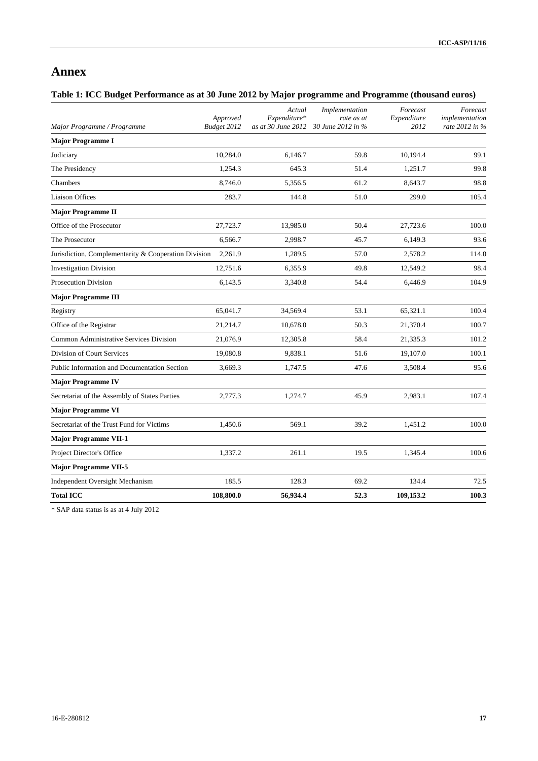# **Annex**

# **Table 1: ICC Budget Performance as at 30 June 2012 by Major programme and Programme (thousand euros)**

| Major Programme / Programme                          | Approved<br>Budget 2012 | Actual<br>Expenditure*<br>as at 30 June 2012 | Implementation<br>rate as at<br>30 June 2012 in % | Forecast<br>Expenditure<br>2012 | Forecast<br>implementation<br>rate 2012 in % |
|------------------------------------------------------|-------------------------|----------------------------------------------|---------------------------------------------------|---------------------------------|----------------------------------------------|
| <b>Major Programme I</b>                             |                         |                                              |                                                   |                                 |                                              |
| Judiciary                                            | 10,284.0                | 6,146.7                                      | 59.8                                              | 10,194.4                        | 99.1                                         |
| The Presidency                                       | 1,254.3                 | 645.3                                        | 51.4                                              | 1,251.7                         | 99.8                                         |
| Chambers                                             | 8.746.0                 | 5,356.5                                      | 61.2                                              | 8.643.7                         | 98.8                                         |
| <b>Liaison Offices</b>                               | 283.7                   | 144.8                                        | 51.0                                              | 299.0                           | 105.4                                        |
| <b>Major Programme II</b>                            |                         |                                              |                                                   |                                 |                                              |
| Office of the Prosecutor                             | 27,723.7                | 13,985.0                                     | 50.4                                              | 27,723.6                        | 100.0                                        |
| The Prosecutor                                       | 6,566.7                 | 2,998.7                                      | 45.7                                              | 6,149.3                         | 93.6                                         |
| Jurisdiction, Complementarity & Cooperation Division | 2,261.9                 | 1,289.5                                      | 57.0                                              | 2,578.2                         | 114.0                                        |
| <b>Investigation Division</b>                        | 12,751.6                | 6,355.9                                      | 49.8                                              | 12,549.2                        | 98.4                                         |
| <b>Prosecution Division</b>                          | 6,143.5                 | 3,340.8                                      | 54.4                                              | 6,446.9                         | 104.9                                        |
| <b>Major Programme III</b>                           |                         |                                              |                                                   |                                 |                                              |
| Registry                                             | 65,041.7                | 34,569.4                                     | 53.1                                              | 65,321.1                        | 100.4                                        |
| Office of the Registrar                              | 21,214.7                | 10,678.0                                     | 50.3                                              | 21,370.4                        | 100.7                                        |
| Common Administrative Services Division              | 21,076.9                | 12,305.8                                     | 58.4                                              | 21,335.3                        | 101.2                                        |
| Division of Court Services                           | 19,080.8                | 9,838.1                                      | 51.6                                              | 19,107.0                        | 100.1                                        |
| Public Information and Documentation Section         | 3,669.3                 | 1,747.5                                      | 47.6                                              | 3,508.4                         | 95.6                                         |
| <b>Major Programme IV</b>                            |                         |                                              |                                                   |                                 |                                              |
| Secretariat of the Assembly of States Parties        | 2,777.3                 | 1,274.7                                      | 45.9                                              | 2,983.1                         | 107.4                                        |
| <b>Major Programme VI</b>                            |                         |                                              |                                                   |                                 |                                              |
| Secretariat of the Trust Fund for Victims            | 1,450.6                 | 569.1                                        | 39.2                                              | 1,451.2                         | 100.0                                        |
| <b>Major Programme VII-1</b>                         |                         |                                              |                                                   |                                 |                                              |
| Project Director's Office                            | 1,337.2                 | 261.1                                        | 19.5                                              | 1,345.4                         | 100.6                                        |
| <b>Major Programme VII-5</b>                         |                         |                                              |                                                   |                                 |                                              |
| Independent Oversight Mechanism                      | 185.5                   | 128.3                                        | 69.2                                              | 134.4                           | 72.5                                         |
| <b>Total ICC</b>                                     | 108,800.0               | 56,934.4                                     | 52.3                                              | 109,153.2                       | 100.3                                        |

\* SAP data status is as at 4 July 2012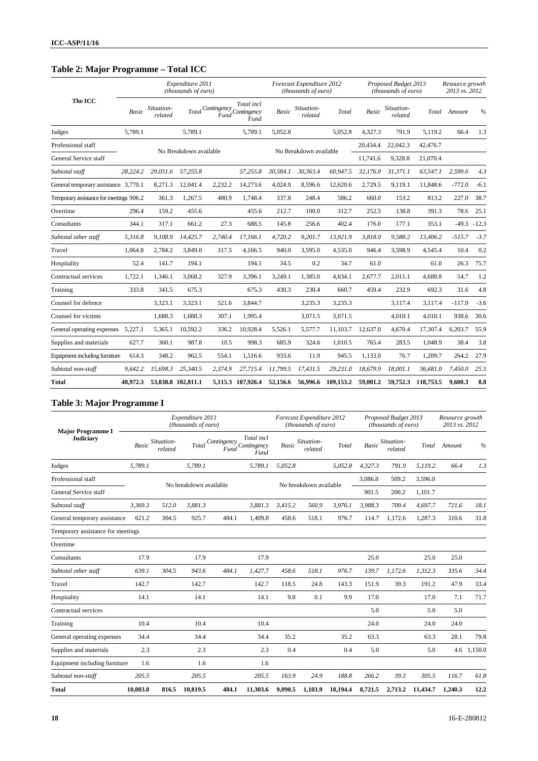# **Table 2: Major Programme – Total ICC**

|                                         |              |                       | Expenditure 2011<br>(thousands of euro) |             |                                        |                        | Forecast Expenditure 2012<br>(thousands of euro) |                    |          | Proposed Budget 2013<br>(thousands of euro) |           | Resource growth<br>2013 vs. 2012 |               |
|-----------------------------------------|--------------|-----------------------|-----------------------------------------|-------------|----------------------------------------|------------------------|--------------------------------------------------|--------------------|----------|---------------------------------------------|-----------|----------------------------------|---------------|
| The ICC                                 | <b>Basic</b> | Situation-<br>related | Total                                   | Contingency | Total incl<br>Fund Contingency<br>Fund | Basic                  | Situation-<br>related                            | Total              | Basic    | Situation-<br>related                       | Total     | Amount                           | $\frac{0}{0}$ |
| Judges                                  | 5,789.1      |                       | 5,789.1                                 |             | 5,789.1                                | 5,052.8                |                                                  | 5,052.8            | 4,327.3  | 791.9                                       | 5,119.2   | 66.4                             | 1.3           |
| Professional staff                      |              |                       | No Breakdown available                  |             |                                        |                        |                                                  |                    | 20,434.4 | 22,042.3                                    | 42,476.7  |                                  |               |
| General Service staff                   |              |                       |                                         |             |                                        | No Breakdown available |                                                  |                    | 11,741.6 | 9,328.8                                     | 21,070.4  |                                  |               |
| Subtotal staff                          | 28.224.2     | 29.031.6              | 57.255.8                                |             | 57.255.8                               | 30,584.1               | 30.363.4                                         | 60.947.5           | 32,176.0 | 31.371.1                                    | 63,547.1  | 2.599.6                          | 4.3           |
| General temporary assistance 3,770.1    |              | 8,271.3               | 12,041.4                                | 2.232.2     | 14,273.6                               | 4,024.0                | 8,596.6                                          | 12,620.6           | 2,729.5  | 9,119.1                                     | 11,848.6  | $-772.0$                         | $-6.1$        |
| Temporary assistance for meetings 906.2 |              | 361.3                 | 1,267.5                                 | 480.9       | 1,748.4                                | 337.8                  | 248.4                                            | 586.2              | 660.0    | 153.2                                       | 813.2     | 227.0                            | 38.7          |
| Overtime                                | 296.4        | 159.2                 | 455.6                                   |             | 455.6                                  | 212.7                  | 100.0                                            | 312.7              | 252.5    | 138.8                                       | 391.3     | 78.6                             | 25.1          |
| Consultants                             | 344.1        | 317.1                 | 661.2                                   | 27.3        | 688.5                                  | 145.8                  | 256.6                                            | 402.4              | 176.0    | 177.1                                       | 353.1     | $-49.3$                          | $-12.3$       |
| Subtotal other staff                    | 5.316.8      | 9.108.9               | 14.425.7                                | 2.740.4     | 17.166.1                               | 4.720.2                | 9.201.7                                          | 13.921.9           | 3.818.0  | 9.588.2                                     | 13,406.2  | $-515.7$                         | $-3.7$        |
| Travel                                  | 1,064.8      | 2,784.2               | 3,849.0                                 | 317.5       | 4,166.5                                | 940.0                  | 3,595.0                                          | 4,535.0            | 946.4    | 3.598.9                                     | 4,545.4   | 10.4                             | 0.2           |
| Hospitality                             | 52.4         | 141.7                 | 194.1                                   |             | 194.1                                  | 34.5                   | 0.2                                              | 34.7               | 61.0     |                                             | 61.0      | 26.3                             | 75.7          |
| Contractual services                    | 1,722.1      | 1,346.1               | 3,068.2                                 | 327.9       | 3,396.1                                | 3,249.1                | 1,385.0                                          | 4,634.1            | 2,677.7  | 2,011.1                                     | 4,688.8   | 54.7                             | 1.2           |
| Training                                | 333.8        | 341.5                 | 675.3                                   |             | 675.3                                  | 430.3                  | 230.4                                            | 660.7              | 459.4    | 232.9                                       | 692.3     | 31.6                             | 4.8           |
| Counsel for defence                     |              | 3,323.1               | 3,323.1                                 | 521.6       | 3,844.7                                |                        | 3,235.3                                          | 3,235.3            |          | 3,117.4                                     | 3,117.4   | $-117.9$                         | $-3.6$        |
| Counsel for victims                     |              | 1,688.3               | 1,688.3                                 | 307.1       | 1,995.4                                |                        | 3,071.5                                          | 3,071.5            |          | 4,010.1                                     | 4,010.1   | 938.6                            | 30.6          |
| General operating expenses              | 5,227.1      | 5,365.1               | 10,592.2                                | 336.2       | 10,928.4                               | 5,526.1                | 5,577.7                                          | 11.103.7           | 12,637.0 | 4.670.4                                     | 17,307.4  | 6,203.7                          | 55.9          |
| Supplies and materials                  | 627.7        | 360.1                 | 987.8                                   | 10.5        | 998.3                                  | 685.9                  | 324.6                                            | 1,010.5            | 765.4    | 283.5                                       | 1,048.9   | 38.4                             | 3.8           |
| Equipment including furniture           | 614.3        | 348.2                 | 962.5                                   | 554.1       | 1,516.6                                | 933.6                  | 11.9                                             | 945.5              | 1,133.0  | 76.7                                        | 1,209.7   | 264.2                            | 27.9          |
| Subtotal non-staff                      | 9.642.2      | 15,698.3              | 25,340.5                                | 2.374.9     | 27.715.4                               | 11.799.5               | 17.431.5                                         | 29,231.0           | 18,679.9 | 18,001.1                                    | 36,681.0  | 7,450.0                          | 25.5          |
| <b>Total</b>                            | 48,972.3     |                       | 53,838.8 102,811.1                      |             | 5,115.3 107,926.4                      | 52,156.6               |                                                  | 56,996.6 109,153.2 | 59,001.2 | 59,752.3                                    | 118,753.5 | 9,600.3                          | 8.8           |

# **Table 3: Major Programme I**

| <b>Major Programme I</b>          |          |                       | Expenditure 2011<br>(thousands of euro) |                     |                                   |         | Forecast Expenditure 2012<br>(thousands of euro) |          |              | Proposed Budget 2013<br>(thousands of euro) |          | Resource growth<br>2013 vs. 2012 |               |
|-----------------------------------|----------|-----------------------|-----------------------------------------|---------------------|-----------------------------------|---------|--------------------------------------------------|----------|--------------|---------------------------------------------|----------|----------------------------------|---------------|
| <b>Judiciary</b>                  | Basic    | Situation-<br>related | Total                                   | Contingency<br>Fund | Total incl<br>Contingency<br>Fund | Basic   | Situation-<br>related                            | Total    | <b>Basic</b> | Situation-<br>related                       | Total    | Amount                           | $\frac{0}{0}$ |
| Judges                            | 5.789.1  |                       | 5.789.1                                 |                     | 5,789.1                           | 5.052.8 |                                                  | 5.052.8  | 4.327.3      | 791.9                                       | 5.119.2  | 66.4                             | 1.3           |
| Professional staff                |          |                       |                                         |                     |                                   |         |                                                  |          | 3,086.8      | 509.2                                       | 3,596.0  |                                  |               |
| General Service staff             |          |                       | No breakdown available                  |                     |                                   |         | No breakdown available                           |          | 901.5        | 200.2                                       | 1,101.7  |                                  |               |
| Subtotal staff                    | 3,369.3  | 512.0                 | 3.881.3                                 |                     | 3,881.3                           | 3.415.2 | 560.9                                            | 3,976.1  | 3.988.3      | 709.4                                       | 4.697.7  | 721.6                            | 18.1          |
| General temporary assistance      | 621.2    | 304.5                 | 925.7                                   | 484.1               | 1,409.8                           | 458.6   | 518.1                                            | 976.7    | 114.7        | 1,172.6                                     | 1,287.3  | 310.6                            | 31.8          |
| Temporary assistance for meetings |          |                       |                                         |                     |                                   |         |                                                  |          |              |                                             |          |                                  |               |
| Overtime                          |          |                       |                                         |                     |                                   |         |                                                  |          |              |                                             |          |                                  |               |
| Consultants                       | 17.9     |                       | 17.9                                    |                     | 17.9                              |         |                                                  |          | 25.0         |                                             | 25.0     | 25.0                             |               |
| Subtotal other staff              | 639.1    | 304.5                 | 943.6                                   | 484.1               | 1,427.7                           | 458.6   | 518.1                                            | 976.7    | 139.7        | 1,172.6                                     | 1,312.3  | 335.6                            | 34.4          |
| Travel                            | 142.7    |                       | 142.7                                   |                     | 142.7                             | 118.5   | 24.8                                             | 143.3    | 151.9        | 39.3                                        | 191.2    | 47.9                             | 33.4          |
| Hospitality                       | 14.1     |                       | 14.1                                    |                     | 14.1                              | 9.8     | 0.1                                              | 9.9      | 17.0         |                                             | 17.0     | 7.1                              | 71.7          |
| Contractual services              |          |                       |                                         |                     |                                   |         |                                                  |          | 5.0          |                                             | 5.0      | 5.0                              |               |
| Training                          | 10.4     |                       | 10.4                                    |                     | 10.4                              |         |                                                  |          | 24.0         |                                             | 24.0     | 24.0                             |               |
| General operating expenses        | 34.4     |                       | 34.4                                    |                     | 34.4                              | 35.2    |                                                  | 35.2     | 63.3         |                                             | 63.3     | 28.1                             | 79.8          |
| Supplies and materials            | 2.3      |                       | 2.3                                     |                     | 2.3                               | 0.4     |                                                  | 0.4      | 5.0          |                                             | 5.0      |                                  | 4.6 1,150.0   |
| Equipment including furniture     | 1.6      |                       | 1.6                                     |                     | 1.6                               |         |                                                  |          |              |                                             |          |                                  |               |
| Subtotal non-staff                | 205.5    |                       | 205.5                                   |                     | 205.5                             | 163.9   | 24.9                                             | 188.8    | 266.2        | 39.3                                        | 305.5    | 116.7                            | 61.8          |
| <b>Total</b>                      | 10,003.0 | 816.5                 | 10.819.5                                | 484.1               | 11.303.6                          | 9,090.5 | 1,103.9                                          | 10.194.4 | 8,721.5      | 2,713.2                                     | 11.434.7 | 1.240.3                          | 12.2          |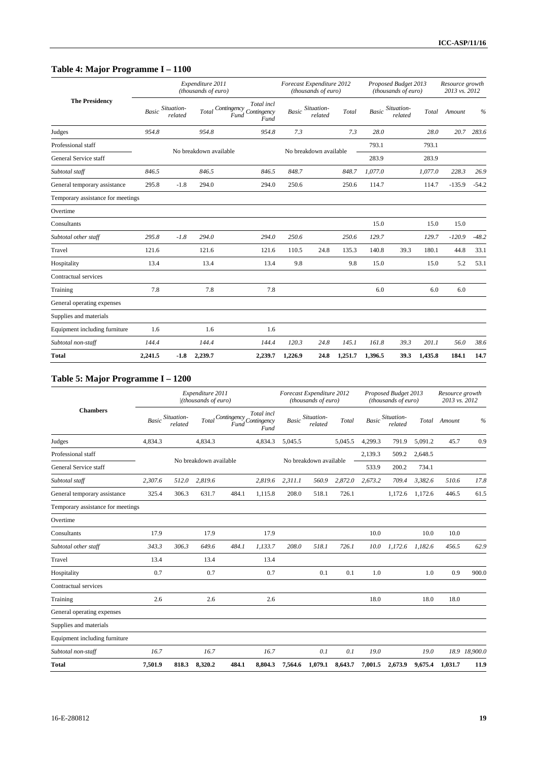# **Table 4: Major Programme I – 1100**

|                                   |              |                       | Expenditure 2011<br>(thousands of euro) |                                                              |              | Forecast Expenditure 2012<br>(thousands of euro) |         |         | Proposed Budget 2013<br>(thousands of euro) |         | Resource growth<br>2013 vs. 2012 |               |
|-----------------------------------|--------------|-----------------------|-----------------------------------------|--------------------------------------------------------------|--------------|--------------------------------------------------|---------|---------|---------------------------------------------|---------|----------------------------------|---------------|
| <b>The Presidency</b>             | <b>Basic</b> | Situation-<br>related | Total                                   | Total incl<br>Contingency Contingency<br><b>Fund</b><br>Fund | <b>Basic</b> | Situation-<br>related                            | Total   | Basic   | Situation-<br>related                       | Total   | Amount                           | $\frac{0}{6}$ |
| Judges                            | 954.8        |                       | 954.8                                   | 954.8                                                        | 7.3          |                                                  | 7.3     | 28.0    |                                             | 28.0    | 20.7                             | 283.6         |
| Professional staff                |              |                       | No breakdown available                  |                                                              |              | No breakdown available                           |         | 793.1   |                                             | 793.1   |                                  |               |
| General Service staff             |              |                       |                                         |                                                              |              |                                                  |         | 283.9   |                                             | 283.9   |                                  |               |
| Subtotal staff                    | 846.5        |                       | 846.5                                   | 846.5                                                        | 848.7        |                                                  | 848.7   | 1,077.0 |                                             | 1,077.0 | 228.3                            | 26.9          |
| General temporary assistance      | 295.8        | $-1.8$                | 294.0                                   | 294.0                                                        | 250.6        |                                                  | 250.6   | 114.7   |                                             | 114.7   | $-135.9$                         | $-54.2$       |
| Temporary assistance for meetings |              |                       |                                         |                                                              |              |                                                  |         |         |                                             |         |                                  |               |
| Overtime                          |              |                       |                                         |                                                              |              |                                                  |         |         |                                             |         |                                  |               |
| Consultants                       |              |                       |                                         |                                                              |              |                                                  |         | 15.0    |                                             | 15.0    | 15.0                             |               |
| Subtotal other staff              | 295.8        | $-1.8$                | 294.0                                   | 294.0                                                        | 250.6        |                                                  | 250.6   | 129.7   |                                             | 129.7   | $-120.9$                         | $-48.2$       |
| Travel                            | 121.6        |                       | 121.6                                   | 121.6                                                        | 110.5        | 24.8                                             | 135.3   | 140.8   | 39.3                                        | 180.1   | 44.8                             | 33.1          |
| Hospitality                       | 13.4         |                       | 13.4                                    | 13.4                                                         | 9.8          |                                                  | 9.8     | 15.0    |                                             | 15.0    | 5.2                              | 53.1          |
| Contractual services              |              |                       |                                         |                                                              |              |                                                  |         |         |                                             |         |                                  |               |
| Training                          | 7.8          |                       | 7.8                                     | 7.8                                                          |              |                                                  |         | 6.0     |                                             | 6.0     | 6.0                              |               |
| General operating expenses        |              |                       |                                         |                                                              |              |                                                  |         |         |                                             |         |                                  |               |
| Supplies and materials            |              |                       |                                         |                                                              |              |                                                  |         |         |                                             |         |                                  |               |
| Equipment including furniture     | 1.6          |                       | 1.6                                     | 1.6                                                          |              |                                                  |         |         |                                             |         |                                  |               |
| Subtotal non-staff                | 144.4        |                       | 144.4                                   | 144.4                                                        | 120.3        | 24.8                                             | 145.1   | 161.8   | 39.3                                        | 201.1   | 56.0                             | 38.6          |
| <b>Total</b>                      | 2,241.5      | $-1.8$                | 2,239.7                                 | 2,239.7                                                      | 1,226.9      | 24.8                                             | 1,251.7 | 1,396.5 | 39.3                                        | 1,435.8 | 184.1                            | 14.7          |

# **Table 5: Major Programme I – 1200**

|                                   |         |                                    | Expenditure 2011<br>/(thousands of euro) |                                       |                    |         | Forecast Expenditure 2012<br>(thousands of euro) |         |              | Proposed Budget 2013<br>(thousands of euro) |         | Resource growth<br>2013 vs. 2012 |               |
|-----------------------------------|---------|------------------------------------|------------------------------------------|---------------------------------------|--------------------|---------|--------------------------------------------------|---------|--------------|---------------------------------------------|---------|----------------------------------|---------------|
| <b>Chambers</b>                   |         | <b>Basic Situation-</b><br>related |                                          | Total Contingency Contingency<br>Fund | Total incl<br>Fund | Basic   | Situation-<br>related                            | Total   | <b>Basic</b> | Situation-<br>related                       | Total   | Amount                           | $\frac{0}{0}$ |
| Judges                            | 4.834.3 |                                    | 4,834.3                                  |                                       | 4,834.3            | 5,045.5 |                                                  | 5,045.5 | 4,299.3      | 791.9                                       | 5.091.2 | 45.7                             | 0.9           |
| Professional staff                |         |                                    | No breakdown available                   |                                       |                    |         | No breakdown available                           |         | 2,139.3      | 509.2                                       | 2,648.5 |                                  |               |
| General Service staff             |         |                                    |                                          |                                       |                    |         |                                                  |         | 533.9        | 200.2                                       | 734.1   |                                  |               |
| Subtotal staff                    | 2,307.6 | 512.0                              | 2,819.6                                  |                                       | 2,819.6            | 2,311.1 | 560.9                                            | 2,872.0 | 2,673.2      | 709.4                                       | 3.382.6 | 510.6                            | 17.8          |
| General temporary assistance      | 325.4   | 306.3                              | 631.7                                    | 484.1                                 | 1,115.8            | 208.0   | 518.1                                            | 726.1   |              | 1,172.6                                     | 1,172.6 | 446.5                            | 61.5          |
| Temporary assistance for meetings |         |                                    |                                          |                                       |                    |         |                                                  |         |              |                                             |         |                                  |               |
| Overtime                          |         |                                    |                                          |                                       |                    |         |                                                  |         |              |                                             |         |                                  |               |
| Consultants                       | 17.9    |                                    | 17.9                                     |                                       | 17.9               |         |                                                  |         | 10.0         |                                             | 10.0    | 10.0                             |               |
| Subtotal other staff              | 343.3   | 306.3                              | 649.6                                    | 484.1                                 | 1.133.7            | 208.0   | 518.1                                            | 726.1   | 10.0         | 1.172.6                                     | 1.182.6 | 456.5                            | 62.9          |
| Travel                            | 13.4    |                                    | 13.4                                     |                                       | 13.4               |         |                                                  |         |              |                                             |         |                                  |               |
| Hospitality                       | 0.7     |                                    | 0.7                                      |                                       | 0.7                |         | 0.1                                              | 0.1     | 1.0          |                                             | 1.0     | 0.9                              | 900.0         |
| Contractual services              |         |                                    |                                          |                                       |                    |         |                                                  |         |              |                                             |         |                                  |               |
| Training                          | 2.6     |                                    | 2.6                                      |                                       | 2.6                |         |                                                  |         | 18.0         |                                             | 18.0    | 18.0                             |               |
| General operating expenses        |         |                                    |                                          |                                       |                    |         |                                                  |         |              |                                             |         |                                  |               |
| Supplies and materials            |         |                                    |                                          |                                       |                    |         |                                                  |         |              |                                             |         |                                  |               |
| Equipment including furniture     |         |                                    |                                          |                                       |                    |         |                                                  |         |              |                                             |         |                                  |               |
| Subtotal non-staff                | 16.7    |                                    | 16.7                                     |                                       | 16.7               |         | 0.1                                              | 0.1     | 19.0         |                                             | 19.0    |                                  | 18.9 18,900.0 |
| <b>Total</b>                      | 7,501.9 | 818.3                              | 8,320.2                                  | 484.1                                 | 8,804.3            | 7,564.6 | 1,079.1                                          | 8,643.7 | 7,001.5      | 2,673.9                                     | 9,675.4 | 1,031.7                          | 11.9          |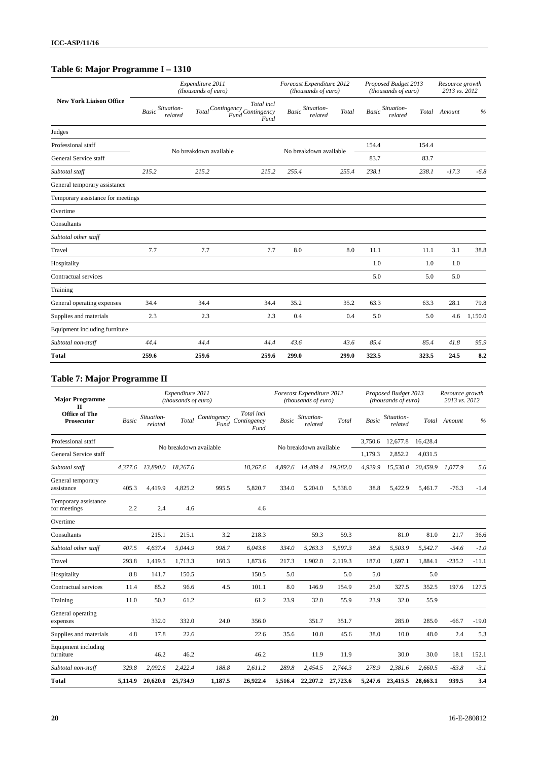# **Table 6: Major Programme I – 1310**

|                                   |       |                             | Expenditure 2011<br>(thousands of euro) |                                                             |              | Forecast Expenditure 2012<br>(thousands of euro) |       |              | Proposed Budget 2013<br>(thousands of euro) |       | Resource growth<br>2013 vs. 2012 |         |
|-----------------------------------|-------|-----------------------------|-----------------------------------------|-------------------------------------------------------------|--------------|--------------------------------------------------|-------|--------------|---------------------------------------------|-------|----------------------------------|---------|
| <b>New York Liaison Office</b>    |       | Basic Situation-<br>related |                                         | Total incl<br>Total Contingency Contingency<br>Fund<br>Fund | <b>Basic</b> | Situation-<br>related                            | Total | <b>Basic</b> | Situation-<br>related                       | Total | Amount                           | $\%$    |
| Judges                            |       |                             |                                         |                                                             |              |                                                  |       |              |                                             |       |                                  |         |
| Professional staff                |       |                             | No breakdown available                  |                                                             |              | No breakdown available                           |       | 154.4        |                                             | 154.4 |                                  |         |
| General Service staff             |       |                             |                                         |                                                             |              |                                                  |       | 83.7         |                                             | 83.7  |                                  |         |
| Subtotal staff                    | 215.2 |                             | 215.2                                   | 215.2                                                       | 255.4        |                                                  | 255.4 | 238.1        |                                             | 238.1 | $-17.3$                          | $-6.8$  |
| General temporary assistance      |       |                             |                                         |                                                             |              |                                                  |       |              |                                             |       |                                  |         |
| Temporary assistance for meetings |       |                             |                                         |                                                             |              |                                                  |       |              |                                             |       |                                  |         |
| Overtime                          |       |                             |                                         |                                                             |              |                                                  |       |              |                                             |       |                                  |         |
| Consultants                       |       |                             |                                         |                                                             |              |                                                  |       |              |                                             |       |                                  |         |
| Subtotal other staff              |       |                             |                                         |                                                             |              |                                                  |       |              |                                             |       |                                  |         |
| Travel                            | 7.7   |                             | 7.7                                     | 7.7                                                         | 8.0          |                                                  | 8.0   | 11.1         |                                             | 11.1  | 3.1                              | 38.8    |
| Hospitality                       |       |                             |                                         |                                                             |              |                                                  |       | 1.0          |                                             | 1.0   | 1.0                              |         |
| Contractual services              |       |                             |                                         |                                                             |              |                                                  |       | 5.0          |                                             | 5.0   | 5.0                              |         |
| Training                          |       |                             |                                         |                                                             |              |                                                  |       |              |                                             |       |                                  |         |
| General operating expenses        | 34.4  |                             | 34.4                                    | 34.4                                                        | 35.2         |                                                  | 35.2  | 63.3         |                                             | 63.3  | 28.1                             | 79.8    |
| Supplies and materials            | 2.3   |                             | 2.3                                     | 2.3                                                         | 0.4          |                                                  | 0.4   | 5.0          |                                             | 5.0   | 4.6                              | 1,150.0 |
| Equipment including furniture     |       |                             |                                         |                                                             |              |                                                  |       |              |                                             |       |                                  |         |
| Subtotal non-staff                | 44.4  |                             | 44.4                                    | 44.4                                                        | 43.6         |                                                  | 43.6  | 85.4         |                                             | 85.4  | 41.8                             | 95.9    |
| <b>Total</b>                      | 259.6 |                             | 259.6                                   | 259.6                                                       | 299.0        |                                                  | 299.0 | 323.5        |                                             | 323.5 | 24.5                             | 8.2     |

# **Table 7: Major Programme II**

| <b>Major Programme</b><br>$_{\rm II}$ |              |                       | Expenditure 2011<br>(thousands of euro) |                     |                                   |              | Forecast Expenditure 2012<br>(thousands of euro) |          |              | Proposed Budget 2013<br>(thousands of euro) |          | Resource growth<br>2013 vs. 2012 |         |
|---------------------------------------|--------------|-----------------------|-----------------------------------------|---------------------|-----------------------------------|--------------|--------------------------------------------------|----------|--------------|---------------------------------------------|----------|----------------------------------|---------|
| Office of The<br><b>Prosecutor</b>    | <b>Basic</b> | Situation-<br>related | Total                                   | Contingency<br>Fund | Total incl<br>Contingency<br>Fund | <b>Basic</b> | Situation-<br>related                            | Total    | <b>Basic</b> | Situation-<br>related                       |          | Total Amount                     | $\%$    |
| Professional staff                    |              |                       | No breakdown available                  |                     |                                   |              | No breakdown available                           |          | 3,750.6      | 12,677.8                                    | 16,428.4 |                                  |         |
| General Service staff                 |              |                       |                                         |                     |                                   |              |                                                  |          | 1,179.3      | 2,852.2                                     | 4.031.5  |                                  |         |
| Subtotal staff                        | 4.377.6      | 13,890.0              | 18,267.6                                |                     | 18,267.6                          | 4.892.6      | 14,489.4                                         | 19.382.0 | 4,929.9      | 15,530.0                                    | 20.459.9 | 1.077.9                          | 5.6     |
| General temporary<br>assistance       | 405.3        | 4,419.9               | 4,825.2                                 | 995.5               | 5,820.7                           | 334.0        | 5,204.0                                          | 5,538.0  | 38.8         | 5,422.9                                     | 5,461.7  | $-76.3$                          | $-1.4$  |
| Temporary assistance<br>for meetings  | 2.2          | 2.4                   | 4.6                                     |                     | 4.6                               |              |                                                  |          |              |                                             |          |                                  |         |
| Overtime                              |              |                       |                                         |                     |                                   |              |                                                  |          |              |                                             |          |                                  |         |
| Consultants                           |              | 215.1                 | 215.1                                   | 3.2                 | 218.3                             |              | 59.3                                             | 59.3     |              | 81.0                                        | 81.0     | 21.7                             | 36.6    |
| Subtotal other staff                  | 407.5        | 4.637.4               | 5.044.9                                 | 998.7               | 6,043.6                           | 334.0        | 5,263.3                                          | 5.597.3  | 38.8         | 5,503.9                                     | 5.542.7  | $-54.6$                          | $-1.0$  |
| Travel                                | 293.8        | 1,419.5               | 1,713.3                                 | 160.3               | 1,873.6                           | 217.3        | 1,902.0                                          | 2,119.3  | 187.0        | 1,697.1                                     | 1,884.1  | $-235.2$                         | $-11.1$ |
| Hospitality                           | 8.8          | 141.7                 | 150.5                                   |                     | 150.5                             | 5.0          |                                                  | 5.0      | 5.0          |                                             | 5.0      |                                  |         |
| Contractual services                  | 11.4         | 85.2                  | 96.6                                    | 4.5                 | 101.1                             | 8.0          | 146.9                                            | 154.9    | 25.0         | 327.5                                       | 352.5    | 197.6                            | 127.5   |
| Training                              | 11.0         | 50.2                  | 61.2                                    |                     | 61.2                              | 23.9         | 32.0                                             | 55.9     | 23.9         | 32.0                                        | 55.9     |                                  |         |
| General operating<br>expenses         |              | 332.0                 | 332.0                                   | 24.0                | 356.0                             |              | 351.7                                            | 351.7    |              | 285.0                                       | 285.0    | $-66.7$                          | $-19.0$ |
| Supplies and materials                | 4.8          | 17.8                  | 22.6                                    |                     | 22.6                              | 35.6         | 10.0                                             | 45.6     | 38.0         | 10.0                                        | 48.0     | 2.4                              | 5.3     |
| Equipment including<br>furniture      |              | 46.2                  | 46.2                                    |                     | 46.2                              |              | 11.9                                             | 11.9     |              | 30.0                                        | 30.0     | 18.1                             | 152.1   |
| Subtotal non-staff                    | 329.8        | 2,092.6               | 2,422.4                                 | 188.8               | 2,611.2                           | 289.8        | 2,454.5                                          | 2.744.3  | 278.9        | 2,381.6                                     | 2.660.5  | $-83.8$                          | $-3.1$  |
| <b>Total</b>                          | 5,114.9      | 20,620.0              | 25,734.9                                | 1.187.5             | 26,922.4                          | 5,516.4      | 22,207.2                                         | 27,723.6 | 5,247.6      | 23,415.5                                    | 28,663.1 | 939.5                            | 3.4     |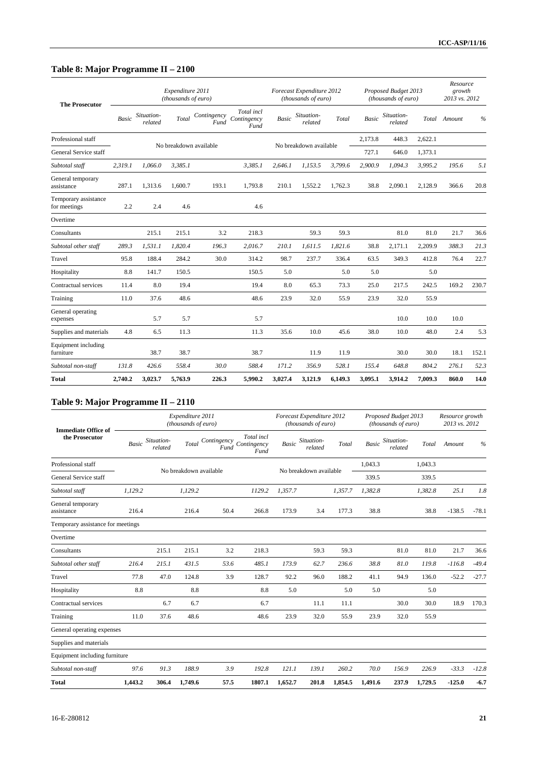# **Table 8: Major Programme II – 2100**

| <b>The Prosecutor</b>                |              |                       | Expenditure 2011<br>(thousands of euro) |                        |                                   |         | Forecast Expenditure 2012<br>(thousands of euro) |         |              | Proposed Budget 2013<br>(thousands of euro) |         | Resource<br>growth<br>2013 vs. 2012 |       |
|--------------------------------------|--------------|-----------------------|-----------------------------------------|------------------------|-----------------------------------|---------|--------------------------------------------------|---------|--------------|---------------------------------------------|---------|-------------------------------------|-------|
|                                      | <b>Basic</b> | Situation-<br>related | Total                                   | Contingency<br>Fund    | Total incl<br>Contingency<br>Fund | Basic   | Situation-<br>related                            | Total   | <b>Basic</b> | Situation-<br>related                       |         | Total Amount                        | %     |
| Professional staff                   |              |                       |                                         | No breakdown available |                                   |         | No breakdown available                           |         | 2,173.8      | 448.3                                       | 2,622.1 |                                     |       |
| General Service staff                |              |                       |                                         |                        |                                   |         |                                                  |         | 727.1        | 646.0                                       | 1,373.1 |                                     |       |
| Subtotal staff                       | 2,319.1      | 1,066.0               | 3,385.1                                 |                        | 3,385.1                           | 2,646.1 | 1,153.5                                          | 3,799.6 | 2,900.9      | 1,094.3                                     | 3,995.2 | 195.6                               | 5.1   |
| General temporary<br>assistance      | 287.1        | 1,313.6               | 1,600.7                                 | 193.1                  | 1,793.8                           | 210.1   | 1,552.2                                          | 1,762.3 | 38.8         | 2,090.1                                     | 2,128.9 | 366.6                               | 20.8  |
| Temporary assistance<br>for meetings | 2.2          | 2.4                   | 4.6                                     |                        | 4.6                               |         |                                                  |         |              |                                             |         |                                     |       |
| Overtime                             |              |                       |                                         |                        |                                   |         |                                                  |         |              |                                             |         |                                     |       |
| Consultants                          |              | 215.1                 | 215.1                                   | 3.2                    | 218.3                             |         | 59.3                                             | 59.3    |              | 81.0                                        | 81.0    | 21.7                                | 36.6  |
| Subtotal other staff                 | 289.3        | 1,531.1               | 1,820.4                                 | 196.3                  | 2,016.7                           | 210.1   | 1,611.5                                          | 1.821.6 | 38.8         | 2,171.1                                     | 2,209.9 | 388.3                               | 21.3  |
| Travel                               | 95.8         | 188.4                 | 284.2                                   | 30.0                   | 314.2                             | 98.7    | 237.7                                            | 336.4   | 63.5         | 349.3                                       | 412.8   | 76.4                                | 22.7  |
| Hospitality                          | 8.8          | 141.7                 | 150.5                                   |                        | 150.5                             | 5.0     |                                                  | 5.0     | 5.0          |                                             | 5.0     |                                     |       |
| Contractual services                 | 11.4         | 8.0                   | 19.4                                    |                        | 19.4                              | 8.0     | 65.3                                             | 73.3    | 25.0         | 217.5                                       | 242.5   | 169.2                               | 230.7 |
| Training                             | 11.0         | 37.6                  | 48.6                                    |                        | 48.6                              | 23.9    | 32.0                                             | 55.9    | 23.9         | 32.0                                        | 55.9    |                                     |       |
| General operating<br>expenses        |              | 5.7                   | 5.7                                     |                        | 5.7                               |         |                                                  |         |              | 10.0                                        | 10.0    | 10.0                                |       |
| Supplies and materials               | 4.8          | 6.5                   | 11.3                                    |                        | 11.3                              | 35.6    | 10.0                                             | 45.6    | 38.0         | 10.0                                        | 48.0    | 2.4                                 | 5.3   |
| Equipment including<br>furniture     |              | 38.7                  | 38.7                                    |                        | 38.7                              |         | 11.9                                             | 11.9    |              | 30.0                                        | 30.0    | 18.1                                | 152.1 |
| Subtotal non-staff                   | 131.8        | 426.6                 | 558.4                                   | 30.0                   | 588.4                             | 171.2   | 356.9                                            | 528.1   | 155.4        | 648.8                                       | 804.2   | 276.1                               | 52.3  |
| <b>Total</b>                         | 2.740.2      | 3,023.7               | 5.763.9                                 | 226.3                  | 5,990.2                           | 3.027.4 | 3,121.9                                          | 6.149.3 | 3.095.1      | 3.914.2                                     | 7.009.3 | 860.0                               | 14.0  |

# **Table 9: Major Programme II – 2110**

| <b>Immediate Office of</b>        |              |                       | Expenditure 2011<br>(thousands of euro) |                     |                                   |              | Forecast Expenditure 2012<br>(thousands of euro) |         |              | Proposed Budget 2013<br>(thousands of euro) |         | Resource growth<br>2013 vs. 2012 |               |
|-----------------------------------|--------------|-----------------------|-----------------------------------------|---------------------|-----------------------------------|--------------|--------------------------------------------------|---------|--------------|---------------------------------------------|---------|----------------------------------|---------------|
| the Prosecutor                    | <b>Basic</b> | Situation-<br>related | Total                                   | Contingency<br>Fund | Total incl<br>Contingency<br>Fund | <b>Basic</b> | Situation-<br>related                            | Total   | <b>Basic</b> | Situation-<br>related                       | Total   | Amount                           | $\frac{0}{0}$ |
| Professional staff                |              |                       | No breakdown available                  |                     |                                   |              | No breakdown available                           |         | 1,043.3      |                                             | 1.043.3 |                                  |               |
| General Service staff             |              |                       |                                         |                     |                                   |              |                                                  |         | 339.5        |                                             | 339.5   |                                  |               |
| Subtotal staff                    | 1,129.2      |                       | 1,129.2                                 |                     | 1129.2                            | 1,357.7      |                                                  | 1,357.7 | 1,382.8      |                                             | 1,382.8 | 25.1                             | 1.8           |
| General temporary<br>assistance   | 216.4        |                       | 216.4                                   | 50.4                | 266.8                             | 173.9        | 3.4                                              | 177.3   | 38.8         |                                             | 38.8    | $-138.5$                         | $-78.1$       |
| Temporary assistance for meetings |              |                       |                                         |                     |                                   |              |                                                  |         |              |                                             |         |                                  |               |
| Overtime                          |              |                       |                                         |                     |                                   |              |                                                  |         |              |                                             |         |                                  |               |
| Consultants                       |              | 215.1                 | 215.1                                   | 3.2                 | 218.3                             |              | 59.3                                             | 59.3    |              | 81.0                                        | 81.0    | 21.7                             | 36.6          |
| Subtotal other staff              | 216.4        | 215.1                 | 431.5                                   | 53.6                | 485.1                             | 173.9        | 62.7                                             | 236.6   | 38.8         | 81.0                                        | 119.8   | $-116.8$                         | $-49.4$       |
| Travel                            | 77.8         | 47.0                  | 124.8                                   | 3.9                 | 128.7                             | 92.2         | 96.0                                             | 188.2   | 41.1         | 94.9                                        | 136.0   | $-52.2$                          | $-27.7$       |
| Hospitality                       | 8.8          |                       | 8.8                                     |                     | 8.8                               | 5.0          |                                                  | 5.0     | 5.0          |                                             | 5.0     |                                  |               |
| Contractual services              |              | 6.7                   | 6.7                                     |                     | 6.7                               |              | 11.1                                             | 11.1    |              | 30.0                                        | 30.0    | 18.9                             | 170.3         |
| Training                          | 11.0         | 37.6                  | 48.6                                    |                     | 48.6                              | 23.9         | 32.0                                             | 55.9    | 23.9         | 32.0                                        | 55.9    |                                  |               |
| General operating expenses        |              |                       |                                         |                     |                                   |              |                                                  |         |              |                                             |         |                                  |               |
| Supplies and materials            |              |                       |                                         |                     |                                   |              |                                                  |         |              |                                             |         |                                  |               |
| Equipment including furniture     |              |                       |                                         |                     |                                   |              |                                                  |         |              |                                             |         |                                  |               |
| Subtotal non-staff                | 97.6         | 91.3                  | 188.9                                   | 3.9                 | 192.8                             | 121.1        | 139.1                                            | 260.2   | 70.0         | 156.9                                       | 226.9   | $-33.3$                          | $-12.8$       |
| <b>Total</b>                      | 1,443.2      | 306.4                 | 1,749.6                                 | 57.5                | 1807.1                            | 1,652.7      | 201.8                                            | 1,854.5 | 1,491.6      | 237.9                                       | 1,729.5 | $-125.0$                         | $-6.7$        |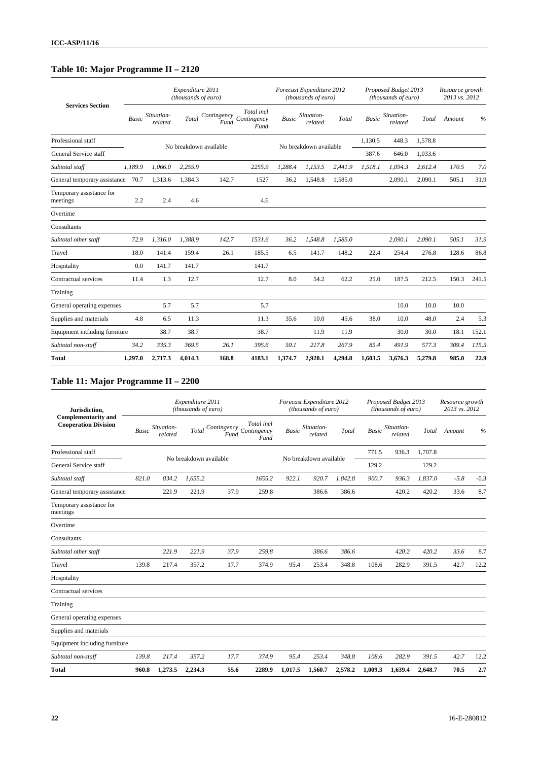# **Table 10: Major Programme II – 2120**

|                                      |              |                       | Expenditure 2011<br>(thousands of euro) |                            |                                   |              | Forecast Expenditure 2012<br>(thousands of euro) |         |              | Proposed Budget 2013<br>(thousands of euro) |         | Resource growth<br>2013 vs. 2012 |               |
|--------------------------------------|--------------|-----------------------|-----------------------------------------|----------------------------|-----------------------------------|--------------|--------------------------------------------------|---------|--------------|---------------------------------------------|---------|----------------------------------|---------------|
| <b>Services Section</b>              | <b>Basic</b> | Situation-<br>related | Total                                   | Contingency<br><b>Fund</b> | Total incl<br>Contingency<br>Fund | <b>Basic</b> | Situation-<br>related                            | Total   | <b>Basic</b> | Situation-<br>related                       | Total   | Amount                           | $\frac{0}{0}$ |
| Professional staff                   |              |                       |                                         |                            |                                   |              |                                                  |         | 1,130.5      | 448.3                                       | 1,578.8 |                                  |               |
| General Service staff                |              |                       |                                         | No breakdown available     |                                   |              | No breakdown available                           |         | 387.6        | 646.0                                       | 1,033.6 |                                  |               |
| Subtotal staff                       | 1.189.9      | 1.066.0               | 2.255.9                                 |                            | 2255.9                            | 1.288.4      | 1.153.5                                          | 2.441.9 | 1,518.1      | 1.094.3                                     | 2.612.4 | 170.5                            | 7.0           |
| General temporary assistance         | 70.7         | 1,313.6               | 1,384.3                                 | 142.7                      | 1527                              | 36.2         | 1,548.8                                          | 1,585.0 |              | 2,090.1                                     | 2,090.1 | 505.1                            | 31.9          |
| Temporary assistance for<br>meetings | 2.2          | 2.4                   | 4.6                                     |                            | 4.6                               |              |                                                  |         |              |                                             |         |                                  |               |
| Overtime                             |              |                       |                                         |                            |                                   |              |                                                  |         |              |                                             |         |                                  |               |
| Consultants                          |              |                       |                                         |                            |                                   |              |                                                  |         |              |                                             |         |                                  |               |
| Subtotal other staff                 | 72.9         | 1,316.0               | 1,388.9                                 | 142.7                      | 1531.6                            | 36.2         | 1,548.8                                          | 1,585.0 |              | 2,090.1                                     | 2,090.1 | 505.1                            | 31.9          |
| Travel                               | 18.0         | 141.4                 | 159.4                                   | 26.1                       | 185.5                             | 6.5          | 141.7                                            | 148.2   | 22.4         | 254.4                                       | 276.8   | 128.6                            | 86.8          |
| Hospitality                          | 0.0          | 141.7                 | 141.7                                   |                            | 141.7                             |              |                                                  |         |              |                                             |         |                                  |               |
| Contractual services                 | 11.4         | 1.3                   | 12.7                                    |                            | 12.7                              | 8.0          | 54.2                                             | 62.2    | 25.0         | 187.5                                       | 212.5   | 150.3                            | 241.5         |
| Training                             |              |                       |                                         |                            |                                   |              |                                                  |         |              |                                             |         |                                  |               |
| General operating expenses           |              | 5.7                   | 5.7                                     |                            | 5.7                               |              |                                                  |         |              | 10.0                                        | 10.0    | 10.0                             |               |
| Supplies and materials               | 4.8          | 6.5                   | 11.3                                    |                            | 11.3                              | 35.6         | 10.0                                             | 45.6    | 38.0         | 10.0                                        | 48.0    | 2.4                              | 5.3           |
| Equipment including furniture        |              | 38.7                  | 38.7                                    |                            | 38.7                              |              | 11.9                                             | 11.9    |              | 30.0                                        | 30.0    | 18.1                             | 152.1         |
| Subtotal non-staff                   | 34.2         | 335.3                 | 369.5                                   | 26.1                       | 395.6                             | 50.1         | 217.8                                            | 267.9   | 85.4         | 491.9                                       | 577.3   | 309.4                            | 115.5         |
| <b>Total</b>                         | 1,297.0      | 2,717.3               | 4.014.3                                 | 168.8                      | 4183.1                            | 1,374.7      | 2,920.1                                          | 4.294.8 | 1.603.5      | 3.676.3                                     | 5,279.8 | 985.0                            | 22.9          |

# **Table 11: Major Programme II – 2200**

| Jurisdiction,                                             |              |                       | Expenditure 2011<br>(thousands of euro) |                                 |                    |         | Forecast Expenditure 2012<br>(thousands of euro) |         |              | Proposed Budget 2013<br>(thousands of euro) |         | Resource growth<br>2013 vs. 2012 |        |
|-----------------------------------------------------------|--------------|-----------------------|-----------------------------------------|---------------------------------|--------------------|---------|--------------------------------------------------|---------|--------------|---------------------------------------------|---------|----------------------------------|--------|
| <b>Complementarity and</b><br><b>Cooperation Division</b> | <b>Basic</b> | Situation-<br>related | Total                                   | Contingency Contingency<br>Fund | Total incl<br>Fund | Basic   | Situation-<br>related                            | Total   | <b>Basic</b> | Situation-<br>related                       | Total   | Amount                           | $\%$   |
| Professional staff                                        |              |                       |                                         |                                 |                    |         |                                                  |         | 771.5        | 936.3                                       | 1.707.8 |                                  |        |
| General Service staff                                     |              |                       | No breakdown available                  |                                 |                    |         | No breakdown available                           |         | 129.2        |                                             | 129.2   |                                  |        |
| Subtotal staff                                            | 821.0        | 834.2                 | 1,655.2                                 |                                 | 1655.2             | 922.1   | 920.7                                            | 1,842.8 | 900.7        | 936.3                                       | 1,837.0 | $-5.8$                           | $-0.3$ |
| General temporary assistance                              |              | 221.9                 | 221.9                                   | 37.9                            | 259.8              |         | 386.6                                            | 386.6   |              | 420.2                                       | 420.2   | 33.6                             | 8.7    |
| Temporary assistance for<br>meetings                      |              |                       |                                         |                                 |                    |         |                                                  |         |              |                                             |         |                                  |        |
| Overtime                                                  |              |                       |                                         |                                 |                    |         |                                                  |         |              |                                             |         |                                  |        |
| Consultants                                               |              |                       |                                         |                                 |                    |         |                                                  |         |              |                                             |         |                                  |        |
| Subtotal other staff                                      |              | 221.9                 | 221.9                                   | 37.9                            | 259.8              |         | 386.6                                            | 386.6   |              | 420.2                                       | 420.2   | 33.6                             | 8.7    |
| Travel                                                    | 139.8        | 217.4                 | 357.2                                   | 17.7                            | 374.9              | 95.4    | 253.4                                            | 348.8   | 108.6        | 282.9                                       | 391.5   | 42.7                             | 12.2   |
| Hospitality                                               |              |                       |                                         |                                 |                    |         |                                                  |         |              |                                             |         |                                  |        |
| Contractual services                                      |              |                       |                                         |                                 |                    |         |                                                  |         |              |                                             |         |                                  |        |
| Training                                                  |              |                       |                                         |                                 |                    |         |                                                  |         |              |                                             |         |                                  |        |
| General operating expenses                                |              |                       |                                         |                                 |                    |         |                                                  |         |              |                                             |         |                                  |        |
| Supplies and materials                                    |              |                       |                                         |                                 |                    |         |                                                  |         |              |                                             |         |                                  |        |
| Equipment including furniture                             |              |                       |                                         |                                 |                    |         |                                                  |         |              |                                             |         |                                  |        |
| Subtotal non-staff                                        | 139.8        | 217.4                 | 357.2                                   | 17.7                            | 374.9              | 95.4    | 253.4                                            | 348.8   | 108.6        | 282.9                                       | 391.5   | 42.7                             | 12.2   |
| <b>Total</b>                                              | 960.8        | 1,273.5               | 2,234.3                                 | 55.6                            | 2289.9             | 1,017.5 | 1,560.7                                          | 2,578.2 | 1,009.3      | 1,639.4                                     | 2,648.7 | 70.5                             | 2.7    |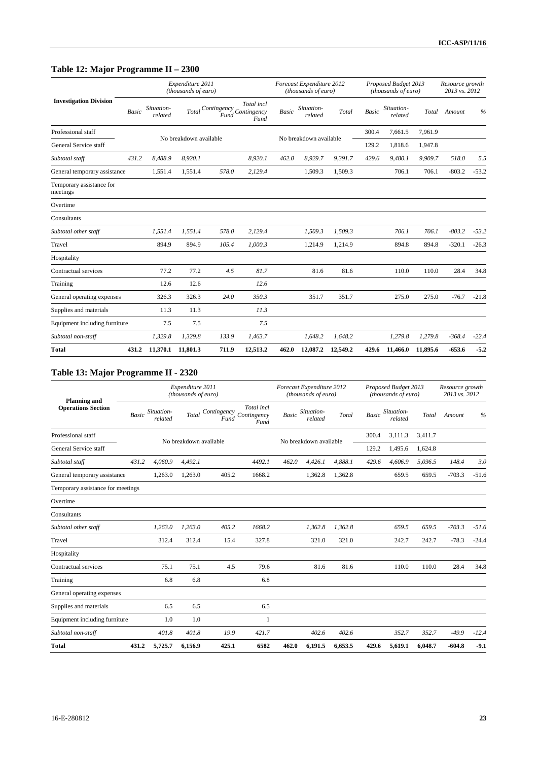# **Table 12: Major Programme II – 2300**

|                                      |              |                       | Expenditure 2011<br>(thousands of euro) |                     |                                   |              | Forecast Expenditure 2012<br>(thousands of euro) |          |              | Proposed Budget 2013<br>(thousands of euro) |          | Resource growth<br>2013 vs. 2012 |         |
|--------------------------------------|--------------|-----------------------|-----------------------------------------|---------------------|-----------------------------------|--------------|--------------------------------------------------|----------|--------------|---------------------------------------------|----------|----------------------------------|---------|
| <b>Investigation Division</b>        | <b>Basic</b> | Situation-<br>related | Total                                   | Contingency<br>Fund | Total incl<br>Contingency<br>Fund | <b>Basic</b> | Situation-<br>related                            | Total    | <b>Basic</b> | Situation-<br>related                       | Total    | Amount                           | %       |
| Professional staff                   |              |                       |                                         |                     |                                   |              |                                                  |          | 300.4        | 7,661.5                                     | 7,961.9  |                                  |         |
| General Service staff                |              |                       | No breakdown available                  |                     |                                   |              | No breakdown available                           |          | 129.2        | 1,818.6                                     | 1,947.8  |                                  |         |
| Subtotal staff                       | 431.2        | 8,488.9               | 8,920.1                                 |                     | 8,920.1                           | 462.0        | 8,929.7                                          | 9,391.7  | 429.6        | 9,480.1                                     | 9,909.7  | 518.0                            | 5.5     |
| General temporary assistance         |              | 1,551.4               | 1,551.4                                 | 578.0               | 2,129.4                           |              | 1,509.3                                          | 1,509.3  |              | 706.1                                       | 706.1    | $-803.2$                         | $-53.2$ |
| Temporary assistance for<br>meetings |              |                       |                                         |                     |                                   |              |                                                  |          |              |                                             |          |                                  |         |
| Overtime                             |              |                       |                                         |                     |                                   |              |                                                  |          |              |                                             |          |                                  |         |
| Consultants                          |              |                       |                                         |                     |                                   |              |                                                  |          |              |                                             |          |                                  |         |
| Subtotal other staff                 |              | 1,551.4               | 1,551.4                                 | 578.0               | 2,129.4                           |              | 1,509.3                                          | 1,509.3  |              | 706.1                                       | 706.1    | $-803.2$                         | $-53.2$ |
| Travel                               |              | 894.9                 | 894.9                                   | 105.4               | 1,000.3                           |              | 1,214.9                                          | 1,214.9  |              | 894.8                                       | 894.8    | $-320.1$                         | $-26.3$ |
| Hospitality                          |              |                       |                                         |                     |                                   |              |                                                  |          |              |                                             |          |                                  |         |
| Contractual services                 |              | 77.2                  | 77.2                                    | 4.5                 | 81.7                              |              | 81.6                                             | 81.6     |              | 110.0                                       | 110.0    | 28.4                             | 34.8    |
| Training                             |              | 12.6                  | 12.6                                    |                     | 12.6                              |              |                                                  |          |              |                                             |          |                                  |         |
| General operating expenses           |              | 326.3                 | 326.3                                   | 24.0                | 350.3                             |              | 351.7                                            | 351.7    |              | 275.0                                       | 275.0    | $-76.7$                          | $-21.8$ |
| Supplies and materials               |              | 11.3                  | 11.3                                    |                     | 11.3                              |              |                                                  |          |              |                                             |          |                                  |         |
| Equipment including furniture        |              | 7.5                   | 7.5                                     |                     | 7.5                               |              |                                                  |          |              |                                             |          |                                  |         |
| Subtotal non-staff                   |              | 1,329.8               | 1,329.8                                 | 133.9               | 1,463.7                           |              | 1,648.2                                          | 1,648.2  |              | 1,279.8                                     | 1,279.8  | $-368.4$                         | $-22.4$ |
| <b>Total</b>                         | 431.2        | 11,370.1              | 11,801.3                                | 711.9               | 12,513.2                          | 462.0        | 12,087.2                                         | 12,549.2 | 429.6        | 11,466.0                                    | 11,895.6 | $-653.6$                         | $-5.2$  |

# **Table 13: Major Programme II - 2320**

|                                                  |              |                       | Expenditure 2011<br>(thousands of euro) |       |                                               |              | Forecast Expenditure 2012<br>(thousands of euro) |         |              | Proposed Budget 2013<br>(thousands of euro) |         | Resource growth<br>2013 vs. 2012 |               |
|--------------------------------------------------|--------------|-----------------------|-----------------------------------------|-------|-----------------------------------------------|--------------|--------------------------------------------------|---------|--------------|---------------------------------------------|---------|----------------------------------|---------------|
| <b>Planning and</b><br><b>Operations Section</b> | <b>Basic</b> | Situation-<br>related | Total                                   | Fund  | Total incl<br>Contingency Contingency<br>Fund | <b>Basic</b> | Situation-<br>related                            | Total   | <b>Basic</b> | Situation-<br>related                       | Total   | Amount                           | $\frac{0}{6}$ |
| Professional staff                               |              |                       |                                         |       |                                               |              |                                                  |         | 300.4        | 3,111.3                                     | 3,411.7 |                                  |               |
| General Service staff                            |              |                       | No breakdown available                  |       |                                               |              | No breakdown available                           |         | 129.2        | 1,495.6                                     | 1,624.8 |                                  |               |
| Subtotal staff                                   | 431.2        | 4,060.9               | 4.492.1                                 |       | 4492.1                                        | 462.0        | 4.426.1                                          | 4.888.1 | 429.6        | 4.606.9                                     | 5.036.5 | 148.4                            | 3.0           |
| General temporary assistance                     |              | 1,263.0               | 1,263.0                                 | 405.2 | 1668.2                                        |              | 1,362.8                                          | 1,362.8 |              | 659.5                                       | 659.5   | $-703.3$                         | $-51.6$       |
| Temporary assistance for meetings                |              |                       |                                         |       |                                               |              |                                                  |         |              |                                             |         |                                  |               |
| Overtime                                         |              |                       |                                         |       |                                               |              |                                                  |         |              |                                             |         |                                  |               |
| Consultants                                      |              |                       |                                         |       |                                               |              |                                                  |         |              |                                             |         |                                  |               |
| Subtotal other staff                             |              | 1,263.0               | 1,263.0                                 | 405.2 | 1668.2                                        |              | 1,362.8                                          | 1,362.8 |              | 659.5                                       | 659.5   | $-703.3$                         | $-51.6$       |
| Travel                                           |              | 312.4                 | 312.4                                   | 15.4  | 327.8                                         |              | 321.0                                            | 321.0   |              | 242.7                                       | 242.7   | $-78.3$                          | $-24.4$       |
| Hospitality                                      |              |                       |                                         |       |                                               |              |                                                  |         |              |                                             |         |                                  |               |
| Contractual services                             |              | 75.1                  | 75.1                                    | 4.5   | 79.6                                          |              | 81.6                                             | 81.6    |              | 110.0                                       | 110.0   | 28.4                             | 34.8          |
| Training                                         |              | 6.8                   | 6.8                                     |       | 6.8                                           |              |                                                  |         |              |                                             |         |                                  |               |
| General operating expenses                       |              |                       |                                         |       |                                               |              |                                                  |         |              |                                             |         |                                  |               |
| Supplies and materials                           |              | 6.5                   | 6.5                                     |       | 6.5                                           |              |                                                  |         |              |                                             |         |                                  |               |
| Equipment including furniture                    |              | 1.0                   | 1.0                                     |       | 1                                             |              |                                                  |         |              |                                             |         |                                  |               |
| Subtotal non-staff                               |              | 401.8                 | 401.8                                   | 19.9  | 421.7                                         |              | 402.6                                            | 402.6   |              | 352.7                                       | 352.7   | $-49.9$                          | $-12.4$       |
| <b>Total</b>                                     | 431.2        | 5,725.7               | 6.156.9                                 | 425.1 | 6582                                          | 462.0        | 6,191.5                                          | 6,653.5 | 429.6        | 5,619.1                                     | 6,048.7 | $-604.8$                         | $-9.1$        |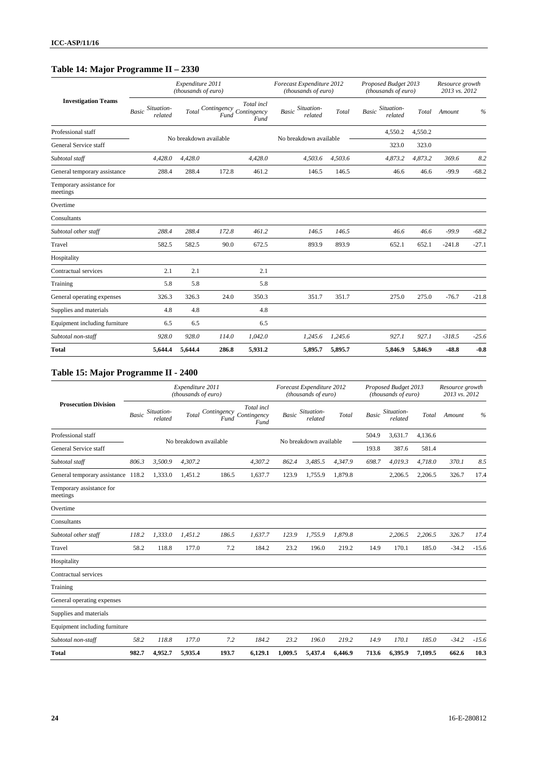# **Table 14: Major Programme II – 2330**

|                                      |                                       | Expenditure 2011<br>(thousands of euro) |                     |                                   | Forecast Expenditure 2012<br>(thousands of euro) |         | Proposed Budget 2013<br>(thousands of euro) |         | Resource growth<br>2013 vs. 2012 |         |
|--------------------------------------|---------------------------------------|-----------------------------------------|---------------------|-----------------------------------|--------------------------------------------------|---------|---------------------------------------------|---------|----------------------------------|---------|
| <b>Investigation Teams</b>           | Situation-<br><b>Basic</b><br>related | Total                                   | Contingency<br>Fund | Total incl<br>Contingency<br>Fund | Situation-<br><b>Basic</b><br>related            | Total   | Situation-<br><b>Basic</b><br>related       | Total   | Amount                           | $\%$    |
| Professional staff                   |                                       |                                         |                     |                                   | No breakdown available                           |         | 4,550.2                                     | 4,550.2 |                                  |         |
| General Service staff                |                                       | No breakdown available                  |                     |                                   |                                                  |         | 323.0                                       | 323.0   |                                  |         |
| Subtotal staff                       | 4,428.0                               | 4,428.0                                 |                     | 4,428.0                           | 4,503.6                                          | 4,503.6 | 4,873.2                                     | 4,873.2 | 369.6                            | 8.2     |
| General temporary assistance         | 288.4                                 | 288.4                                   | 172.8               | 461.2                             | 146.5                                            | 146.5   | 46.6                                        | 46.6    | $-99.9$                          | $-68.2$ |
| Temporary assistance for<br>meetings |                                       |                                         |                     |                                   |                                                  |         |                                             |         |                                  |         |
| Overtime                             |                                       |                                         |                     |                                   |                                                  |         |                                             |         |                                  |         |
| Consultants                          |                                       |                                         |                     |                                   |                                                  |         |                                             |         |                                  |         |
| Subtotal other staff                 | 288.4                                 | 288.4                                   | 172.8               | 461.2                             | 146.5                                            | 146.5   | 46.6                                        | 46.6    | $-99.9$                          | $-68.2$ |
| Travel                               | 582.5                                 | 582.5                                   | 90.0                | 672.5                             | 893.9                                            | 893.9   | 652.1                                       | 652.1   | $-241.8$                         | $-27.1$ |
| Hospitality                          |                                       |                                         |                     |                                   |                                                  |         |                                             |         |                                  |         |
| Contractual services                 | 2.1                                   | 2.1                                     |                     | 2.1                               |                                                  |         |                                             |         |                                  |         |
| Training                             | 5.8                                   | 5.8                                     |                     | 5.8                               |                                                  |         |                                             |         |                                  |         |
| General operating expenses           | 326.3                                 | 326.3                                   | 24.0                | 350.3                             | 351.7                                            | 351.7   | 275.0                                       | 275.0   | $-76.7$                          | $-21.8$ |
| Supplies and materials               | 4.8                                   | 4.8                                     |                     | 4.8                               |                                                  |         |                                             |         |                                  |         |
| Equipment including furniture        | 6.5                                   | 6.5                                     |                     | 6.5                               |                                                  |         |                                             |         |                                  |         |
| Subtotal non-staff                   | 928.0                                 | 928.0                                   | 114.0               | 1,042.0                           | 1,245.6                                          | 1,245.6 | 927.1                                       | 927.1   | $-318.5$                         | $-25.6$ |
| <b>Total</b>                         | 5,644.4                               | 5,644.4                                 | 286.8               | 5,931.2                           | 5,895.7                                          | 5,895.7 | 5,846.9                                     | 5,846.9 | $-48.8$                          | $-0.8$  |

# **Table 15: Major Programme II - 2400**

|                                      |              |                       | Expenditure 2011<br>(thousands of euro) |                     |                                   |         | Forecast Expenditure 2012<br>(thousands of euro) |         |              | Proposed Budget 2013<br>(thousands of euro) |         | Resource growth<br>2013 vs. 2012 |               |
|--------------------------------------|--------------|-----------------------|-----------------------------------------|---------------------|-----------------------------------|---------|--------------------------------------------------|---------|--------------|---------------------------------------------|---------|----------------------------------|---------------|
| <b>Prosecution Division</b>          | <b>Basic</b> | Situation-<br>related | Total                                   | Contingency<br>Fund | Total incl<br>Contingency<br>Fund | Basic   | Situation-<br>related                            | Total   | <b>Basic</b> | Situation-<br>related                       | Total   | Amount                           | $\frac{0}{0}$ |
| Professional staff                   |              |                       | No breakdown available                  |                     |                                   |         | No breakdown available                           |         | 504.9        | 3,631.7                                     | 4,136.6 |                                  |               |
| General Service staff                |              |                       |                                         |                     |                                   |         |                                                  |         | 193.8        | 387.6                                       | 581.4   |                                  |               |
| Subtotal staff                       | 806.3        | 3,500.9               | 4,307.2                                 |                     | 4,307.2                           | 862.4   | 3,485.5                                          | 4,347.9 | 698.7        | 4,019.3                                     | 4,718.0 | 370.1                            | 8.5           |
| General temporary assistance 118.2   |              | 1,333.0               | 1,451.2                                 | 186.5               | 1,637.7                           | 123.9   | 1,755.9                                          | 1,879.8 |              | 2,206.5                                     | 2,206.5 | 326.7                            | 17.4          |
| Temporary assistance for<br>meetings |              |                       |                                         |                     |                                   |         |                                                  |         |              |                                             |         |                                  |               |
| Overtime                             |              |                       |                                         |                     |                                   |         |                                                  |         |              |                                             |         |                                  |               |
| Consultants                          |              |                       |                                         |                     |                                   |         |                                                  |         |              |                                             |         |                                  |               |
| Subtotal other staff                 | 118.2        | 1,333.0               | 1.451.2                                 | 186.5               | 1,637.7                           | 123.9   | 1,755.9                                          | 1,879.8 |              | 2,206.5                                     | 2,206.5 | 326.7                            | 17.4          |
| Travel                               | 58.2         | 118.8                 | 177.0                                   | 7.2                 | 184.2                             | 23.2    | 196.0                                            | 219.2   | 14.9         | 170.1                                       | 185.0   | $-34.2$                          | $-15.6$       |
| Hospitality                          |              |                       |                                         |                     |                                   |         |                                                  |         |              |                                             |         |                                  |               |
| Contractual services                 |              |                       |                                         |                     |                                   |         |                                                  |         |              |                                             |         |                                  |               |
| Training                             |              |                       |                                         |                     |                                   |         |                                                  |         |              |                                             |         |                                  |               |
| General operating expenses           |              |                       |                                         |                     |                                   |         |                                                  |         |              |                                             |         |                                  |               |
| Supplies and materials               |              |                       |                                         |                     |                                   |         |                                                  |         |              |                                             |         |                                  |               |
| Equipment including furniture        |              |                       |                                         |                     |                                   |         |                                                  |         |              |                                             |         |                                  |               |
| Subtotal non-staff                   | 58.2         | 118.8                 | 177.0                                   | 7.2                 | 184.2                             | 23.2    | 196.0                                            | 219.2   | 14.9         | 170.1                                       | 185.0   | $-34.2$                          | $-15.6$       |
| <b>Total</b>                         | 982.7        | 4,952.7               | 5,935.4                                 | 193.7               | 6,129.1                           | 1,009.5 | 5,437.4                                          | 6,446.9 | 713.6        | 6,395.9                                     | 7,109.5 | 662.6                            | 10.3          |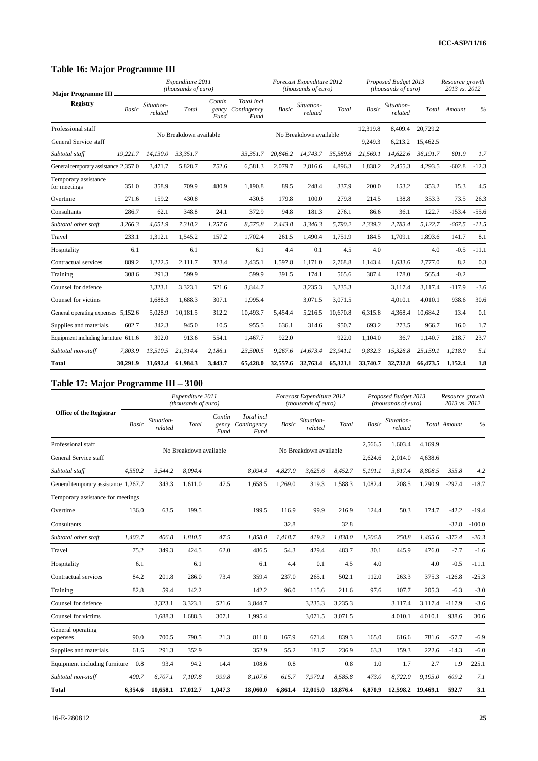#### **Table 16: Major Programme III**

| <b>Major Programme III</b>           | ᇰ        |                       | Expenditure 2011<br>(thousands of euro) |                         |                                   |              | Forecast Expenditure 2012<br>(thousands of euro) |          |              | Proposed Budget 2013<br>(thousands of euro) |          | Resource growth<br>2013 vs. 2012 |               |
|--------------------------------------|----------|-----------------------|-----------------------------------------|-------------------------|-----------------------------------|--------------|--------------------------------------------------|----------|--------------|---------------------------------------------|----------|----------------------------------|---------------|
| <b>Registry</b>                      | Basic    | Situation-<br>related | Total                                   | Contin<br>gency<br>Fund | Total incl<br>Contingency<br>Fund | <b>Basic</b> | Situation-<br>related                            | Total    | <b>Basic</b> | Situation-<br>related                       | Total    | Amount                           | $\frac{0}{6}$ |
| Professional staff                   |          |                       |                                         |                         |                                   |              |                                                  |          | 12,319.8     | 8,409.4                                     | 20.729.2 |                                  |               |
| General Service staff                |          |                       | No Breakdown available                  |                         |                                   |              | No Breakdown available                           |          | 9,249.3      | 6,213.2                                     | 15,462.5 |                                  |               |
| Subtotal staff                       | 19.221.7 | 14.130.0              | 33.351.7                                |                         | 33.351.7                          | 20.846.2     | 14.743.7                                         | 35.589.8 | 21.569.1     | 14.622.6                                    | 36.191.7 | 601.9                            | 1.7           |
| General temporary assistance 2,357.0 |          | 3,471.7               | 5,828.7                                 | 752.6                   | 6,581.3                           | 2,079.7      | 2,816.6                                          | 4,896.3  | 1,838.2      | 2,455.3                                     | 4,293.5  | $-602.8$                         | $-12.3$       |
| Temporary assistance<br>for meetings | 351.0    | 358.9                 | 709.9                                   | 480.9                   | 1,190.8                           | 89.5         | 248.4                                            | 337.9    | 200.0        | 153.2                                       | 353.2    | 15.3                             | 4.5           |
| Overtime                             | 271.6    | 159.2                 | 430.8                                   |                         | 430.8                             | 179.8        | 100.0                                            | 279.8    | 214.5        | 138.8                                       | 353.3    | 73.5                             | 26.3          |
| Consultants                          | 286.7    | 62.1                  | 348.8                                   | 24.1                    | 372.9                             | 94.8         | 181.3                                            | 276.1    | 86.6         | 36.1                                        | 122.7    | $-153.4$                         | $-55.6$       |
| Subtotal other staff                 | 3,266.3  | 4.051.9               | 7.318.2                                 | 1.257.6                 | 8,575.8                           | 2.443.8      | 3,346.3                                          | 5,790.2  | 2,339.3      | 2.783.4                                     | 5,122.7  | $-667.5$                         | $-11.5$       |
| Travel                               | 233.1    | 1,312.1               | 1,545.2                                 | 157.2                   | 1,702.4                           | 261.5        | 1,490.4                                          | 1,751.9  | 184.5        | 1,709.1                                     | 1,893.6  | 141.7                            | 8.1           |
| Hospitality                          | 6.1      |                       | 6.1                                     |                         | 6.1                               | 4.4          | 0.1                                              | 4.5      | 4.0          |                                             | 4.0      | $-0.5$                           | $-11.1$       |
| Contractual services                 | 889.2    | 1,222.5               | 2,111.7                                 | 323.4                   | 2,435.1                           | 1,597.8      | 1,171.0                                          | 2,768.8  | 1,143.4      | 1,633.6                                     | 2,777.0  | 8.2                              | 0.3           |
| Training                             | 308.6    | 291.3                 | 599.9                                   |                         | 599.9                             | 391.5        | 174.1                                            | 565.6    | 387.4        | 178.0                                       | 565.4    | $-0.2$                           |               |
| Counsel for defence                  |          | 3,323.1               | 3,323.1                                 | 521.6                   | 3,844.7                           |              | 3,235.3                                          | 3,235.3  |              | 3,117.4                                     | 3,117.4  | $-117.9$                         | $-3.6$        |
| Counsel for victims                  |          | 1,688.3               | 1,688.3                                 | 307.1                   | 1,995.4                           |              | 3,071.5                                          | 3,071.5  |              | 4,010.1                                     | 4,010.1  | 938.6                            | 30.6          |
| General operating expenses 5,152.6   |          | 5,028.9               | 10,181.5                                | 312.2                   | 10,493.7                          | 5.454.4      | 5,216.5                                          | 10,670.8 | 6,315.8      | 4,368.4                                     | 10.684.2 | 13.4                             | 0.1           |
| Supplies and materials               | 602.7    | 342.3                 | 945.0                                   | 10.5                    | 955.5                             | 636.1        | 314.6                                            | 950.7    | 693.2        | 273.5                                       | 966.7    | 16.0                             | 1.7           |
| Equipment including furniture 611.6  |          | 302.0                 | 913.6                                   | 554.1                   | 1,467.7                           | 922.0        |                                                  | 922.0    | 1,104.0      | 36.7                                        | 1,140.7  | 218.7                            | 23.7          |
| Subtotal non-staff                   | 7,803.9  | 13.510.5              | 21.314.4                                | 2.186.1                 | 23,500.5                          | 9.267.6      | 14.673.4                                         | 23,941.1 | 9,832.3      | 15,326.8                                    | 25,159.1 | 1.218.0                          | 5.1           |
| <b>Total</b>                         | 30.291.9 | 31,692.4              | 61,984.3                                | 3,443.7                 | 65,428.0                          | 32,557.6     | 32,763.4                                         | 65,321.1 | 33,740.7     | 32,732.8                                    | 66,473.5 | 1.152.4                          | 1.8           |

# **Table 17: Major Programme III – 3100**

|                                      |              |                       | Expenditure 2011<br>(thousands of euro) |                         |                                   |              | Forecast Expenditure 2012<br>(thousands of euro) |          |         | Proposed Budget 2013<br>(thousands of euro) |          | Resource growth<br>2013 vs. 2012 |               |
|--------------------------------------|--------------|-----------------------|-----------------------------------------|-------------------------|-----------------------------------|--------------|--------------------------------------------------|----------|---------|---------------------------------------------|----------|----------------------------------|---------------|
| <b>Office of the Registrar</b>       | <b>Basic</b> | Situation-<br>related | Total                                   | Contin<br>gency<br>Fund | Total incl<br>Contingency<br>Fund | <b>Basic</b> | Situation-<br>related                            | Total    | Basic   | Situation-<br>related                       |          | Total Amount                     | $\frac{0}{0}$ |
| Professional staff                   |              |                       | No Breakdown available                  |                         |                                   |              | No Breakdown available                           |          | 2.566.5 | 1.603.4                                     | 4.169.9  |                                  |               |
| General Service staff                |              |                       |                                         |                         |                                   |              |                                                  |          | 2,624.6 | 2.014.0                                     | 4.638.6  |                                  |               |
| Subtotal staff                       | 4.550.2      | 3.544.2               | 8.094.4                                 |                         | 8.094.4                           | 4.827.0      | 3.625.6                                          | 8.452.7  | 5,191.1 | 3.617.4                                     | 8,808.5  | 355.8                            | 4.2           |
| General temporary assistance 1,267.7 |              | 343.3                 | 1.611.0                                 | 47.5                    | 1,658.5                           | 1,269.0      | 319.3                                            | 1.588.3  | 1,082.4 | 208.5                                       | 1,290.9  | $-297.4$                         | $-18.7$       |
| Temporary assistance for meetings    |              |                       |                                         |                         |                                   |              |                                                  |          |         |                                             |          |                                  |               |
| Overtime                             | 136.0        | 63.5                  | 199.5                                   |                         | 199.5                             | 116.9        | 99.9                                             | 216.9    | 124.4   | 50.3                                        | 174.7    | $-42.2$                          | $-19.4$       |
| Consultants                          |              |                       |                                         |                         |                                   | 32.8         |                                                  | 32.8     |         |                                             |          | $-32.8$                          | $-100.0$      |
| Subtotal other staff                 | 1,403.7      | 406.8                 | 1.810.5                                 | 47.5                    | 1,858.0                           | 1.418.7      | 419.3                                            | 1,838.0  | 1,206.8 | 258.8                                       | 1,465.6  | $-372.4$                         | $-20.3$       |
| Travel                               | 75.2         | 349.3                 | 424.5                                   | 62.0                    | 486.5                             | 54.3         | 429.4                                            | 483.7    | 30.1    | 445.9                                       | 476.0    | $-7.7$                           | $-1.6$        |
| Hospitality                          | 6.1          |                       | 6.1                                     |                         | 6.1                               | 4.4          | 0.1                                              | 4.5      | 4.0     |                                             | 4.0      | $-0.5$                           | $-11.1$       |
| Contractual services                 | 84.2         | 201.8                 | 286.0                                   | 73.4                    | 359.4                             | 237.0        | 265.1                                            | 502.1    | 112.0   | 263.3                                       | 375.3    | $-126.8$                         | $-25.3$       |
| Training                             | 82.8         | 59.4                  | 142.2                                   |                         | 142.2                             | 96.0         | 115.6                                            | 211.6    | 97.6    | 107.7                                       | 205.3    | $-6.3$                           | $-3.0$        |
| Counsel for defence                  |              | 3,323.1               | 3,323.1                                 | 521.6                   | 3,844.7                           |              | 3,235.3                                          | 3,235.3  |         | 3.117.4                                     | 3.117.4  | $-117.9$                         | $-3.6$        |
| Counsel for victims                  |              | 1,688.3               | 1,688.3                                 | 307.1                   | 1,995.4                           |              | 3,071.5                                          | 3,071.5  |         | 4,010.1                                     | 4,010.1  | 938.6                            | 30.6          |
| General operating<br>expenses        | 90.0         | 700.5                 | 790.5                                   | 21.3                    | 811.8                             | 167.9        | 671.4                                            | 839.3    | 165.0   | 616.6                                       | 781.6    | $-57.7$                          | $-6.9$        |
| Supplies and materials               | 61.6         | 291.3                 | 352.9                                   |                         | 352.9                             | 55.2         | 181.7                                            | 236.9    | 63.3    | 159.3                                       | 222.6    | $-14.3$                          | $-6.0$        |
| Equipment including furniture        | 0.8          | 93.4                  | 94.2                                    | 14.4                    | 108.6                             | 0.8          |                                                  | 0.8      | 1.0     | 1.7                                         | 2.7      | 1.9                              | 225.1         |
| Subtotal non-staff                   | 400.7        | 6,707.1               | 7,107.8                                 | 999.8                   | 8,107.6                           | 615.7        | 7,970.1                                          | 8,585.8  | 473.0   | 8,722.0                                     | 9,195.0  | 609.2                            | 7.1           |
| <b>Total</b>                         | 6,354.6      | 10,658.1              | 17,012.7                                | 1,047.3                 | 18,060.0                          | 6,861.4      | 12,015.0                                         | 18,876.4 | 6,870.9 | 12,598.2                                    | 19,469.1 | 592.7                            | 3.1           |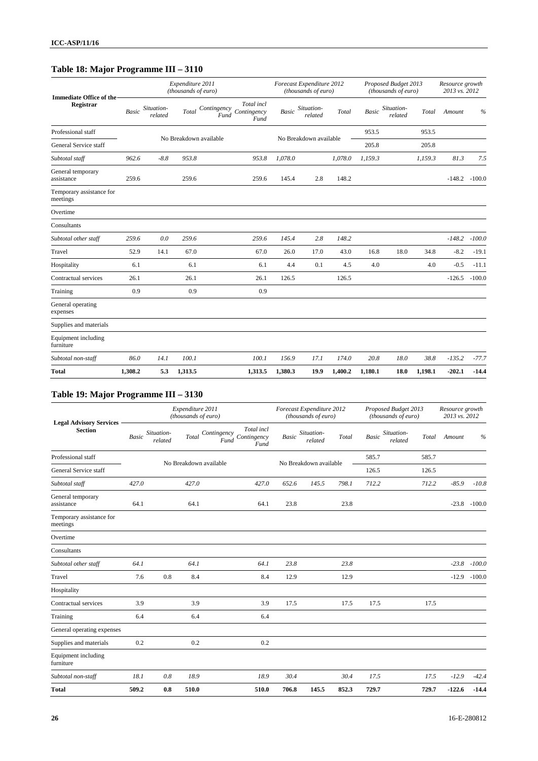# **Table 18: Major Programme III – 3110**

| <b>Immediate Office of the</b>       |              |                       | Expenditure 2011<br>(thousands of euro) |                                                          |              | Forecast Expenditure 2012<br>(thousands of euro) |         |              | Proposed Budget 2013<br>(thousands of euro) |         | Resource growth<br>2013 vs. 2012 |          |
|--------------------------------------|--------------|-----------------------|-----------------------------------------|----------------------------------------------------------|--------------|--------------------------------------------------|---------|--------------|---------------------------------------------|---------|----------------------------------|----------|
| Registrar                            | <b>Basic</b> | Situation-<br>related | Total                                   | Total incl<br>Contingency<br>Contingency<br>Fund<br>Fund | <b>Basic</b> | Situation-<br>related                            | Total   | <b>Basic</b> | Situation-<br>related                       | Total   | Amount                           | $\%$     |
| Professional staff                   |              |                       | No Breakdown available                  |                                                          |              | No Breakdown available                           |         | 953.5        |                                             | 953.5   |                                  |          |
| General Service staff                |              |                       |                                         |                                                          |              |                                                  |         | 205.8        |                                             | 205.8   |                                  |          |
| Subtotal staff                       | 962.6        | $-8.8$                | 953.8                                   | 953.8                                                    | 1,078.0      |                                                  | 1,078.0 | 1,159.3      |                                             | 1,159.3 | 81.3                             | 7.5      |
| General temporary<br>assistance      | 259.6        |                       | 259.6                                   | 259.6                                                    | 145.4        | 2.8                                              | 148.2   |              |                                             |         | $-148.2$                         | $-100.0$ |
| Temporary assistance for<br>meetings |              |                       |                                         |                                                          |              |                                                  |         |              |                                             |         |                                  |          |
| Overtime                             |              |                       |                                         |                                                          |              |                                                  |         |              |                                             |         |                                  |          |
| Consultants                          |              |                       |                                         |                                                          |              |                                                  |         |              |                                             |         |                                  |          |
| Subtotal other staff                 | 259.6        | 0.0                   | 259.6                                   | 259.6                                                    | 145.4        | 2.8                                              | 148.2   |              |                                             |         | $-148.2$                         | $-100.0$ |
| Travel                               | 52.9         | 14.1                  | 67.0                                    | 67.0                                                     | 26.0         | 17.0                                             | 43.0    | 16.8         | 18.0                                        | 34.8    | $-8.2$                           | $-19.1$  |
| Hospitality                          | 6.1          |                       | 6.1                                     | 6.1                                                      | 4.4          | 0.1                                              | 4.5     | 4.0          |                                             | 4.0     | $-0.5$                           | $-11.1$  |
| Contractual services                 | 26.1         |                       | 26.1                                    | 26.1                                                     | 126.5        |                                                  | 126.5   |              |                                             |         | $-126.5$                         | $-100.0$ |
| Training                             | 0.9          |                       | 0.9                                     | 0.9                                                      |              |                                                  |         |              |                                             |         |                                  |          |
| General operating<br>expenses        |              |                       |                                         |                                                          |              |                                                  |         |              |                                             |         |                                  |          |
| Supplies and materials               |              |                       |                                         |                                                          |              |                                                  |         |              |                                             |         |                                  |          |
| Equipment including<br>furniture     |              |                       |                                         |                                                          |              |                                                  |         |              |                                             |         |                                  |          |
| Subtotal non-staff                   | 86.0         | 14.1                  | 100.1                                   | 100.1                                                    | 156.9        | 17.1                                             | 174.0   | 20.8         | 18.0                                        | 38.8    | $-135.2$                         | $-77.7$  |
| <b>Total</b>                         | 1,308.2      | 5.3                   | 1,313.5                                 | 1,313.5                                                  | 1,380.3      | 19.9                                             | 1,400.2 | 1,180.1      | 18.0                                        | 1,198.1 | $-202.1$                         | $-14.4$  |

# **Table 19: Major Programme III – 3130**

| <b>Legal Advisory Services</b>       |       |                       | Expenditure 2011<br>(thousands of euro) |                        |                                                     |              | Forecast Expenditure 2012<br>(thousands of euro) |       | Proposed Budget 2013<br>(thousands of euro) |       | Resource growth<br>2013 vs. 2012 |                 |
|--------------------------------------|-------|-----------------------|-----------------------------------------|------------------------|-----------------------------------------------------|--------------|--------------------------------------------------|-------|---------------------------------------------|-------|----------------------------------|-----------------|
| <b>Section</b>                       | Basic | Situation-<br>related |                                         | Fund                   | Total incl<br>Total Contingency Contingency<br>Fund | <b>Basic</b> | Situation-<br>related                            | Total | Situation-<br><b>Basic</b><br>related       | Total | Amount                           | $\frac{0}{0}$   |
| Professional staff                   |       |                       |                                         | No Breakdown available |                                                     |              | No Breakdown available                           |       | 585.7                                       | 585.7 |                                  |                 |
| General Service staff                |       |                       |                                         |                        |                                                     |              |                                                  |       | 126.5                                       | 126.5 |                                  |                 |
| Subtotal staff                       | 427.0 |                       | 427.0                                   |                        | 427.0                                               | 652.6        | 145.5                                            | 798.1 | 712.2                                       | 712.2 | $-85.9$                          | $-10.8$         |
| General temporary<br>assistance      | 64.1  |                       | 64.1                                    |                        | 64.1                                                | 23.8         |                                                  | 23.8  |                                             |       |                                  | $-23.8 - 100.0$ |
| Temporary assistance for<br>meetings |       |                       |                                         |                        |                                                     |              |                                                  |       |                                             |       |                                  |                 |
| Overtime                             |       |                       |                                         |                        |                                                     |              |                                                  |       |                                             |       |                                  |                 |
| Consultants                          |       |                       |                                         |                        |                                                     |              |                                                  |       |                                             |       |                                  |                 |
| Subtotal other staff                 | 64.1  |                       | 64.1                                    |                        | 64.1                                                | 23.8         |                                                  | 23.8  |                                             |       | $-23.8$                          | $-100.0$        |
| Travel                               | 7.6   | 0.8                   | 8.4                                     |                        | 8.4                                                 | 12.9         |                                                  | 12.9  |                                             |       | $-12.9$                          | $-100.0$        |
| Hospitality                          |       |                       |                                         |                        |                                                     |              |                                                  |       |                                             |       |                                  |                 |
| Contractual services                 | 3.9   |                       | 3.9                                     |                        | 3.9                                                 | 17.5         |                                                  | 17.5  | 17.5                                        | 17.5  |                                  |                 |
| Training                             | 6.4   |                       | 6.4                                     |                        | 6.4                                                 |              |                                                  |       |                                             |       |                                  |                 |
| General operating expenses           |       |                       |                                         |                        |                                                     |              |                                                  |       |                                             |       |                                  |                 |
| Supplies and materials               | 0.2   |                       | 0.2                                     |                        | 0.2                                                 |              |                                                  |       |                                             |       |                                  |                 |
| Equipment including<br>furniture     |       |                       |                                         |                        |                                                     |              |                                                  |       |                                             |       |                                  |                 |
| Subtotal non-staff                   | 18.1  | 0.8                   | 18.9                                    |                        | 18.9                                                | 30.4         |                                                  | 30.4  | 17.5                                        | 17.5  | $-12.9$                          | $-42.4$         |
| <b>Total</b>                         | 509.2 | 0.8                   | 510.0                                   |                        | 510.0                                               | 706.8        | 145.5                                            | 852.3 | 729.7                                       | 729.7 | $-122.6$                         | $-14.4$         |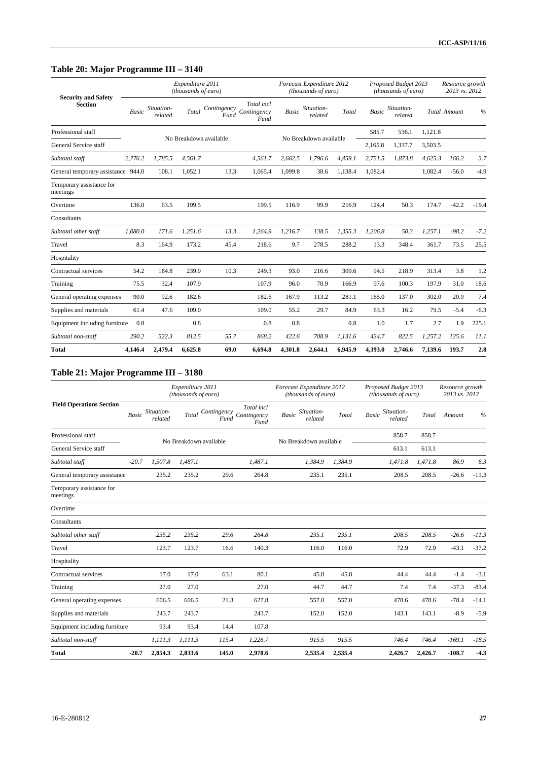# **Table 20: Major Programme III – 3140**

|                                              |              |                       | Expenditure 2011<br>(thousands of euro) |                     |                                   |         | Forecast Expenditure 2012<br>(thousands of euro) |         |              | Proposed Budget 2013<br>(thousands of euro) |         | Resource growth<br>2013 vs. 2012 |         |
|----------------------------------------------|--------------|-----------------------|-----------------------------------------|---------------------|-----------------------------------|---------|--------------------------------------------------|---------|--------------|---------------------------------------------|---------|----------------------------------|---------|
| <b>Security and Safety</b><br><b>Section</b> | <b>Basic</b> | Situation-<br>related | Total                                   | Contingency<br>Fund | Total incl<br>Contingency<br>Fund | Basic   | Situation-<br>related                            | Total   | <b>Basic</b> | Situation-<br>related                       |         | <b>Total Amount</b>              | $\%$    |
| Professional staff                           |              |                       |                                         |                     |                                   |         |                                                  |         | 585.7        | 536.1                                       | 1.121.8 |                                  |         |
| General Service staff                        |              |                       | No Breakdown available                  |                     |                                   |         | No Breakdown available                           |         | 2,165.8      | 1,337.7                                     | 3,503.5 |                                  |         |
| Subtotal staff                               | 2,776.2      | 1,785.5               | 4.561.7                                 |                     | 4,561.7                           | 2,662.5 | 1.796.6                                          | 4.459.1 | 2,751.5      | 1,873.8                                     | 4,625.3 | 166.2                            | 3.7     |
| General temporary assistance 944.0           |              | 108.1                 | 1,052.1                                 | 13.3                | 1,065.4                           | 1,099.8 | 38.6                                             | 1,138.4 | 1,082.4      |                                             | 1,082.4 | $-56.0$                          | $-4.9$  |
| Temporary assistance for<br>meetings         |              |                       |                                         |                     |                                   |         |                                                  |         |              |                                             |         |                                  |         |
| Overtime                                     | 136.0        | 63.5                  | 199.5                                   |                     | 199.5                             | 116.9   | 99.9                                             | 216.9   | 124.4        | 50.3                                        | 174.7   | $-42.2$                          | $-19.4$ |
| Consultants                                  |              |                       |                                         |                     |                                   |         |                                                  |         |              |                                             |         |                                  |         |
| Subtotal other staff                         | 1,080.0      | 171.6                 | 1.251.6                                 | 13.3                | 1,264.9                           | 1,216.7 | 138.5                                            | 1,355.3 | 1,206.8      | 50.3                                        | 1,257.1 | $-98.2$                          | $-7.2$  |
| Travel                                       | 8.3          | 164.9                 | 173.2                                   | 45.4                | 218.6                             | 9.7     | 278.5                                            | 288.2   | 13.3         | 348.4                                       | 361.7   | 73.5                             | 25.5    |
| Hospitality                                  |              |                       |                                         |                     |                                   |         |                                                  |         |              |                                             |         |                                  |         |
| Contractual services                         | 54.2         | 184.8                 | 239.0                                   | 10.3                | 249.3                             | 93.0    | 216.6                                            | 309.6   | 94.5         | 218.9                                       | 313.4   | 3.8                              | 1.2     |
| Training                                     | 75.5         | 32.4                  | 107.9                                   |                     | 107.9                             | 96.0    | 70.9                                             | 166.9   | 97.6         | 100.3                                       | 197.9   | 31.0                             | 18.6    |
| General operating expenses                   | 90.0         | 92.6                  | 182.6                                   |                     | 182.6                             | 167.9   | 113.2                                            | 281.1   | 165.0        | 137.0                                       | 302.0   | 20.9                             | 7.4     |
| Supplies and materials                       | 61.4         | 47.6                  | 109.0                                   |                     | 109.0                             | 55.2    | 29.7                                             | 84.9    | 63.3         | 16.2                                        | 79.5    | $-5.4$                           | $-6.3$  |
| Equipment including furniture                | 0.8          |                       | 0.8                                     |                     | 0.8                               | 0.8     |                                                  | 0.8     | 1.0          | 1.7                                         | 2.7     | 1.9                              | 225.1   |
| Subtotal non-staff                           | 290.2        | 522.3                 | 812.5                                   | 55.7                | 868.2                             | 422.6   | 708.9                                            | 1,131.6 | 434.7        | 822.5                                       | 1,257.2 | 125.6                            | 11.1    |
| <b>Total</b>                                 | 4,146.4      | 2,479.4               | 6,625.8                                 | 69.0                | 6,694.8                           | 4,301.8 | 2,644.1                                          | 6,945.9 | 4,393.0      | 2,746.6                                     | 7,139.6 | 193.7                            | 2.8     |

# **Table 21: Major Programme III – 3180**

|                                      |              |                       | Expenditure 2011<br>(thousands of euro) |                     |                                   | Forecast Expenditure 2012<br>(thousands of euro) |         | Proposed Budget 2013<br>(thousands of euro) |         | Resource growth<br>2013 vs. 2012 |               |
|--------------------------------------|--------------|-----------------------|-----------------------------------------|---------------------|-----------------------------------|--------------------------------------------------|---------|---------------------------------------------|---------|----------------------------------|---------------|
| <b>Field Operations Section</b>      | <b>Basic</b> | Situation-<br>related | Total                                   | Contingency<br>Fund | Total incl<br>Contingency<br>Fund | Situation-<br><b>Basic</b><br>related            | Total   | Situation-<br><b>Basic</b><br>related       | Total   | Amount                           | $\frac{0}{0}$ |
| Professional staff                   |              |                       | No Breakdown available                  |                     |                                   | No Breakdown available                           |         | 858.7                                       | 858.7   |                                  |               |
| General Service staff                |              |                       |                                         |                     |                                   |                                                  |         | 613.1                                       | 613.1   |                                  |               |
| Subtotal staff                       | $-20.7$      | 1,507.8               | 1.487.1                                 |                     | 1.487.1                           | 1,384.9                                          | 1.384.9 | 1,471.8                                     | 1.471.8 | 86.9                             | 6.3           |
| General temporary assistance         |              | 235.2                 | 235.2                                   | 29.6                | 264.8                             | 235.1                                            | 235.1   | 208.5                                       | 208.5   | $-26.6$                          | $-11.3$       |
| Temporary assistance for<br>meetings |              |                       |                                         |                     |                                   |                                                  |         |                                             |         |                                  |               |
| Overtime                             |              |                       |                                         |                     |                                   |                                                  |         |                                             |         |                                  |               |
| Consultants                          |              |                       |                                         |                     |                                   |                                                  |         |                                             |         |                                  |               |
| Subtotal other staff                 |              | 235.2                 | 235.2                                   | 29.6                | 264.8                             | 235.1                                            | 235.1   | 208.5                                       | 208.5   | $-26.6$                          | $-11.3$       |
| Travel                               |              | 123.7                 | 123.7                                   | 16.6                | 140.3                             | 116.0                                            | 116.0   | 72.9                                        | 72.9    | $-43.1$                          | $-37.2$       |
| Hospitality                          |              |                       |                                         |                     |                                   |                                                  |         |                                             |         |                                  |               |
| Contractual services                 |              | 17.0                  | 17.0                                    | 63.1                | 80.1                              | 45.8                                             | 45.8    | 44.4                                        | 44.4    | $-1.4$                           | $-3.1$        |
| Training                             |              | 27.0                  | 27.0                                    |                     | 27.0                              | 44.7                                             | 44.7    | 7.4                                         | 7.4     | $-37.3$                          | $-83.4$       |
| General operating expenses           |              | 606.5                 | 606.5                                   | 21.3                | 627.8                             | 557.0                                            | 557.0   | 478.6                                       | 478.6   | $-78.4$                          | $-14.1$       |
| Supplies and materials               |              | 243.7                 | 243.7                                   |                     | 243.7                             | 152.0                                            | 152.0   | 143.1                                       | 143.1   | $-8.9$                           | $-5.9$        |
| Equipment including furniture        |              | 93.4                  | 93.4                                    | 14.4                | 107.8                             |                                                  |         |                                             |         |                                  |               |
| Subtotal non-staff                   |              | 1,111.3               | 1.111.3                                 | 115.4               | 1,226.7                           | 915.5                                            | 915.5   | 746.4                                       | 746.4   | $-169.1$                         | $-18.5$       |
| <b>Total</b>                         | $-20.7$      | 2,854.3               | 2,833.6                                 | 145.0               | 2,978.6                           | 2,535.4                                          | 2,535.4 | 2,426.7                                     | 2,426.7 | $-108.7$                         | $-4.3$        |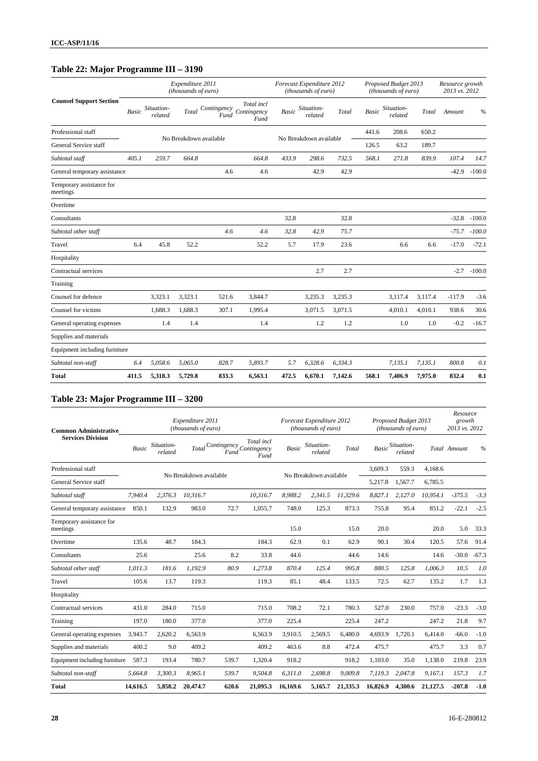# **Table 22: Major Programme III – 3190**

|                                      |       |                       | Expenditure 2011<br>(thousands of euro) |                        |                                   |       | Forecast Expenditure 2012<br>(thousands of euro) |         |              | Proposed Budget 2013<br>(thousands of euro) |         | Resource growth<br>2013 vs. 2012 |               |
|--------------------------------------|-------|-----------------------|-----------------------------------------|------------------------|-----------------------------------|-------|--------------------------------------------------|---------|--------------|---------------------------------------------|---------|----------------------------------|---------------|
| <b>Counsel Support Section</b>       | Basic | Situation-<br>related | Total                                   | Contingency<br>Fund    | Total incl<br>Contingency<br>Fund | Basic | Situation-<br>related                            | Total   | <b>Basic</b> | Situation-<br>related                       | Total   | Amount                           | $\frac{0}{0}$ |
| Professional staff                   |       |                       |                                         | No Breakdown available |                                   |       | No Breakdown available                           |         | 441.6        | 208.6                                       | 650.2   |                                  |               |
| General Service staff                |       |                       |                                         |                        |                                   |       |                                                  |         | 126.5        | 63.2                                        | 189.7   |                                  |               |
| Subtotal staff                       | 405.1 | 259.7                 | 664.8                                   |                        | 664.8                             | 433.9 | 298.6                                            | 732.5   | 568.1        | 271.8                                       | 839.9   | 107.4                            | 14.7          |
| General temporary assistance         |       |                       |                                         | 4.6                    | 4.6                               |       | 42.9                                             | 42.9    |              |                                             |         | $-42.9$                          | $-100.0$      |
| Temporary assistance for<br>meetings |       |                       |                                         |                        |                                   |       |                                                  |         |              |                                             |         |                                  |               |
| Overtime                             |       |                       |                                         |                        |                                   |       |                                                  |         |              |                                             |         |                                  |               |
| Consultants                          |       |                       |                                         |                        |                                   | 32.8  |                                                  | 32.8    |              |                                             |         | $-32.8$                          | $-100.0$      |
| Subtotal other staff                 |       |                       |                                         | 4.6                    | 4.6                               | 32.8  | 42.9                                             | 75.7    |              |                                             |         | $-75.7$                          | $-100.0$      |
| Travel                               | 6.4   | 45.8                  | 52.2                                    |                        | 52.2                              | 5.7   | 17.9                                             | 23.6    |              | 6.6                                         | 6.6     | $-17.0$                          | $-72.1$       |
| Hospitality                          |       |                       |                                         |                        |                                   |       |                                                  |         |              |                                             |         |                                  |               |
| Contractual services                 |       |                       |                                         |                        |                                   |       | 2.7                                              | 2.7     |              |                                             |         | $-2.7$                           | $-100.0$      |
| Training                             |       |                       |                                         |                        |                                   |       |                                                  |         |              |                                             |         |                                  |               |
| Counsel for defence                  |       | 3,323.1               | 3,323.1                                 | 521.6                  | 3,844.7                           |       | 3,235.3                                          | 3,235.3 |              | 3,117.4                                     | 3,117.4 | $-117.9$                         | $-3.6$        |
| Counsel for victims                  |       | 1,688.3               | 1.688.3                                 | 307.1                  | 1,995.4                           |       | 3,071.5                                          | 3.071.5 |              | 4,010.1                                     | 4,010.1 | 938.6                            | 30.6          |
| General operating expenses           |       | 1.4                   | 1.4                                     |                        | 1.4                               |       | 1.2                                              | 1.2     |              | 1.0                                         | 1.0     | $-0.2$                           | $-16.7$       |
| Supplies and materials               |       |                       |                                         |                        |                                   |       |                                                  |         |              |                                             |         |                                  |               |
| Equipment including furniture        |       |                       |                                         |                        |                                   |       |                                                  |         |              |                                             |         |                                  |               |
| Subtotal non-staff                   | 6.4   | 5,058.6               | 5,065.0                                 | 828.7                  | 5,893.7                           | 5.7   | 6,328.6                                          | 6,334.3 |              | 7,135.1                                     | 7,135.1 | 800.8                            | 0.1           |
| <b>Total</b>                         | 411.5 | 5,318.3               | 5,729.8                                 | 833.3                  | 6,563.1                           | 472.5 | 6,670.1                                          | 7,142.6 | 568.1        | 7,406.9                                     | 7,975.0 | 832.4                            | 0.1           |

# **Table 23: Major Programme III – 3200**

| <b>Common Administrative</b>         |          |                       | Expenditure 2011<br>(thousands of euro) |                                           |                    |          | Forecast Expenditure 2012<br>(thousands of euro) |          |              | Proposed Budget 2013<br>(thousands of euro) |          | Resource<br>growth<br>2013 vs. 2012 |         |
|--------------------------------------|----------|-----------------------|-----------------------------------------|-------------------------------------------|--------------------|----------|--------------------------------------------------|----------|--------------|---------------------------------------------|----------|-------------------------------------|---------|
| <b>Services Division</b>             | Basic    | Situation-<br>related |                                         | $Total Contingency$ $Contingency$<br>Fund | Total incl<br>Fund | Basic    | Situation-<br>related                            | Total    | <b>Basic</b> | Situation-<br>related                       |          | Total Amount                        | $\%$    |
| Professional staff                   |          |                       | No Breakdown available                  |                                           |                    |          | No Breakdown available                           |          | 3.609.3      | 559.3                                       | 4.168.6  |                                     |         |
| General Service staff                |          |                       |                                         |                                           |                    |          |                                                  |          | 5,217.8      | 1,567.7                                     | 6.785.5  |                                     |         |
| Subtotal staff                       | 7,940.4  | 2,376.3               | 10,316.7                                |                                           | 10.316.7           | 8,988.2  | 2,341.5                                          | 11,329.6 | 8,827.1      | 2,127.0                                     | 10,954.1 | $-375.5$                            | $-3.3$  |
| General temporary assistance         | 850.1    | 132.9                 | 983.0                                   | 72.7                                      | 1,055.7            | 748.0    | 125.3                                            | 873.3    | 755.8        | 95.4                                        | 851.2    | $-22.1$                             | $-2.5$  |
| Temporary assistance for<br>meetings |          |                       |                                         |                                           |                    | 15.0     |                                                  | 15.0     | 20.0         |                                             | 20.0     | 5.0                                 | 33.3    |
| Overtime                             | 135.6    | 48.7                  | 184.3                                   |                                           | 184.3              | 62.9     | 0.1                                              | 62.9     | 90.1         | 30.4                                        | 120.5    | 57.6                                | 91.4    |
| Consultants                          | 25.6     |                       | 25.6                                    | 8.2                                       | 33.8               | 44.6     |                                                  | 44.6     | 14.6         |                                             | 14.6     | $-30.0$                             | $-67.3$ |
| Subtotal other staff                 | 1,011.3  | 181.6                 | 1.192.9                                 | 80.9                                      | 1,273.8            | 870.4    | 125.4                                            | 995.8    | 880.5        | 125.8                                       | 1.006.3  | 10.5                                | 1.0     |
| Travel                               | 105.6    | 13.7                  | 119.3                                   |                                           | 119.3              | 85.1     | 48.4                                             | 133.5    | 72.5         | 62.7                                        | 135.2    | 1.7                                 | 1.3     |
| Hospitality                          |          |                       |                                         |                                           |                    |          |                                                  |          |              |                                             |          |                                     |         |
| Contractual services                 | 431.0    | 284.0                 | 715.0                                   |                                           | 715.0              | 708.2    | 72.1                                             | 780.3    | 527.0        | 230.0                                       | 757.0    | $-23.3$                             | $-3.0$  |
| Training                             | 197.0    | 180.0                 | 377.0                                   |                                           | 377.0              | 225.4    |                                                  | 225.4    | 247.2        |                                             | 247.2    | 21.8                                | 9.7     |
| General operating expenses           | 3,943.7  | 2,620.2               | 6,563.9                                 |                                           | 6,563.9            | 3,910.5  | 2,569.5                                          | 6,480.0  | 4,693.9      | 1.720.1                                     | 6.414.0  | $-66.0$                             | $-1.0$  |
| Supplies and materials               | 400.2    | 9.0                   | 409.2                                   |                                           | 409.2              | 463.6    | 8.8                                              | 472.4    | 475.7        |                                             | 475.7    | 3.3                                 | 0.7     |
| Equipment including furniture        | 587.3    | 193.4                 | 780.7                                   | 539.7                                     | 1,320.4            | 918.2    |                                                  | 918.2    | 1.103.0      | 35.0                                        | 1,138.0  | 219.8                               | 23.9    |
| Subtotal non-staff                   | 5,664.8  | 3.300.3               | 8.965.1                                 | 539.7                                     | 9,504.8            | 6,311.0  | 2.698.8                                          | 9,009.8  | 7,119.3      | 2.047.8                                     | 9,167.1  | 157.3                               | 1.7     |
| <b>Total</b>                         | 14,616.5 | 5,858.2               | 20,474.7                                | 620.6                                     | 21,095.3           | 16,169.6 | 5,165.7                                          | 21,335.3 | 16,826.9     | 4,300.6                                     | 21,127.5 | $-207.8$                            | $-1.0$  |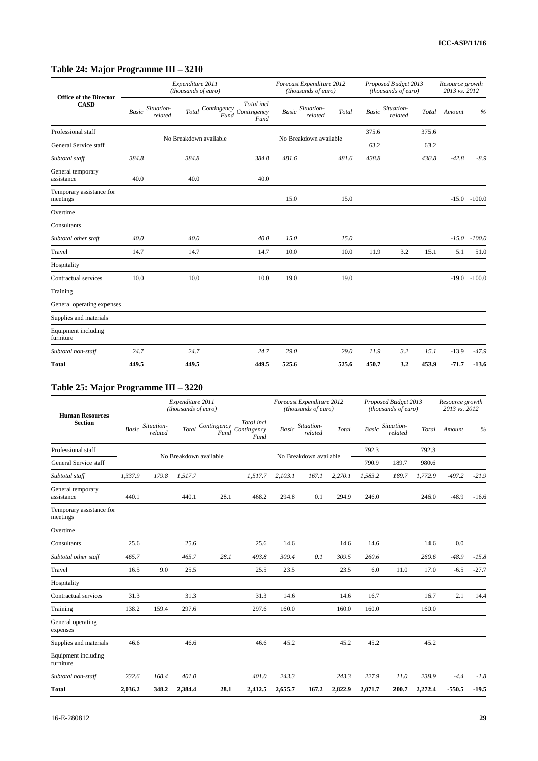# **Table 24: Major Programme III – 3210**

| <b>Office of the Director</b>        |       |                       | Expenditure 2011<br>(thousands of euro) |                                 |                    |              | Forecast Expenditure 2012<br>(thousands of euro) |       |              | Proposed Budget 2013<br>(thousands of euro) |       | Resource growth<br>2013 vs. 2012 |                |
|--------------------------------------|-------|-----------------------|-----------------------------------------|---------------------------------|--------------------|--------------|--------------------------------------------------|-------|--------------|---------------------------------------------|-------|----------------------------------|----------------|
| <b>CASD</b>                          | Basic | Situation-<br>related | <b>Total</b>                            | Contingency Contingency<br>Fund | Total incl<br>Fund | <b>Basic</b> | Situation-<br>related                            | Total | <b>Basic</b> | Situation-<br>related                       | Total | Amount                           | $\%$           |
| Professional staff                   |       |                       | No Breakdown available                  |                                 |                    |              | No Breakdown available                           |       | 375.6        |                                             | 375.6 |                                  |                |
| General Service staff                |       |                       |                                         |                                 |                    |              |                                                  |       | 63.2         |                                             | 63.2  |                                  |                |
| Subtotal staff                       | 384.8 |                       | 384.8                                   |                                 | 384.8              | 481.6        |                                                  | 481.6 | 438.8        |                                             | 438.8 | $-42.8$                          | $-8.9$         |
| General temporary<br>assistance      | 40.0  |                       | 40.0                                    |                                 | 40.0               |              |                                                  |       |              |                                             |       |                                  |                |
| Temporary assistance for<br>meetings |       |                       |                                         |                                 |                    | 15.0         |                                                  | 15.0  |              |                                             |       |                                  | $-15.0 -100.0$ |
| Overtime                             |       |                       |                                         |                                 |                    |              |                                                  |       |              |                                             |       |                                  |                |
| Consultants                          |       |                       |                                         |                                 |                    |              |                                                  |       |              |                                             |       |                                  |                |
| Subtotal other staff                 | 40.0  |                       | 40.0                                    |                                 | 40.0               | 15.0         |                                                  | 15.0  |              |                                             |       | $-15.0$                          | $-100.0$       |
| Travel                               | 14.7  |                       | 14.7                                    |                                 | 14.7               | 10.0         |                                                  | 10.0  | 11.9         | 3.2                                         | 15.1  | 5.1                              | 51.0           |
| Hospitality                          |       |                       |                                         |                                 |                    |              |                                                  |       |              |                                             |       |                                  |                |
| Contractual services                 | 10.0  |                       | 10.0                                    |                                 | 10.0               | 19.0         |                                                  | 19.0  |              |                                             |       | $-19.0$                          | $-100.0$       |
| Training                             |       |                       |                                         |                                 |                    |              |                                                  |       |              |                                             |       |                                  |                |
| General operating expenses           |       |                       |                                         |                                 |                    |              |                                                  |       |              |                                             |       |                                  |                |
| Supplies and materials               |       |                       |                                         |                                 |                    |              |                                                  |       |              |                                             |       |                                  |                |
| Equipment including<br>furniture     |       |                       |                                         |                                 |                    |              |                                                  |       |              |                                             |       |                                  |                |
| Subtotal non-staff                   | 24.7  |                       | 24.7                                    |                                 | 24.7               | 29.0         |                                                  | 29.0  | 11.9         | 3.2                                         | 15.1  | $-13.9$                          | $-47.9$        |
| <b>Total</b>                         | 449.5 |                       | 449.5                                   |                                 | 449.5              | 525.6        |                                                  | 525.6 | 450.7        | 3.2                                         | 453.9 | $-71.7$                          | $-13.6$        |

# **Table 25: Major Programme III – 3220**

| <b>Human Resources</b>               |         |                       | Expenditure 2011<br>(thousands of euro) |                     |                                   |              | Forecast Expenditure 2012<br>(thousands of euro) |         |              | Proposed Budget 2013<br>(thousands of euro) |         | Resource growth<br>2013 vs. 2012 |         |
|--------------------------------------|---------|-----------------------|-----------------------------------------|---------------------|-----------------------------------|--------------|--------------------------------------------------|---------|--------------|---------------------------------------------|---------|----------------------------------|---------|
| <b>Section</b>                       | Basic   | Situation-<br>related | Total                                   | Contingency<br>Fund | Total incl<br>Contingency<br>Fund | <b>Basic</b> | Situation-<br>related                            | Total   | <b>Basic</b> | Situation-<br>related                       | Total   | Amount                           | $\%$    |
| Professional staff                   |         |                       | No Breakdown available                  |                     |                                   |              | No Breakdown available                           |         | 792.3        |                                             | 792.3   |                                  |         |
| General Service staff                |         |                       |                                         |                     |                                   |              |                                                  |         | 790.9        | 189.7                                       | 980.6   |                                  |         |
| Subtotal staff                       | 1.337.9 | 179.8                 | 1,517.7                                 |                     | 1,517.7                           | 2,103.1      | 167.1                                            | 2,270.1 | 1.583.2      | 189.7                                       | 1,772.9 | $-497.2$                         | $-21.9$ |
| General temporary<br>assistance      | 440.1   |                       | 440.1                                   | 28.1                | 468.2                             | 294.8        | 0.1                                              | 294.9   | 246.0        |                                             | 246.0   | $-48.9$                          | $-16.6$ |
| Temporary assistance for<br>meetings |         |                       |                                         |                     |                                   |              |                                                  |         |              |                                             |         |                                  |         |
| Overtime                             |         |                       |                                         |                     |                                   |              |                                                  |         |              |                                             |         |                                  |         |
| Consultants                          | 25.6    |                       | 25.6                                    |                     | 25.6                              | 14.6         |                                                  | 14.6    | 14.6         |                                             | 14.6    | 0.0                              |         |
| Subtotal other staff                 | 465.7   |                       | 465.7                                   | 28.1                | 493.8                             | 309.4        | 0.1                                              | 309.5   | 260.6        |                                             | 260.6   | $-48.9$                          | $-15.8$ |
| Travel                               | 16.5    | 9.0                   | 25.5                                    |                     | 25.5                              | 23.5         |                                                  | 23.5    | 6.0          | 11.0                                        | 17.0    | $-6.5$                           | $-27.7$ |
| Hospitality                          |         |                       |                                         |                     |                                   |              |                                                  |         |              |                                             |         |                                  |         |
| Contractual services                 | 31.3    |                       | 31.3                                    |                     | 31.3                              | 14.6         |                                                  | 14.6    | 16.7         |                                             | 16.7    | 2.1                              | 14.4    |
| Training                             | 138.2   | 159.4                 | 297.6                                   |                     | 297.6                             | 160.0        |                                                  | 160.0   | 160.0        |                                             | 160.0   |                                  |         |
| General operating<br>expenses        |         |                       |                                         |                     |                                   |              |                                                  |         |              |                                             |         |                                  |         |
| Supplies and materials               | 46.6    |                       | 46.6                                    |                     | 46.6                              | 45.2         |                                                  | 45.2    | 45.2         |                                             | 45.2    |                                  |         |
| Equipment including<br>furniture     |         |                       |                                         |                     |                                   |              |                                                  |         |              |                                             |         |                                  |         |
| Subtotal non-staff                   | 232.6   | 168.4                 | 401.0                                   |                     | 401.0                             | 243.3        |                                                  | 243.3   | 227.9        | 11.0                                        | 238.9   | $-4.4$                           | $-1.8$  |
| <b>Total</b>                         | 2,036.2 | 348.2                 | 2,384.4                                 | 28.1                | 2,412.5                           | 2,655.7      | 167.2                                            | 2,822.9 | 2,071.7      | 200.7                                       | 2,272.4 | $-550.5$                         | $-19.5$ |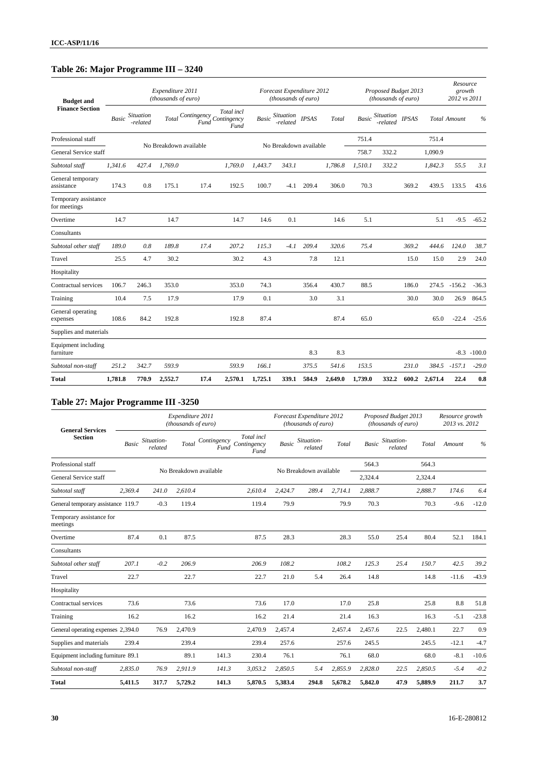# **Table 26: Major Programme III – 3240**

| <b>Budget and</b>                    |              |                              | Expenditure 2011<br>(thousands of euro) |                                 |                    |              | Forecast Expenditure 2012<br>(thousands of euro) |              |         |              | Proposed Budget 2013<br>(thousands of euro) |              |         | Resource<br>growth<br>2012 vs 2011 |                |
|--------------------------------------|--------------|------------------------------|-----------------------------------------|---------------------------------|--------------------|--------------|--------------------------------------------------|--------------|---------|--------------|---------------------------------------------|--------------|---------|------------------------------------|----------------|
| <b>Finance Section</b>               | <b>Basic</b> | <b>Situation</b><br>-related | Total                                   | Contingency Contingency<br>Fund | Total incl<br>Fund | <b>Basic</b> | Situation<br>-related                            | <b>IPSAS</b> | Total   | <b>Basic</b> | <i>Situation</i><br>-related                | <b>IPSAS</b> |         | <b>Total Amount</b>                | $\frac{0}{0}$  |
| Professional staff                   |              |                              | No Breakdown available                  |                                 |                    |              | No Breakdown available                           |              |         | 751.4        |                                             |              | 751.4   |                                    |                |
| General Service staff                |              |                              |                                         |                                 |                    |              |                                                  |              |         | 758.7        | 332.2                                       |              | 1,090.9 |                                    |                |
| Subtotal staff                       | 1,341.6      | 427.4                        | 1,769.0                                 |                                 | 1,769.0            | 1,443.7      | 343.1                                            |              | 1,786.8 | 1,510.1      | 332.2                                       |              | 1,842.3 | 55.5                               | 3.1            |
| General temporary<br>assistance      | 174.3        | 0.8                          | 175.1                                   | 17.4                            | 192.5              | 100.7        | $-4.1$                                           | 209.4        | 306.0   | 70.3         |                                             | 369.2        | 439.5   | 133.5                              | 43.6           |
| Temporary assistance<br>for meetings |              |                              |                                         |                                 |                    |              |                                                  |              |         |              |                                             |              |         |                                    |                |
| Overtime                             | 14.7         |                              | 14.7                                    |                                 | 14.7               | 14.6         | 0.1                                              |              | 14.6    | 5.1          |                                             |              | 5.1     | $-9.5$                             | $-65.2$        |
| Consultants                          |              |                              |                                         |                                 |                    |              |                                                  |              |         |              |                                             |              |         |                                    |                |
| Subtotal other staff                 | 189.0        | 0.8                          | 189.8                                   | 17.4                            | 207.2              | 115.3        | $-4.1$                                           | 209.4        | 320.6   | 75.4         |                                             | 369.2        | 444.6   | 124.0                              | 38.7           |
| Travel                               | 25.5         | 4.7                          | 30.2                                    |                                 | 30.2               | 4.3          |                                                  | 7.8          | 12.1    |              |                                             | 15.0         | 15.0    | 2.9                                | 24.0           |
| Hospitality                          |              |                              |                                         |                                 |                    |              |                                                  |              |         |              |                                             |              |         |                                    |                |
| Contractual services                 | 106.7        | 246.3                        | 353.0                                   |                                 | 353.0              | 74.3         |                                                  | 356.4        | 430.7   | 88.5         |                                             | 186.0        | 274.5   | $-156.2$                           | $-36.3$        |
| Training                             | 10.4         | 7.5                          | 17.9                                    |                                 | 17.9               | 0.1          |                                                  | 3.0          | 3.1     |              |                                             | 30.0         | 30.0    | 26.9                               | 864.5          |
| General operating<br>expenses        | 108.6        | 84.2                         | 192.8                                   |                                 | 192.8              | 87.4         |                                                  |              | 87.4    | 65.0         |                                             |              | 65.0    | $-22.4$                            | $-25.6$        |
| Supplies and materials               |              |                              |                                         |                                 |                    |              |                                                  |              |         |              |                                             |              |         |                                    |                |
| Equipment including<br>furniture     |              |                              |                                         |                                 |                    |              |                                                  | 8.3          | 8.3     |              |                                             |              |         |                                    | $-8.3 - 100.0$ |
| Subtotal non-staff                   | 251.2        | 342.7                        | 593.9                                   |                                 | 593.9              | 166.1        |                                                  | 375.5        | 541.6   | 153.5        |                                             | 231.0        | 384.5   | $-157.1$                           | $-29.0$        |
| <b>Total</b>                         | 1,781.8      | 770.9                        | 2,552.7                                 | 17.4                            | 2,570.1            | 1,725.1      | 339.1                                            | 584.9        | 2,649.0 | 1,739.0      | 332.2                                       | 600.2        | 2,671.4 | 22.4                               | 0.8            |

# **Table 27: Major Programme III -3250**

| <b>General Services</b>              |              |                       | Expenditure 2011<br>(thousands of euro) |                     |                                   |              | Forecast Expenditure 2012<br>(thousands of euro) |         |              | Proposed Budget 2013<br>(thousands of euro) |         | Resource growth<br>2013 vs. 2012 |         |
|--------------------------------------|--------------|-----------------------|-----------------------------------------|---------------------|-----------------------------------|--------------|--------------------------------------------------|---------|--------------|---------------------------------------------|---------|----------------------------------|---------|
| <b>Section</b>                       | <b>Basic</b> | Situation-<br>related | Total                                   | Contingency<br>Fund | Total incl<br>Contingency<br>Fund | <b>Basic</b> | Situation-<br>related                            | Total   | <b>Basic</b> | Situation-<br>related                       | Total   | Amount                           | $\%$    |
| Professional staff                   |              |                       | No Breakdown available                  |                     |                                   |              | No Breakdown available                           |         | 564.3        |                                             | 564.3   |                                  |         |
| General Service staff                |              |                       |                                         |                     |                                   |              |                                                  |         | 2,324.4      |                                             | 2,324.4 |                                  |         |
| Subtotal staff                       | 2,369.4      | 241.0                 | 2,610.4                                 |                     | 2,610.4                           | 2,424.7      | 289.4                                            | 2,714.1 | 2,888.7      |                                             | 2,888.7 | 174.6                            | 6.4     |
| General temporary assistance 119.7   |              | $-0.3$                | 119.4                                   |                     | 119.4                             | 79.9         |                                                  | 79.9    | 70.3         |                                             | 70.3    | $-9.6$                           | $-12.0$ |
| Temporary assistance for<br>meetings |              |                       |                                         |                     |                                   |              |                                                  |         |              |                                             |         |                                  |         |
| Overtime                             | 87.4         | 0.1                   | 87.5                                    |                     | 87.5                              | 28.3         |                                                  | 28.3    | 55.0         | 25.4                                        | 80.4    | 52.1                             | 184.1   |
| Consultants                          |              |                       |                                         |                     |                                   |              |                                                  |         |              |                                             |         |                                  |         |
| Subtotal other staff                 | 207.1        | $-0.2$                | 206.9                                   |                     | 206.9                             | 108.2        |                                                  | 108.2   | 125.3        | 25.4                                        | 150.7   | 42.5                             | 39.2    |
| Travel                               | 22.7         |                       | 22.7                                    |                     | 22.7                              | 21.0         | 5.4                                              | 26.4    | 14.8         |                                             | 14.8    | $-11.6$                          | $-43.9$ |
| Hospitality                          |              |                       |                                         |                     |                                   |              |                                                  |         |              |                                             |         |                                  |         |
| Contractual services                 | 73.6         |                       | 73.6                                    |                     | 73.6                              | 17.0         |                                                  | 17.0    | 25.8         |                                             | 25.8    | 8.8                              | 51.8    |
| Training                             | 16.2         |                       | 16.2                                    |                     | 16.2                              | 21.4         |                                                  | 21.4    | 16.3         |                                             | 16.3    | $-5.1$                           | $-23.8$ |
| General operating expenses 2,394.0   |              | 76.9                  | 2,470.9                                 |                     | 2,470.9                           | 2,457.4      |                                                  | 2,457.4 | 2,457.6      | 22.5                                        | 2,480.1 | 22.7                             | 0.9     |
| Supplies and materials               | 239.4        |                       | 239.4                                   |                     | 239.4                             | 257.6        |                                                  | 257.6   | 245.5        |                                             | 245.5   | $-12.1$                          | $-4.7$  |
| Equipment including furniture 89.1   |              |                       | 89.1                                    | 141.3               | 230.4                             | 76.1         |                                                  | 76.1    | 68.0         |                                             | 68.0    | $-8.1$                           | $-10.6$ |
| Subtotal non-staff                   | 2,835.0      | 76.9                  | 2,911.9                                 | 141.3               | 3,053.2                           | 2,850.5      | 5.4                                              | 2,855.9 | 2,828.0      | 22.5                                        | 2,850.5 | $-5.4$                           | $-0.2$  |
| <b>Total</b>                         | 5,411.5      | 317.7                 | 5,729.2                                 | 141.3               | 5,870.5                           | 5,383.4      | 294.8                                            | 5,678.2 | 5,842.0      | 47.9                                        | 5,889.9 | 211.7                            | 3.7     |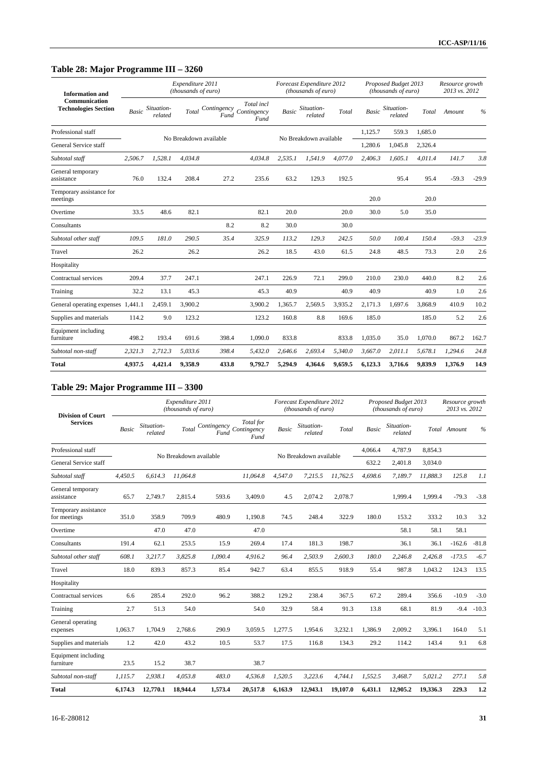# **Table 28: Major Programme III – 3260**

| <b>Information</b> and                       |              |                       | Expenditure 2011<br>(thousands of euro) |       |                                                  |              | Forecast Expenditure 2012<br>(thousands of euro) |         |              | Proposed Budget 2013<br>(thousands of euro) |         | Resource growth<br>2013 vs. 2012 |         |
|----------------------------------------------|--------------|-----------------------|-----------------------------------------|-------|--------------------------------------------------|--------------|--------------------------------------------------|---------|--------------|---------------------------------------------|---------|----------------------------------|---------|
| Communication<br><b>Technologies Section</b> | <b>Basic</b> | Situation-<br>related | Total                                   |       | Total incl<br>Contingency<br>Contingency<br>Fund | <b>Basic</b> | Situation-<br>related                            | Total   | <b>Basic</b> | Situation-<br>related                       | Total   | Amount                           | $\%$    |
| Professional staff                           |              |                       |                                         |       |                                                  |              |                                                  |         | 1,125.7      | 559.3                                       | 1,685.0 |                                  |         |
| General Service staff                        |              |                       | No Breakdown available                  |       |                                                  |              | No Breakdown available                           |         | 1,280.6      | 1,045.8                                     | 2,326.4 |                                  |         |
| Subtotal staff                               | 2,506.7      | 1,528.1               | 4,034.8                                 |       | 4,034.8                                          | 2,535.1      | 1,541.9                                          | 4,077.0 | 2,406.3      | 1,605.1                                     | 4,011.4 | 141.7                            | 3.8     |
| General temporary<br>assistance              | 76.0         | 132.4                 | 208.4                                   | 27.2  | 235.6                                            | 63.2         | 129.3                                            | 192.5   |              | 95.4                                        | 95.4    | $-59.3$                          | $-29.9$ |
| Temporary assistance for<br>meetings         |              |                       |                                         |       |                                                  |              |                                                  |         | 20.0         |                                             | 20.0    |                                  |         |
| Overtime                                     | 33.5         | 48.6                  | 82.1                                    |       | 82.1                                             | 20.0         |                                                  | 20.0    | 30.0         | 5.0                                         | 35.0    |                                  |         |
| Consultants                                  |              |                       |                                         | 8.2   | 8.2                                              | 30.0         |                                                  | 30.0    |              |                                             |         |                                  |         |
| Subtotal other staff                         | 109.5        | 181.0                 | 290.5                                   | 35.4  | 325.9                                            | 113.2        | 129.3                                            | 242.5   | 50.0         | 100.4                                       | 150.4   | $-59.3$                          | $-23.9$ |
| Travel                                       | 26.2         |                       | 26.2                                    |       | 26.2                                             | 18.5         | 43.0                                             | 61.5    | 24.8         | 48.5                                        | 73.3    | 2.0                              | 2.6     |
| Hospitality                                  |              |                       |                                         |       |                                                  |              |                                                  |         |              |                                             |         |                                  |         |
| Contractual services                         | 209.4        | 37.7                  | 247.1                                   |       | 247.1                                            | 226.9        | 72.1                                             | 299.0   | 210.0        | 230.0                                       | 440.0   | 8.2                              | 2.6     |
| Training                                     | 32.2         | 13.1                  | 45.3                                    |       | 45.3                                             | 40.9         |                                                  | 40.9    | 40.9         |                                             | 40.9    | 1.0                              | 2.6     |
| General operating expenses 1,441.1           |              | 2,459.1               | 3,900.2                                 |       | 3,900.2                                          | 1,365.7      | 2,569.5                                          | 3,935.2 | 2,171.3      | 1,697.6                                     | 3,868.9 | 410.9                            | 10.2    |
| Supplies and materials                       | 114.2        | 9.0                   | 123.2                                   |       | 123.2                                            | 160.8        | 8.8                                              | 169.6   | 185.0        |                                             | 185.0   | 5.2                              | 2.6     |
| Equipment including<br>furniture             | 498.2        | 193.4                 | 691.6                                   | 398.4 | 1,090.0                                          | 833.8        |                                                  | 833.8   | 1.035.0      | 35.0                                        | 1,070.0 | 867.2                            | 162.7   |
| Subtotal non-staff                           | 2,321.3      | 2,712.3               | 5.033.6                                 | 398.4 | 5,432.0                                          | 2,646.6      | 2,693.4                                          | 5,340.0 | 3,667.0      | 2,011.1                                     | 5,678.1 | 1,294.6                          | 24.8    |
| <b>Total</b>                                 | 4.937.5      | 4,421.4               | 9.358.9                                 | 433.8 | 9.792.7                                          | 5,294.9      | 4.364.6                                          | 9.659.5 | 6,123.3      | 3,716.6                                     | 9.839.9 | 1,376.9                          | 14.9    |

# **Table 29: Major Programme III – 3300**

| <b>Division of Court</b>             |         |                       | Expenditure 2011<br>(thousands of euro) |                     |                                  |         | Forecast Expenditure 2012<br>(thousands of euro) |          |              | Proposed Budget 2013<br>(thousands of euro) |          | Resource growth<br>2013 vs. 2012 |               |
|--------------------------------------|---------|-----------------------|-----------------------------------------|---------------------|----------------------------------|---------|--------------------------------------------------|----------|--------------|---------------------------------------------|----------|----------------------------------|---------------|
| <b>Services</b>                      | Basic   | Situation-<br>related | Total                                   | Contingency<br>Fund | Total for<br>Contingency<br>Fund | Basic   | Situation-<br>related                            | Total    | <b>Basic</b> | Situation-<br>related                       |          | Total Amount                     | $\frac{0}{0}$ |
| Professional staff                   |         |                       |                                         |                     |                                  |         | No Breakdown available                           |          | 4,066.4      | 4,787.9                                     | 8.854.3  |                                  |               |
| General Service staff                |         |                       | No Breakdown available                  |                     |                                  |         |                                                  |          | 632.2        | 2,401.8                                     | 3,034.0  |                                  |               |
| Subtotal staff                       | 4,450.5 | 6.614.3               | 11,064.8                                |                     | 11,064.8                         | 4.547.0 | 7,215.5                                          | 11.762.5 | 4,698.6      | 7.189.7                                     | 11,888.3 | 125.8                            | 1.1           |
| General temporary<br>assistance      | 65.7    | 2,749.7               | 2,815.4                                 | 593.6               | 3,409.0                          | 4.5     | 2,074.2                                          | 2,078.7  |              | 1,999.4                                     | 1.999.4  | $-79.3$                          | $-3.8$        |
| Temporary assistance<br>for meetings | 351.0   | 358.9                 | 709.9                                   | 480.9               | 1,190.8                          | 74.5    | 248.4                                            | 322.9    | 180.0        | 153.2                                       | 333.2    | 10.3                             | 3.2           |
| Overtime                             |         | 47.0                  | 47.0                                    |                     | 47.0                             |         |                                                  |          |              | 58.1                                        | 58.1     | 58.1                             |               |
| Consultants                          | 191.4   | 62.1                  | 253.5                                   | 15.9                | 269.4                            | 17.4    | 181.3                                            | 198.7    |              | 36.1                                        | 36.1     | $-162.6$                         | $-81.8$       |
| Subtotal other staff                 | 608.1   | 3,217.7               | 3,825.8                                 | 1,090.4             | 4,916.2                          | 96.4    | 2,503.9                                          | 2,600.3  | 180.0        | 2,246.8                                     | 2,426.8  | $-173.5$                         | $-6.7$        |
| Travel                               | 18.0    | 839.3                 | 857.3                                   | 85.4                | 942.7                            | 63.4    | 855.5                                            | 918.9    | 55.4         | 987.8                                       | 1,043.2  | 124.3                            | 13.5          |
| Hospitality                          |         |                       |                                         |                     |                                  |         |                                                  |          |              |                                             |          |                                  |               |
| Contractual services                 | 6.6     | 285.4                 | 292.0                                   | 96.2                | 388.2                            | 129.2   | 238.4                                            | 367.5    | 67.2         | 289.4                                       | 356.6    | $-10.9$                          | $-3.0$        |
| Training                             | 2.7     | 51.3                  | 54.0                                    |                     | 54.0                             | 32.9    | 58.4                                             | 91.3     | 13.8         | 68.1                                        | 81.9     | $-9.4$                           | $-10.3$       |
| General operating<br>expenses        | 1,063.7 | 1,704.9               | 2,768.6                                 | 290.9               | 3,059.5                          | 1,277.5 | 1,954.6                                          | 3,232.1  | 1,386.9      | 2,009.2                                     | 3,396.1  | 164.0                            | 5.1           |
| Supplies and materials               | 1.2     | 42.0                  | 43.2                                    | 10.5                | 53.7                             | 17.5    | 116.8                                            | 134.3    | 29.2         | 114.2                                       | 143.4    | 9.1                              | 6.8           |
| Equipment including<br>furniture     | 23.5    | 15.2                  | 38.7                                    |                     | 38.7                             |         |                                                  |          |              |                                             |          |                                  |               |
| Subtotal non-staff                   | 1,115.7 | 2,938.1               | 4,053.8                                 | 483.0               | 4,536.8                          | 1,520.5 | 3,223.6                                          | 4,744.1  | 1,552.5      | 3,468.7                                     | 5,021.2  | 277.1                            | 5.8           |
| <b>Total</b>                         | 6,174.3 | 12,770.1              | 18,944.4                                | 1,573.4             | 20,517.8                         | 6,163.9 | 12,943.1                                         | 19,107.0 | 6,431.1      | 12,905.2                                    | 19,336.3 | 229.3                            | 1,2           |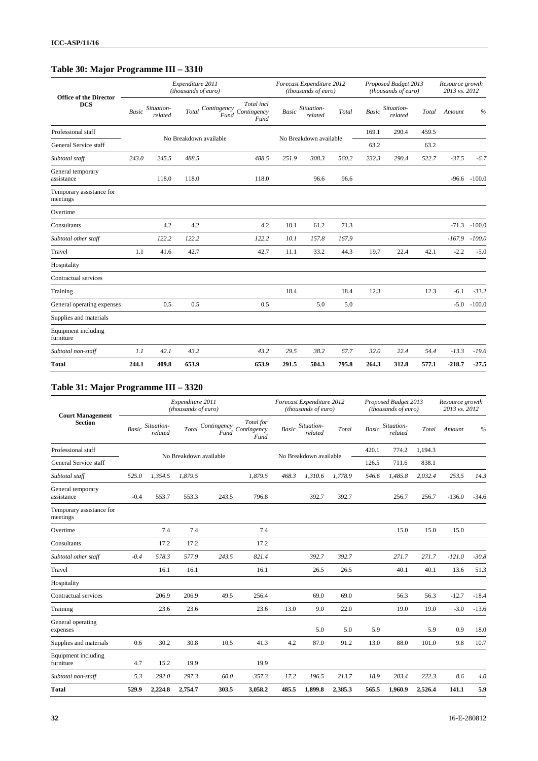# **Table 30: Major Programme III – 3310**

| <b>Office of the Director</b>        |       |                       | Expenditure 2011<br>(thousands of euro) |                                                       |              | Forecast Expenditure 2012<br>(thousands of euro) |       |              | Proposed Budget 2013<br>(thousands of euro) |       | Resource growth<br>2013 vs. 2012 |               |
|--------------------------------------|-------|-----------------------|-----------------------------------------|-------------------------------------------------------|--------------|--------------------------------------------------|-------|--------------|---------------------------------------------|-------|----------------------------------|---------------|
| <b>DCS</b>                           | Basic | Situation-<br>related | Total                                   | Total incl<br>Contingency Contingency<br>Fund<br>Fund | <b>Basic</b> | Situation-<br>related                            | Total | <b>Basic</b> | Situation-<br>related                       | Total | Amount                           | $\frac{0}{0}$ |
| Professional staff                   |       |                       | No Breakdown available                  |                                                       |              | No Breakdown available                           |       | 169.1        | 290.4                                       | 459.5 |                                  |               |
| General Service staff                |       |                       |                                         |                                                       |              |                                                  |       | 63.2         |                                             | 63.2  |                                  |               |
| Subtotal staff                       | 243.0 | 245.5                 | 488.5                                   | 488.5                                                 | 251.9        | 308.3                                            | 560.2 | 232.3        | 290.4                                       | 522.7 | $-37.5$                          | $-6.7$        |
| General temporary<br>assistance      |       | 118.0                 | 118.0                                   | 118.0                                                 |              | 96.6                                             | 96.6  |              |                                             |       | $-96.6$                          | $-100.0$      |
| Temporary assistance for<br>meetings |       |                       |                                         |                                                       |              |                                                  |       |              |                                             |       |                                  |               |
| Overtime                             |       |                       |                                         |                                                       |              |                                                  |       |              |                                             |       |                                  |               |
| Consultants                          |       | 4.2                   | 4.2                                     | 4.2                                                   | 10.1         | 61.2                                             | 71.3  |              |                                             |       | $-71.3$                          | $-100.0$      |
| Subtotal other staff                 |       | 122.2                 | 122.2                                   | 122.2                                                 | 10.1         | 157.8                                            | 167.9 |              |                                             |       | $-167.9$                         | $-100.0$      |
| Travel                               | 1.1   | 41.6                  | 42.7                                    | 42.7                                                  | 11.1         | 33.2                                             | 44.3  | 19.7         | 22.4                                        | 42.1  | $-2.2$                           | $-5.0$        |
| Hospitality                          |       |                       |                                         |                                                       |              |                                                  |       |              |                                             |       |                                  |               |
| Contractual services                 |       |                       |                                         |                                                       |              |                                                  |       |              |                                             |       |                                  |               |
| Training                             |       |                       |                                         |                                                       | 18.4         |                                                  | 18.4  | 12.3         |                                             | 12.3  | $-6.1$                           | $-33.2$       |
| General operating expenses           |       | 0.5                   | 0.5                                     | 0.5                                                   |              | 5.0                                              | 5.0   |              |                                             |       | $-5.0$                           | $-100.0$      |
| Supplies and materials               |       |                       |                                         |                                                       |              |                                                  |       |              |                                             |       |                                  |               |
| Equipment including<br>furniture     |       |                       |                                         |                                                       |              |                                                  |       |              |                                             |       |                                  |               |
| Subtotal non-staff                   | 1.1   | 42.1                  | 43.2                                    | 43.2                                                  | 29.5         | 38.2                                             | 67.7  | 32.0         | 22.4                                        | 54.4  | $-13.3$                          | $-19.6$       |
| <b>Total</b>                         | 244.1 | 409.8                 | 653.9                                   | 653.9                                                 | 291.5        | 504.3                                            | 795.8 | 264.3        | 312.8                                       | 577.1 | $-218.7$                         | $-27.5$       |

# **Table 31: Major Programme III – 3320**

| <b>Court Management</b>              |              |                       | Expenditure 2011<br>(thousands of euro) |                     |                                  |              | Forecast Expenditure 2012<br>(thousands of euro) |         |              | Proposed Budget 2013<br>(thousands of euro) |         | Resource growth<br>2013 vs. 2012 |         |
|--------------------------------------|--------------|-----------------------|-----------------------------------------|---------------------|----------------------------------|--------------|--------------------------------------------------|---------|--------------|---------------------------------------------|---------|----------------------------------|---------|
| <b>Section</b>                       | <b>Basic</b> | Situation-<br>related | Total                                   | Contingency<br>Fund | Total for<br>Contingency<br>Fund | <b>Basic</b> | Situation-<br>related                            | Total   | <b>Basic</b> | Situation-<br>related                       | Total   | Amount                           | $\%$    |
| Professional staff                   |              |                       |                                         |                     |                                  |              | No Breakdown available                           |         | 420.1        | 774.2                                       | 1.194.3 |                                  |         |
| General Service staff                |              |                       | No Breakdown available                  |                     |                                  |              |                                                  |         | 126.5        | 711.6                                       | 838.1   |                                  |         |
| Subtotal staff                       | 525.0        | 1,354.5               | 1.879.5                                 |                     | 1,879.5                          | 468.3        | 1,310.6                                          | 1.778.9 | 546.6        | 1,485.8                                     | 2,032.4 | 253.5                            | 14.3    |
| General temporary<br>assistance      | $-0.4$       | 553.7                 | 553.3                                   | 243.5               | 796.8                            |              | 392.7                                            | 392.7   |              | 256.7                                       | 256.7   | $-136.0$                         | $-34.6$ |
| Temporary assistance for<br>meetings |              |                       |                                         |                     |                                  |              |                                                  |         |              |                                             |         |                                  |         |
| Overtime                             |              | 7.4                   | 7.4                                     |                     | 7.4                              |              |                                                  |         |              | 15.0                                        | 15.0    | 15.0                             |         |
| Consultants                          |              | 17.2                  | 17.2                                    |                     | 17.2                             |              |                                                  |         |              |                                             |         |                                  |         |
| Subtotal other staff                 | $-0.4$       | 578.3                 | 577.9                                   | 243.5               | 821.4                            |              | 392.7                                            | 392.7   |              | 271.7                                       | 271.7   | $-121.0$                         | $-30.8$ |
| Travel                               |              | 16.1                  | 16.1                                    |                     | 16.1                             |              | 26.5                                             | 26.5    |              | 40.1                                        | 40.1    | 13.6                             | 51.3    |
| Hospitality                          |              |                       |                                         |                     |                                  |              |                                                  |         |              |                                             |         |                                  |         |
| Contractual services                 |              | 206.9                 | 206.9                                   | 49.5                | 256.4                            |              | 69.0                                             | 69.0    |              | 56.3                                        | 56.3    | $-12.7$                          | $-18.4$ |
| Training                             |              | 23.6                  | 23.6                                    |                     | 23.6                             | 13.0         | 9.0                                              | 22.0    |              | 19.0                                        | 19.0    | $-3.0$                           | $-13.6$ |
| General operating<br>expenses        |              |                       |                                         |                     |                                  |              | 5.0                                              | 5.0     | 5.9          |                                             | 5.9     | 0.9                              | 18.0    |
| Supplies and materials               | 0.6          | 30.2                  | 30.8                                    | 10.5                | 41.3                             | 4.2          | 87.0                                             | 91.2    | 13.0         | 88.0                                        | 101.0   | 9.8                              | 10.7    |
| Equipment including<br>furniture     | 4.7          | 15.2                  | 19.9                                    |                     | 19.9                             |              |                                                  |         |              |                                             |         |                                  |         |
| Subtotal non-staff                   | 5.3          | 292.0                 | 297.3                                   | 60.0                | 357.3                            | 17.2         | 196.5                                            | 213.7   | 18.9         | 203.4                                       | 222.3   | 8.6                              | 4.0     |
| <b>Total</b>                         | 529.9        | 2,224.8               | 2,754.7                                 | 303.5               | 3,058.2                          | 485.5        | 1,899.8                                          | 2,385.3 | 565.5        | 1,960.9                                     | 2,526.4 | 141.1                            | 5.9     |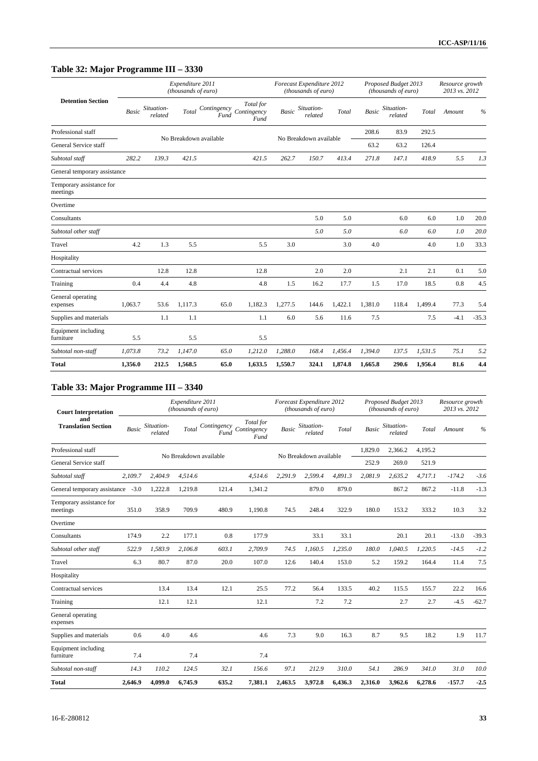# **Table 32: Major Programme III – 3330**

|                                      |              |                       | Expenditure 2011<br>(thousands of euro) |      |                                              |              | Forecast Expenditure 2012<br>(thousands of euro) |         |              | Proposed Budget 2013<br>(thousands of euro) |         | Resource growth<br>2013 vs. 2012 |         |
|--------------------------------------|--------------|-----------------------|-----------------------------------------|------|----------------------------------------------|--------------|--------------------------------------------------|---------|--------------|---------------------------------------------|---------|----------------------------------|---------|
| <b>Detention Section</b>             | <b>Basic</b> | Situation-<br>related | Total                                   | Fund | Total for<br>Contingency Contingency<br>Fund | <b>Basic</b> | Situation-<br>related                            | Total   | <b>Basic</b> | Situation-<br>related                       | Total   | Amount                           | $\%$    |
| Professional staff                   |              |                       | No Breakdown available                  |      |                                              |              | No Breakdown available                           |         | 208.6        | 83.9                                        | 292.5   |                                  |         |
| General Service staff                |              |                       |                                         |      |                                              |              |                                                  |         | 63.2         | 63.2                                        | 126.4   |                                  |         |
| Subtotal staff                       | 282.2        | 139.3                 | 421.5                                   |      | 421.5                                        | 262.7        | 150.7                                            | 413.4   | 271.8        | 147.1                                       | 418.9   | 5.5                              | 1.3     |
| General temporary assistance         |              |                       |                                         |      |                                              |              |                                                  |         |              |                                             |         |                                  |         |
| Temporary assistance for<br>meetings |              |                       |                                         |      |                                              |              |                                                  |         |              |                                             |         |                                  |         |
| Overtime                             |              |                       |                                         |      |                                              |              |                                                  |         |              |                                             |         |                                  |         |
| Consultants                          |              |                       |                                         |      |                                              |              | 5.0                                              | 5.0     |              | 6.0                                         | 6.0     | 1.0                              | 20.0    |
| Subtotal other staff                 |              |                       |                                         |      |                                              |              | 5.0                                              | 5.0     |              | 6.0                                         | 6.0     | 1.0                              | 20.0    |
| Travel                               | 4.2          | 1.3                   | 5.5                                     |      | 5.5                                          | 3.0          |                                                  | 3.0     | 4.0          |                                             | 4.0     | 1.0                              | 33.3    |
| Hospitality                          |              |                       |                                         |      |                                              |              |                                                  |         |              |                                             |         |                                  |         |
| Contractual services                 |              | 12.8                  | 12.8                                    |      | 12.8                                         |              | 2.0                                              | 2.0     |              | 2.1                                         | 2.1     | 0.1                              | 5.0     |
| Training                             | 0.4          | 4.4                   | 4.8                                     |      | 4.8                                          | 1.5          | 16.2                                             | 17.7    | 1.5          | 17.0                                        | 18.5    | 0.8                              | 4.5     |
| General operating<br>expenses        | 1,063.7      | 53.6                  | 1,117.3                                 | 65.0 | 1,182.3                                      | 1,277.5      | 144.6                                            | 1,422.1 | 1,381.0      | 118.4                                       | 1,499.4 | 77.3                             | 5.4     |
| Supplies and materials               |              | 1.1                   | 1.1                                     |      | 1.1                                          | 6.0          | 5.6                                              | 11.6    | 7.5          |                                             | 7.5     | $-4.1$                           | $-35.3$ |
| Equipment including<br>furniture     | 5.5          |                       | 5.5                                     |      | 5.5                                          |              |                                                  |         |              |                                             |         |                                  |         |
| Subtotal non-staff                   | 1,073.8      | 73.2                  | 1,147.0                                 | 65.0 | 1,212.0                                      | 1,288.0      | 168.4                                            | 1,456.4 | 1,394.0      | 137.5                                       | 1,531.5 | 75.1                             | 5.2     |
| <b>Total</b>                         | 1,356.0      | 212.5                 | 1,568.5                                 | 65.0 | 1,633.5                                      | 1,550.7      | 324.1                                            | 1,874.8 | 1,665.8      | 290.6                                       | 1,956.4 | 81.6                             | 4,4     |

# **Table 33: Major Programme III – 3340**

| <b>Court Interpretation</b>          |              |                       | Expenditure 2011<br>(thousands of euro) |                     |                                  |         | Forecast Expenditure 2012<br>(thousands of euro) |         |              | Proposed Budget 2013<br>(thousands of euro) |         | Resource growth<br>2013 vs. 2012 |               |
|--------------------------------------|--------------|-----------------------|-----------------------------------------|---------------------|----------------------------------|---------|--------------------------------------------------|---------|--------------|---------------------------------------------|---------|----------------------------------|---------------|
| and<br><b>Translation Section</b>    | <b>Basic</b> | Situation-<br>related | Total                                   | Contingency<br>Fund | Total for<br>Contingency<br>Fund | Basic   | Situation-<br>related                            | Total   | <b>Basic</b> | Situation-<br>related                       | Total   | Amount                           | $\frac{0}{0}$ |
| Professional staff                   |              |                       | No Breakdown available                  |                     |                                  |         | No Breakdown available                           |         | 1.829.0      | 2.366.2                                     | 4.195.2 |                                  |               |
| General Service staff                |              |                       |                                         |                     |                                  |         |                                                  |         | 252.9        | 269.0                                       | 521.9   |                                  |               |
| Subtotal staff                       | 2.109.7      | 2,404.9               | 4,514.6                                 |                     | 4,514.6                          | 2,291.9 | 2,599.4                                          | 4,891.3 | 2,081.9      | 2,635.2                                     | 4,717.1 | $-174.2$                         | $-3.6$        |
| General temporary assistance         | $-3.0$       | 1,222.8               | 1,219.8                                 | 121.4               | 1,341.2                          |         | 879.0                                            | 879.0   |              | 867.2                                       | 867.2   | $-11.8$                          | $-1.3$        |
| Temporary assistance for<br>meetings | 351.0        | 358.9                 | 709.9                                   | 480.9               | 1,190.8                          | 74.5    | 248.4                                            | 322.9   | 180.0        | 153.2                                       | 333.2   | 10.3                             | 3.2           |
| Overtime                             |              |                       |                                         |                     |                                  |         |                                                  |         |              |                                             |         |                                  |               |
| Consultants                          | 174.9        | 2.2                   | 177.1                                   | 0.8                 | 177.9                            |         | 33.1                                             | 33.1    |              | 20.1                                        | 20.1    | $-13.0$                          | $-39.3$       |
| Subtotal other staff                 | 522.9        | 1,583.9               | 2.106.8                                 | 603.1               | 2,709.9                          | 74.5    | 1,160.5                                          | 1,235.0 | 180.0        | 1,040.5                                     | 1,220.5 | $-14.5$                          | $-1.2$        |
| Travel                               | 6.3          | 80.7                  | 87.0                                    | 20.0                | 107.0                            | 12.6    | 140.4                                            | 153.0   | 5.2          | 159.2                                       | 164.4   | 11.4                             | 7.5           |
| Hospitality                          |              |                       |                                         |                     |                                  |         |                                                  |         |              |                                             |         |                                  |               |
| Contractual services                 |              | 13.4                  | 13.4                                    | 12.1                | 25.5                             | 77.2    | 56.4                                             | 133.5   | 40.2         | 115.5                                       | 155.7   | 22.2                             | 16.6          |
| Training                             |              | 12.1                  | 12.1                                    |                     | 12.1                             |         | 7.2                                              | 7.2     |              | 2.7                                         | 2.7     | $-4.5$                           | $-62.7$       |
| General operating<br>expenses        |              |                       |                                         |                     |                                  |         |                                                  |         |              |                                             |         |                                  |               |
| Supplies and materials               | 0.6          | 4.0                   | 4.6                                     |                     | 4.6                              | 7.3     | 9.0                                              | 16.3    | 8.7          | 9.5                                         | 18.2    | 1.9                              | 11.7          |
| Equipment including<br>furniture     | 7.4          |                       | 7.4                                     |                     | 7.4                              |         |                                                  |         |              |                                             |         |                                  |               |
| Subtotal non-staff                   | 14.3         | 110.2                 | 124.5                                   | 32.1                | 156.6                            | 97.1    | 212.9                                            | 310.0   | 54.1         | 286.9                                       | 341.0   | 31.0                             | 10.0          |
| <b>Total</b>                         | 2,646.9      | 4,099.0               | 6,745.9                                 | 635.2               | 7,381.1                          | 2,463.5 | 3,972.8                                          | 6,436.3 | 2,316.0      | 3,962.6                                     | 6,278.6 | $-157.7$                         | $-2.5$        |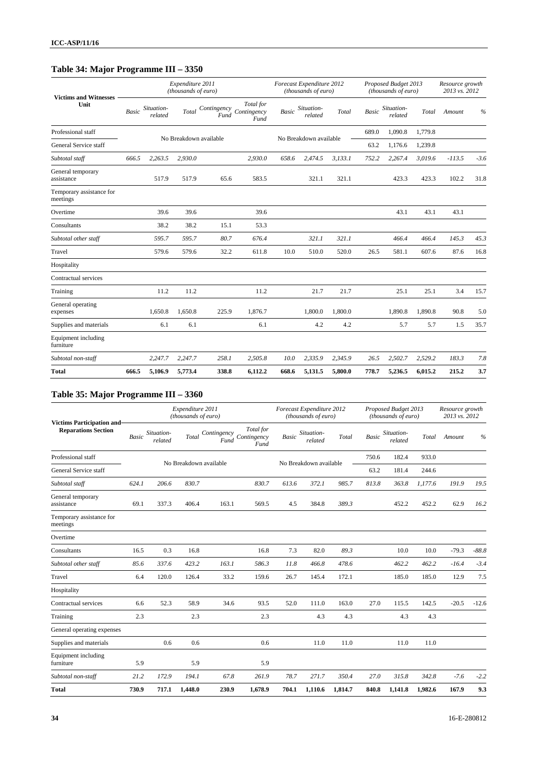# **Table 34: Major Programme III – 3350**

| <b>Victims and Witnesses</b>         |       |                       | Expenditure 2011<br>(thousands of euro) |                     |                                  |       | Forecast Expenditure 2012<br>(thousands of euro) |         |       | Proposed Budget 2013<br>(thousands of euro) |         | Resource growth<br>2013 vs. 2012 |        |
|--------------------------------------|-------|-----------------------|-----------------------------------------|---------------------|----------------------------------|-------|--------------------------------------------------|---------|-------|---------------------------------------------|---------|----------------------------------|--------|
| Unit                                 | Basic | Situation-<br>related | Total                                   | Contingency<br>Fund | Total for<br>Contingency<br>Fund | Basic | Situation-<br>related                            | Total   | Basic | Situation-<br>related                       | Total   | Amount                           | $\%$   |
| Professional staff                   |       |                       | No Breakdown available                  |                     |                                  |       | No Breakdown available                           |         | 689.0 | 1,090.8                                     | 1,779.8 |                                  |        |
| General Service staff                |       |                       |                                         |                     |                                  |       |                                                  |         | 63.2  | 1,176.6                                     | 1,239.8 |                                  |        |
| Subtotal staff                       | 666.5 | 2,263.5               | 2.930.0                                 |                     | 2,930.0                          | 658.6 | 2.474.5                                          | 3.133.1 | 752.2 | 2,267.4                                     | 3,019.6 | $-113.5$                         | $-3.6$ |
| General temporary<br>assistance      |       | 517.9                 | 517.9                                   | 65.6                | 583.5                            |       | 321.1                                            | 321.1   |       | 423.3                                       | 423.3   | 102.2                            | 31.8   |
| Temporary assistance for<br>meetings |       |                       |                                         |                     |                                  |       |                                                  |         |       |                                             |         |                                  |        |
| Overtime                             |       | 39.6                  | 39.6                                    |                     | 39.6                             |       |                                                  |         |       | 43.1                                        | 43.1    | 43.1                             |        |
| Consultants                          |       | 38.2                  | 38.2                                    | 15.1                | 53.3                             |       |                                                  |         |       |                                             |         |                                  |        |
| Subtotal other staff                 |       | 595.7                 | 595.7                                   | 80.7                | 676.4                            |       | 321.1                                            | 321.1   |       | 466.4                                       | 466.4   | 145.3                            | 45.3   |
| Travel                               |       | 579.6                 | 579.6                                   | 32.2                | 611.8                            | 10.0  | 510.0                                            | 520.0   | 26.5  | 581.1                                       | 607.6   | 87.6                             | 16.8   |
| Hospitality                          |       |                       |                                         |                     |                                  |       |                                                  |         |       |                                             |         |                                  |        |
| Contractual services                 |       |                       |                                         |                     |                                  |       |                                                  |         |       |                                             |         |                                  |        |
| Training                             |       | 11.2                  | 11.2                                    |                     | 11.2                             |       | 21.7                                             | 21.7    |       | 25.1                                        | 25.1    | 3.4                              | 15.7   |
| General operating<br>expenses        |       | 1,650.8               | 1,650.8                                 | 225.9               | 1,876.7                          |       | 1,800.0                                          | 1,800.0 |       | 1,890.8                                     | 1,890.8 | 90.8                             | 5.0    |
| Supplies and materials               |       | 6.1                   | 6.1                                     |                     | 6.1                              |       | 4.2                                              | 4.2     |       | 5.7                                         | 5.7     | 1.5                              | 35.7   |
| Equipment including<br>furniture     |       |                       |                                         |                     |                                  |       |                                                  |         |       |                                             |         |                                  |        |
| Subtotal non-staff                   |       | 2,247.7               | 2,247.7                                 | 258.1               | 2,505.8                          | 10.0  | 2,335.9                                          | 2,345.9 | 26.5  | 2,502.7                                     | 2,529.2 | 183.3                            | 7.8    |
| <b>Total</b>                         | 666.5 | 5,106.9               | 5,773.4                                 | 338.8               | 6,112.2                          | 668.6 | 5,131.5                                          | 5,800.0 | 778.7 | 5,236.5                                     | 6,015.2 | 215.2                            | 3.7    |

# **Table 35: Major Programme III – 3360**

| <b>Victims Participation and-</b>    |              |                       | Expenditure 2011<br>(thousands of euro) |       |                                              |              | Forecast Expenditure 2012<br>(thousands of euro) |         |              | Proposed Budget 2013<br>(thousands of euro) |         | Resource growth<br>2013 vs. 2012 |               |
|--------------------------------------|--------------|-----------------------|-----------------------------------------|-------|----------------------------------------------|--------------|--------------------------------------------------|---------|--------------|---------------------------------------------|---------|----------------------------------|---------------|
| <b>Reparations Section</b>           | <b>Basic</b> | Situation-<br>related | Total                                   | Fund  | Total for<br>Contingency Contingency<br>Fund | <b>Basic</b> | Situation-<br>related                            | Total   | <b>Basic</b> | Situation-<br>related                       | Total   | Amount                           | $\frac{0}{0}$ |
| Professional staff                   |              |                       | No Breakdown available                  |       |                                              |              | No Breakdown available                           |         | 750.6        | 182.4                                       | 933.0   |                                  |               |
| General Service staff                |              |                       |                                         |       |                                              |              |                                                  |         | 63.2         | 181.4                                       | 244.6   |                                  |               |
| Subtotal staff                       | 624.1        | 206.6                 | 830.7                                   |       | 830.7                                        | 613.6        | 372.1                                            | 985.7   | 813.8        | 363.8                                       | 1,177.6 | 191.9                            | 19.5          |
| General temporary<br>assistance      | 69.1         | 337.3                 | 406.4                                   | 163.1 | 569.5                                        | 4.5          | 384.8                                            | 389.3   |              | 452.2                                       | 452.2   | 62.9                             | 16.2          |
| Temporary assistance for<br>meetings |              |                       |                                         |       |                                              |              |                                                  |         |              |                                             |         |                                  |               |
| Overtime                             |              |                       |                                         |       |                                              |              |                                                  |         |              |                                             |         |                                  |               |
| Consultants                          | 16.5         | 0.3                   | 16.8                                    |       | 16.8                                         | 7.3          | 82.0                                             | 89.3    |              | 10.0                                        | 10.0    | $-79.3$                          | $-88.8$       |
| Subtotal other staff                 | 85.6         | 337.6                 | 423.2                                   | 163.1 | 586.3                                        | 11.8         | 466.8                                            | 478.6   |              | 462.2                                       | 462.2   | $-16.4$                          | $-3.4$        |
| Travel                               | 6.4          | 120.0                 | 126.4                                   | 33.2  | 159.6                                        | 26.7         | 145.4                                            | 172.1   |              | 185.0                                       | 185.0   | 12.9                             | 7.5           |
| Hospitality                          |              |                       |                                         |       |                                              |              |                                                  |         |              |                                             |         |                                  |               |
| Contractual services                 | 6.6          | 52.3                  | 58.9                                    | 34.6  | 93.5                                         | 52.0         | 111.0                                            | 163.0   | 27.0         | 115.5                                       | 142.5   | $-20.5$                          | $-12.6$       |
| Training                             | 2.3          |                       | 2.3                                     |       | 2.3                                          |              | 4.3                                              | 4.3     |              | 4.3                                         | 4.3     |                                  |               |
| General operating expenses           |              |                       |                                         |       |                                              |              |                                                  |         |              |                                             |         |                                  |               |
| Supplies and materials               |              | 0.6                   | 0.6                                     |       | 0.6                                          |              | 11.0                                             | 11.0    |              | 11.0                                        | 11.0    |                                  |               |
| Equipment including<br>furniture     | 5.9          |                       | 5.9                                     |       | 5.9                                          |              |                                                  |         |              |                                             |         |                                  |               |
| Subtotal non-staff                   | 21.2         | 172.9                 | 194.1                                   | 67.8  | 261.9                                        | 78.7         | 271.7                                            | 350.4   | 27.0         | 315.8                                       | 342.8   | $-7.6$                           | $-2.2$        |
| <b>Total</b>                         | 730.9        | 717.1                 | 1,448.0                                 | 230.9 | 1,678.9                                      | 704.1        | 1,110.6                                          | 1,814.7 | 840.8        | 1,141.8                                     | 1,982.6 | 167.9                            | 9.3           |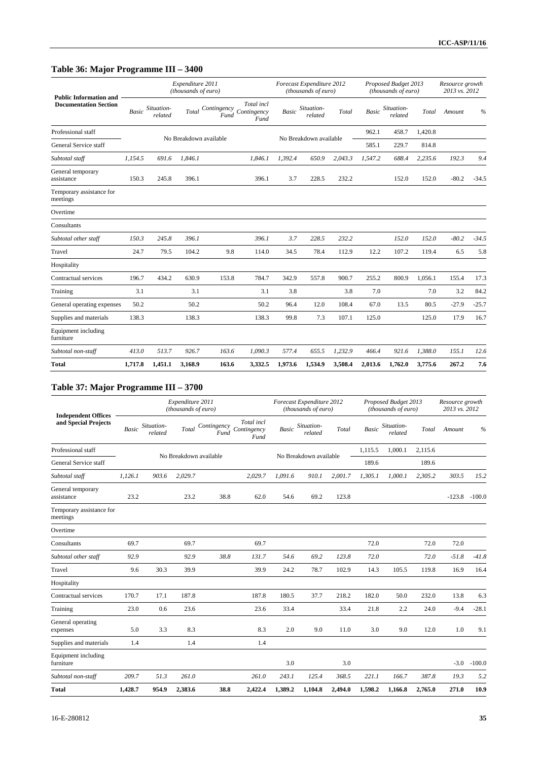# **Table 36: Major Programme III – 3400**

| <b>Public Information and</b>        |              |                       | Expenditure 2011<br>(thousands of euro) |       |                                               |              | Forecast Expenditure 2012<br>(thousands of euro) |         |              | Proposed Budget 2013<br>(thousands of euro) |         | Resource growth<br>2013 vs. 2012 |         |
|--------------------------------------|--------------|-----------------------|-----------------------------------------|-------|-----------------------------------------------|--------------|--------------------------------------------------|---------|--------------|---------------------------------------------|---------|----------------------------------|---------|
| <b>Documentation Section</b>         | <b>Basic</b> | Situation-<br>related | Total                                   | Fund  | Total incl<br>Contingency Contingency<br>Fund | <b>Basic</b> | Situation-<br>related                            | Total   | <b>Basic</b> | Situation-<br>related                       | Total   | Amount                           | $\%$    |
| Professional staff                   |              |                       | No Breakdown available                  |       |                                               |              | No Breakdown available                           |         | 962.1        | 458.7                                       | 1,420.8 |                                  |         |
| General Service staff                |              |                       |                                         |       |                                               |              |                                                  |         | 585.1        | 229.7                                       | 814.8   |                                  |         |
| Subtotal staff                       | 1.154.5      | 691.6                 | 1.846.1                                 |       | 1.846.1                                       | 1.392.4      | 650.9                                            | 2,043.3 | 1.547.2      | 688.4                                       | 2,235.6 | 192.3                            | 9.4     |
| General temporary<br>assistance      | 150.3        | 245.8                 | 396.1                                   |       | 396.1                                         | 3.7          | 228.5                                            | 232.2   |              | 152.0                                       | 152.0   | $-80.2$                          | $-34.5$ |
| Temporary assistance for<br>meetings |              |                       |                                         |       |                                               |              |                                                  |         |              |                                             |         |                                  |         |
| Overtime                             |              |                       |                                         |       |                                               |              |                                                  |         |              |                                             |         |                                  |         |
| Consultants                          |              |                       |                                         |       |                                               |              |                                                  |         |              |                                             |         |                                  |         |
| Subtotal other staff                 | 150.3        | 245.8                 | 396.1                                   |       | 396.1                                         | 3.7          | 228.5                                            | 232.2   |              | 152.0                                       | 152.0   | $-80.2$                          | $-34.5$ |
| Travel                               | 24.7         | 79.5                  | 104.2                                   | 9.8   | 114.0                                         | 34.5         | 78.4                                             | 112.9   | 12.2         | 107.2                                       | 119.4   | 6.5                              | 5.8     |
| Hospitality                          |              |                       |                                         |       |                                               |              |                                                  |         |              |                                             |         |                                  |         |
| Contractual services                 | 196.7        | 434.2                 | 630.9                                   | 153.8 | 784.7                                         | 342.9        | 557.8                                            | 900.7   | 255.2        | 800.9                                       | 1,056.1 | 155.4                            | 17.3    |
| Training                             | 3.1          |                       | 3.1                                     |       | 3.1                                           | 3.8          |                                                  | 3.8     | 7.0          |                                             | 7.0     | 3.2                              | 84.2    |
| General operating expenses           | 50.2         |                       | 50.2                                    |       | 50.2                                          | 96.4         | 12.0                                             | 108.4   | 67.0         | 13.5                                        | 80.5    | $-27.9$                          | $-25.7$ |
| Supplies and materials               | 138.3        |                       | 138.3                                   |       | 138.3                                         | 99.8         | 7.3                                              | 107.1   | 125.0        |                                             | 125.0   | 17.9                             | 16.7    |
| Equipment including<br>furniture     |              |                       |                                         |       |                                               |              |                                                  |         |              |                                             |         |                                  |         |
| Subtotal non-staff                   | 413.0        | 513.7                 | 926.7                                   | 163.6 | 1,090.3                                       | 577.4        | 655.5                                            | 1,232.9 | 466.4        | 921.6                                       | 1,388.0 | 155.1                            | 12.6    |
| <b>Total</b>                         | 1,717.8      | 1,451.1               | 3,168.9                                 | 163.6 | 3,332.5                                       | 1,973.6      | 1,534.9                                          | 3,508.4 | 2,013.6      | 1,762.0                                     | 3,775.6 | 267.2                            | 7.6     |

# **Table 37: Major Programme III – 3700**

| <b>Independent Offices</b>           |              |                       | Expenditure 2011<br>(thousands of euro) |                     |                                   |         | Forecast Expenditure 2012<br>(thousands of euro) |         |              | Proposed Budget 2013<br>(thousands of euro) |         | Resource growth<br>2013 vs. 2012 |               |
|--------------------------------------|--------------|-----------------------|-----------------------------------------|---------------------|-----------------------------------|---------|--------------------------------------------------|---------|--------------|---------------------------------------------|---------|----------------------------------|---------------|
| and Special Projects                 | <b>Basic</b> | Situation-<br>related | Total                                   | Contingency<br>Fund | Total incl<br>Contingency<br>Fund | Basic   | Situation-<br>related                            | Total   | <b>Basic</b> | Situation-<br>related                       | Total   | Amount                           | $\frac{0}{0}$ |
| Professional staff                   |              |                       | No Breakdown available                  |                     |                                   |         | No Breakdown available                           |         | 1,115.5      | 1,000.1                                     | 2,115.6 |                                  |               |
| General Service staff                |              |                       |                                         |                     |                                   |         |                                                  |         | 189.6        |                                             | 189.6   |                                  |               |
| Subtotal staff                       | 1.126.1      | 903.6                 | 2,029.7                                 |                     | 2,029.7                           | 1,091.6 | 910.1                                            | 2,001.7 | 1,305.1      | 1,000.1                                     | 2,305.2 | 303.5                            | 15.2          |
| General temporary<br>assistance      | 23.2         |                       | 23.2                                    | 38.8                | 62.0                              | 54.6    | 69.2                                             | 123.8   |              |                                             |         | $-123.8$                         | $-100.0$      |
| Temporary assistance for<br>meetings |              |                       |                                         |                     |                                   |         |                                                  |         |              |                                             |         |                                  |               |
| Overtime                             |              |                       |                                         |                     |                                   |         |                                                  |         |              |                                             |         |                                  |               |
| Consultants                          | 69.7         |                       | 69.7                                    |                     | 69.7                              |         |                                                  |         | 72.0         |                                             | 72.0    | 72.0                             |               |
| Subtotal other staff                 | 92.9         |                       | 92.9                                    | 38.8                | 131.7                             | 54.6    | 69.2                                             | 123.8   | 72.0         |                                             | 72.0    | $-51.8$                          | $-41.8$       |
| Travel                               | 9.6          | 30.3                  | 39.9                                    |                     | 39.9                              | 24.2    | 78.7                                             | 102.9   | 14.3         | 105.5                                       | 119.8   | 16.9                             | 16.4          |
| Hospitality                          |              |                       |                                         |                     |                                   |         |                                                  |         |              |                                             |         |                                  |               |
| Contractual services                 | 170.7        | 17.1                  | 187.8                                   |                     | 187.8                             | 180.5   | 37.7                                             | 218.2   | 182.0        | 50.0                                        | 232.0   | 13.8                             | 6.3           |
| Training                             | 23.0         | 0.6                   | 23.6                                    |                     | 23.6                              | 33.4    |                                                  | 33.4    | 21.8         | 2.2                                         | 24.0    | $-9.4$                           | $-28.1$       |
| General operating<br>expenses        | 5.0          | 3.3                   | 8.3                                     |                     | 8.3                               | 2.0     | 9.0                                              | 11.0    | 3.0          | 9.0                                         | 12.0    | 1.0                              | 9.1           |
| Supplies and materials               | 1.4          |                       | 1.4                                     |                     | 1.4                               |         |                                                  |         |              |                                             |         |                                  |               |
| Equipment including<br>furniture     |              |                       |                                         |                     |                                   | 3.0     |                                                  | 3.0     |              |                                             |         | $-3.0$                           | $-100.0$      |
| Subtotal non-staff                   | 209.7        | 51.3                  | 261.0                                   |                     | 261.0                             | 243.1   | 125.4                                            | 368.5   | 221.1        | 166.7                                       | 387.8   | 19.3                             | 5.2           |
| <b>Total</b>                         | 1,428.7      | 954.9                 | 2,383.6                                 | 38.8                | 2,422.4                           | 1,389.2 | 1,104.8                                          | 2,494.0 | 1,598.2      | 1,166.8                                     | 2,765.0 | 271.0                            | 10.9          |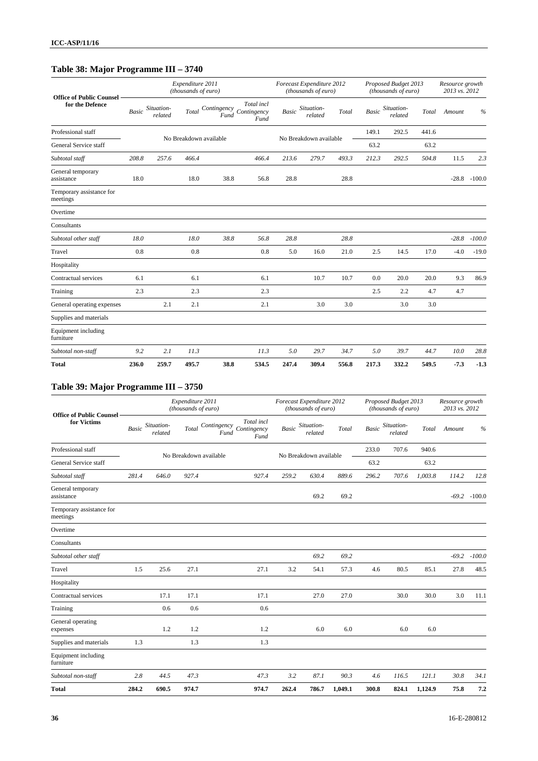# **Table 38: Major Programme III – 3740**

| <b>Office of Public Counsel</b>      |              |                       | Expenditure 2011<br>(thousands of euro) |      |                                               |              | Forecast Expenditure 2012<br>(thousands of euro) |       |              | Proposed Budget 2013<br>(thousands of euro) |       | Resource growth<br>2013 vs. 2012 |          |
|--------------------------------------|--------------|-----------------------|-----------------------------------------|------|-----------------------------------------------|--------------|--------------------------------------------------|-------|--------------|---------------------------------------------|-------|----------------------------------|----------|
| for the Defence                      | <b>Basic</b> | Situation-<br>related | Total                                   | Fund | Total incl<br>Contingency Contingency<br>Fund | <b>Basic</b> | Situation-<br>related                            | Total | <b>Basic</b> | Situation-<br>related                       | Total | Amount                           | $\%$     |
| Professional staff                   |              |                       |                                         |      |                                               |              |                                                  |       | 149.1        | 292.5                                       | 441.6 |                                  |          |
| General Service staff                |              |                       | No Breakdown available                  |      |                                               |              | No Breakdown available                           |       | 63.2         |                                             | 63.2  |                                  |          |
| Subtotal staff                       | 208.8        | 257.6                 | 466.4                                   |      | 466.4                                         | 213.6        | 279.7                                            | 493.3 | 212.3        | 292.5                                       | 504.8 | 11.5                             | 2.3      |
| General temporary<br>assistance      | 18.0         |                       | 18.0                                    | 38.8 | 56.8                                          | 28.8         |                                                  | 28.8  |              |                                             |       | $-28.8$                          | $-100.0$ |
| Temporary assistance for<br>meetings |              |                       |                                         |      |                                               |              |                                                  |       |              |                                             |       |                                  |          |
| Overtime                             |              |                       |                                         |      |                                               |              |                                                  |       |              |                                             |       |                                  |          |
| Consultants                          |              |                       |                                         |      |                                               |              |                                                  |       |              |                                             |       |                                  |          |
| Subtotal other staff                 | 18.0         |                       | 18.0                                    | 38.8 | 56.8                                          | 28.8         |                                                  | 28.8  |              |                                             |       | $-28.8$                          | $-100.0$ |
| Travel                               | 0.8          |                       | 0.8                                     |      | 0.8                                           | 5.0          | 16.0                                             | 21.0  | 2.5          | 14.5                                        | 17.0  | $-4.0$                           | $-19.0$  |
| Hospitality                          |              |                       |                                         |      |                                               |              |                                                  |       |              |                                             |       |                                  |          |
| Contractual services                 | 6.1          |                       | 6.1                                     |      | 6.1                                           |              | 10.7                                             | 10.7  | 0.0          | 20.0                                        | 20.0  | 9.3                              | 86.9     |
| Training                             | 2.3          |                       | 2.3                                     |      | 2.3                                           |              |                                                  |       | 2.5          | 2.2                                         | 4.7   | 4.7                              |          |
| General operating expenses           |              | 2.1                   | 2.1                                     |      | 2.1                                           |              | 3.0                                              | 3.0   |              | 3.0                                         | 3.0   |                                  |          |
| Supplies and materials               |              |                       |                                         |      |                                               |              |                                                  |       |              |                                             |       |                                  |          |
| Equipment including<br>furniture     |              |                       |                                         |      |                                               |              |                                                  |       |              |                                             |       |                                  |          |
| Subtotal non-staff                   | 9.2          | 2.1                   | 11.3                                    |      | 11.3                                          | 5.0          | 29.7                                             | 34.7  | 5.0          | 39.7                                        | 44.7  | 10.0                             | 28.8     |
| <b>Total</b>                         | 236.0        | 259.7                 | 495.7                                   | 38.8 | 534.5                                         | 247.4        | 309.4                                            | 556.8 | 217.3        | 332.2                                       | 549.5 | $-7.3$                           | $-1.3$   |

# **Table 39: Major Programme III – 3750**

| <b>Office of Public Counsel</b>      |       |                       | Expenditure 2011<br>(thousands of euro) |                                                          |              | Forecast Expenditure 2012<br>(thousands of euro) |         |              | Proposed Budget 2013<br>(thousands of euro) |         | Resource growth<br>2013 vs. 2012 |                 |
|--------------------------------------|-------|-----------------------|-----------------------------------------|----------------------------------------------------------|--------------|--------------------------------------------------|---------|--------------|---------------------------------------------|---------|----------------------------------|-----------------|
| for Victims                          | Basic | Situation-<br>related | <b>Total</b>                            | Total incl<br>Contingency<br>Contingency<br>Fund<br>Fund | <b>Basic</b> | Situation-<br>related                            | Total   | <b>Basic</b> | Situation-<br>related                       | Total   | Amount                           | $\frac{0}{0}$   |
| Professional staff                   |       |                       |                                         |                                                          |              |                                                  |         | 233.0        | 707.6                                       | 940.6   |                                  |                 |
| General Service staff                |       |                       | No Breakdown available                  |                                                          |              | No Breakdown available                           |         | 63.2         |                                             | 63.2    |                                  |                 |
| Subtotal staff                       | 281.4 | 646.0                 | 927.4                                   | 927.4                                                    | 259.2        | 630.4                                            | 889.6   | 296.2        | 707.6                                       | 1,003.8 | 114.2                            | 12.8            |
| General temporary<br>assistance      |       |                       |                                         |                                                          |              | 69.2                                             | 69.2    |              |                                             |         |                                  | $-69.2 - 100.0$ |
| Temporary assistance for<br>meetings |       |                       |                                         |                                                          |              |                                                  |         |              |                                             |         |                                  |                 |
| Overtime                             |       |                       |                                         |                                                          |              |                                                  |         |              |                                             |         |                                  |                 |
| Consultants                          |       |                       |                                         |                                                          |              |                                                  |         |              |                                             |         |                                  |                 |
| Subtotal other staff                 |       |                       |                                         |                                                          |              | 69.2                                             | 69.2    |              |                                             |         | $-69.2$                          | $-100.0$        |
| Travel                               | 1.5   | 25.6                  | 27.1                                    | 27.1                                                     | 3.2          | 54.1                                             | 57.3    | 4.6          | 80.5                                        | 85.1    | 27.8                             | 48.5            |
| Hospitality                          |       |                       |                                         |                                                          |              |                                                  |         |              |                                             |         |                                  |                 |
| Contractual services                 |       | 17.1                  | 17.1                                    | 17.1                                                     |              | 27.0                                             | 27.0    |              | 30.0                                        | 30.0    | 3.0                              | 11.1            |
| Training                             |       | 0.6                   | 0.6                                     | 0.6                                                      |              |                                                  |         |              |                                             |         |                                  |                 |
| General operating<br>expenses        |       | 1.2                   | 1.2                                     | 1.2                                                      |              | 6.0                                              | 6.0     |              | 6.0                                         | 6.0     |                                  |                 |
| Supplies and materials               | 1.3   |                       | 1.3                                     | 1.3                                                      |              |                                                  |         |              |                                             |         |                                  |                 |
| Equipment including<br>furniture     |       |                       |                                         |                                                          |              |                                                  |         |              |                                             |         |                                  |                 |
| Subtotal non-staff                   | 2.8   | 44.5                  | 47.3                                    | 47.3                                                     | 3.2          | 87.1                                             | 90.3    | 4.6          | 116.5                                       | 121.1   | 30.8                             | 34.1            |
| <b>Total</b>                         | 284.2 | 690.5                 | 974.7                                   | 974.7                                                    | 262.4        | 786.7                                            | 1,049.1 | 300.8        | 824.1                                       | 1,124.9 | 75.8                             | 7.2             |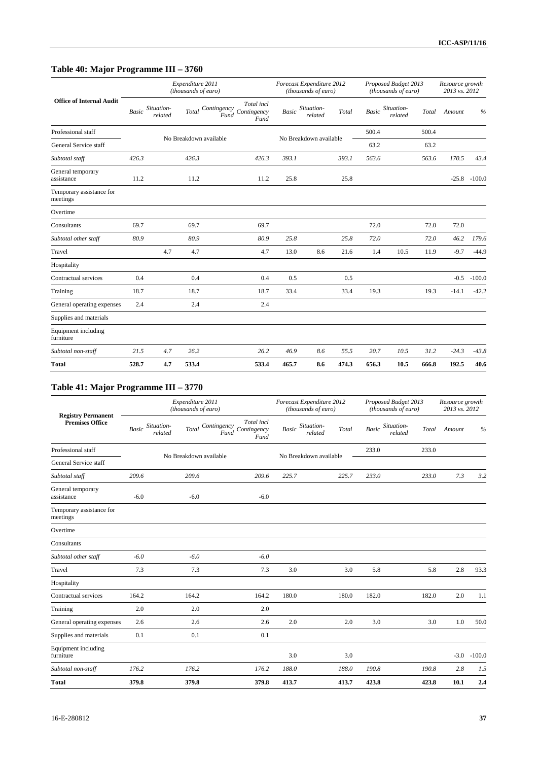# **Table 40: Major Programme III – 3760**

| v                                    | o            |                       |                                         |      |                                                  |       |                                                  |       |              |                                             |       |                                  |          |
|--------------------------------------|--------------|-----------------------|-----------------------------------------|------|--------------------------------------------------|-------|--------------------------------------------------|-------|--------------|---------------------------------------------|-------|----------------------------------|----------|
|                                      |              |                       | Expenditure 2011<br>(thousands of euro) |      |                                                  |       | Forecast Expenditure 2012<br>(thousands of euro) |       |              | Proposed Budget 2013<br>(thousands of euro) |       | Resource growth<br>2013 vs. 2012 |          |
| <b>Office of Internal Audit</b>      | <b>Basic</b> | Situation-<br>related | Total                                   | Fund | Total incl<br>Contingency<br>Contingency<br>Fund | Basic | Situation-<br>related                            | Total | <b>Basic</b> | Situation-<br>related                       | Total | Amount                           | $\%$     |
| Professional staff                   |              |                       | No Breakdown available                  |      |                                                  |       | No Breakdown available                           |       | 500.4        |                                             | 500.4 |                                  |          |
| General Service staff                |              |                       |                                         |      |                                                  |       |                                                  |       | 63.2         |                                             | 63.2  |                                  |          |
| Subtotal staff                       | 426.3        |                       | 426.3                                   |      | 426.3                                            | 393.1 |                                                  | 393.1 | 563.6        |                                             | 563.6 | 170.5                            | 43.4     |
| General temporary<br>assistance      | 11.2         |                       | 11.2                                    |      | 11.2                                             | 25.8  |                                                  | 25.8  |              |                                             |       | $-25.8$                          | $-100.0$ |
| Temporary assistance for<br>meetings |              |                       |                                         |      |                                                  |       |                                                  |       |              |                                             |       |                                  |          |
| Overtime                             |              |                       |                                         |      |                                                  |       |                                                  |       |              |                                             |       |                                  |          |
| Consultants                          | 69.7         |                       | 69.7                                    |      | 69.7                                             |       |                                                  |       | 72.0         |                                             | 72.0  | 72.0                             |          |
| Subtotal other staff                 | 80.9         |                       | 80.9                                    |      | 80.9                                             | 25.8  |                                                  | 25.8  | 72.0         |                                             | 72.0  | 46.2                             | 179.6    |
| Travel                               |              | 4.7                   | 4.7                                     |      | 4.7                                              | 13.0  | 8.6                                              | 21.6  | 1.4          | 10.5                                        | 11.9  | $-9.7$                           | $-44.9$  |
| Hospitality                          |              |                       |                                         |      |                                                  |       |                                                  |       |              |                                             |       |                                  |          |
| Contractual services                 | 0.4          |                       | 0.4                                     |      | 0.4                                              | 0.5   |                                                  | 0.5   |              |                                             |       | $-0.5$                           | $-100.0$ |
| Training                             | 18.7         |                       | 18.7                                    |      | 18.7                                             | 33.4  |                                                  | 33.4  | 19.3         |                                             | 19.3  | $-14.1$                          | $-42.2$  |
| General operating expenses           | 2.4          |                       | 2.4                                     |      | 2.4                                              |       |                                                  |       |              |                                             |       |                                  |          |
| Supplies and materials               |              |                       |                                         |      |                                                  |       |                                                  |       |              |                                             |       |                                  |          |
| Equipment including<br>furniture     |              |                       |                                         |      |                                                  |       |                                                  |       |              |                                             |       |                                  |          |
| Subtotal non-staff                   | 21.5         | 4.7                   | 26.2                                    |      | 26.2                                             | 46.9  | 8.6                                              | 55.5  | 20.7         | 10.5                                        | 31.2  | $-24.3$                          | $-43.8$  |
| <b>Total</b>                         | 528.7        | 4.7                   | 533.4                                   |      | 533.4                                            | 465.7 | 8.6                                              | 474.3 | 656.3        | 10.5                                        | 666.8 | 192.5                            | 40.6     |

# **Table 41: Major Programme III – 3770**

| <b>Registry Permanent</b>            |        |                        | Expenditure 2011<br>(thousands of euro) |                                                          |              | Forecast Expenditure 2012<br>(thousands of euro) |       |              | Proposed Budget 2013<br>(thousands of euro) |       | Resource growth<br>2013 vs. 2012 |               |
|--------------------------------------|--------|------------------------|-----------------------------------------|----------------------------------------------------------|--------------|--------------------------------------------------|-------|--------------|---------------------------------------------|-------|----------------------------------|---------------|
| Premises Office                      | Basic  | Situation-<br>related  | Total                                   | Total incl<br>Contingency<br>Contingency<br>Fund<br>Fund | <b>Basic</b> | Situation-<br>related                            | Total | <b>Basic</b> | Situation-<br>related                       | Total | Amount                           | $\frac{0}{0}$ |
| Professional staff                   |        | No Breakdown available |                                         |                                                          |              | No Breakdown available                           |       | 233.0        |                                             | 233.0 |                                  |               |
| General Service staff                |        |                        |                                         |                                                          |              |                                                  |       |              |                                             |       |                                  |               |
| Subtotal staff                       | 209.6  |                        | 209.6                                   | 209.6                                                    | 225.7        |                                                  | 225.7 | 233.0        |                                             | 233.0 | 7.3                              | 3.2           |
| General temporary<br>assistance      | $-6.0$ |                        | $-6.0$                                  | $-6.0$                                                   |              |                                                  |       |              |                                             |       |                                  |               |
| Temporary assistance for<br>meetings |        |                        |                                         |                                                          |              |                                                  |       |              |                                             |       |                                  |               |
| Overtime                             |        |                        |                                         |                                                          |              |                                                  |       |              |                                             |       |                                  |               |
| Consultants                          |        |                        |                                         |                                                          |              |                                                  |       |              |                                             |       |                                  |               |
| Subtotal other staff                 | $-6.0$ |                        | $-6.0$                                  | $-6.0$                                                   |              |                                                  |       |              |                                             |       |                                  |               |
| Travel                               | 7.3    |                        | 7.3                                     | 7.3                                                      | 3.0          |                                                  | 3.0   | 5.8          |                                             | 5.8   | 2.8                              | 93.3          |
| Hospitality                          |        |                        |                                         |                                                          |              |                                                  |       |              |                                             |       |                                  |               |
| Contractual services                 | 164.2  |                        | 164.2                                   | 164.2                                                    | 180.0        |                                                  | 180.0 | 182.0        |                                             | 182.0 | 2.0                              | 1.1           |
| Training                             | 2.0    |                        | 2.0                                     | 2.0                                                      |              |                                                  |       |              |                                             |       |                                  |               |
| General operating expenses           | 2.6    |                        | 2.6                                     | 2.6                                                      | 2.0          |                                                  | 2.0   | 3.0          |                                             | 3.0   | 1.0                              | 50.0          |
| Supplies and materials               | 0.1    |                        | 0.1                                     | 0.1                                                      |              |                                                  |       |              |                                             |       |                                  |               |
| Equipment including<br>furniture     |        |                        |                                         |                                                          | 3.0          |                                                  | 3.0   |              |                                             |       | $-3.0$                           | $-100.0$      |
| Subtotal non-staff                   | 176.2  |                        | 176.2                                   | 176.2                                                    | 188.0        |                                                  | 188.0 | 190.8        |                                             | 190.8 | 2.8                              | 1.5           |
| <b>Total</b>                         | 379.8  |                        | 379.8                                   | 379.8                                                    | 413.7        |                                                  | 413.7 | 423.8        |                                             | 423.8 | 10.1                             | 2.4           |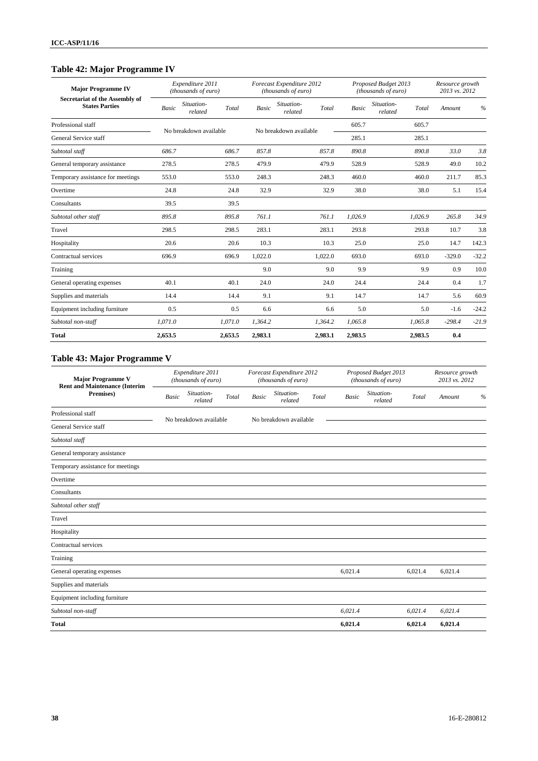# **Table 42: Major Programme IV**

| <b>Major Programme IV</b><br>Secretariat of the Assembly of |         | Expenditure 2011<br>(thousands of euro) |         |              | Forecast Expenditure 2012<br>(thousands of euro) |         |         | Proposed Budget 2013<br>(thousands of euro) | Resource growth<br>2013 vs. 2012 |         |
|-------------------------------------------------------------|---------|-----------------------------------------|---------|--------------|--------------------------------------------------|---------|---------|---------------------------------------------|----------------------------------|---------|
| <b>States Parties</b>                                       | Basic   | Situation-<br>related                   | Total   | <b>Basic</b> | Situation-<br>related                            | Total   | Basic   | Situation-<br>Total<br>related              | Amount                           | $\%$    |
| Professional staff                                          |         | No breakdown available                  |         |              | No breakdown available                           |         | 605.7   | 605.7                                       |                                  |         |
| General Service staff                                       |         |                                         |         |              |                                                  |         | 285.1   | 285.1                                       |                                  |         |
| Subtotal staff                                              | 686.7   |                                         | 686.7   | 857.8        |                                                  | 857.8   | 890.8   | 890.8                                       | 33.0                             | 3.8     |
| General temporary assistance                                | 278.5   |                                         | 278.5   | 479.9        |                                                  | 479.9   | 528.9   | 528.9                                       | 49.0                             | 10.2    |
| Temporary assistance for meetings                           | 553.0   |                                         | 553.0   | 248.3        |                                                  | 248.3   | 460.0   | 460.0                                       | 211.7                            | 85.3    |
| Overtime                                                    | 24.8    |                                         | 24.8    | 32.9         |                                                  | 32.9    | 38.0    | 38.0                                        | 5.1                              | 15.4    |
| Consultants                                                 | 39.5    |                                         | 39.5    |              |                                                  |         |         |                                             |                                  |         |
| Subtotal other staff                                        | 895.8   |                                         | 895.8   | 761.1        |                                                  | 761.1   | 1,026.9 | 1,026.9                                     | 265.8                            | 34.9    |
| Travel                                                      | 298.5   |                                         | 298.5   | 283.1        |                                                  | 283.1   | 293.8   | 293.8                                       | 10.7                             | 3.8     |
| Hospitality                                                 | 20.6    |                                         | 20.6    | 10.3         |                                                  | 10.3    | 25.0    | 25.0                                        | 14.7                             | 142.3   |
| Contractual services                                        | 696.9   |                                         | 696.9   | 1,022.0      |                                                  | 1,022.0 | 693.0   | 693.0                                       | $-329.0$                         | $-32.2$ |
| Training                                                    |         |                                         |         | 9.0          |                                                  | 9.0     | 9.9     | 9.9                                         | 0.9                              | 10.0    |
| General operating expenses                                  | 40.1    |                                         | 40.1    | 24.0         |                                                  | 24.0    | 24.4    | 24.4                                        | 0.4                              | 1.7     |
| Supplies and materials                                      | 14.4    |                                         | 14.4    | 9.1          |                                                  | 9.1     | 14.7    | 14.7                                        | 5.6                              | 60.9    |
| Equipment including furniture                               | 0.5     |                                         | 0.5     | 6.6          |                                                  | 6.6     | 5.0     | 5.0                                         | $-1.6$                           | $-24.2$ |
| Subtotal non-staff                                          | 1.071.0 |                                         | 1,071.0 | 1.364.2      |                                                  | 1,364.2 | 1.065.8 | 1,065.8                                     | $-298.4$                         | $-21.9$ |
| <b>Total</b>                                                | 2,653.5 |                                         | 2,653.5 | 2,983.1      |                                                  | 2,983.1 | 2,983.5 | 2,983.5                                     | 0.4                              |         |

# **Table 43: Major Programme V**

| <b>Major Programme V</b><br><b>Rent and Maintenance (Interim</b> |              | Expenditure 2011<br>(thousands of euro) |       |              | Forecast Expenditure 2012<br>(thousands of euro) |       |              | Proposed Budget 2013<br>(thousands of euro) |         | Resource growth<br>2013 vs. 2012 |               |
|------------------------------------------------------------------|--------------|-----------------------------------------|-------|--------------|--------------------------------------------------|-------|--------------|---------------------------------------------|---------|----------------------------------|---------------|
| Premises)                                                        | <b>Basic</b> | Situation-<br>related                   | Total | <b>Basic</b> | Situation-<br>related                            | Total | <b>Basic</b> | Situation-<br>related                       | Total   | Amount                           | $\frac{0}{0}$ |
| Professional staff                                               |              | No breakdown available                  |       |              | No breakdown available                           |       |              |                                             |         |                                  |               |
| General Service staff                                            |              |                                         |       |              |                                                  |       |              |                                             |         |                                  |               |
| Subtotal staff                                                   |              |                                         |       |              |                                                  |       |              |                                             |         |                                  |               |
| General temporary assistance                                     |              |                                         |       |              |                                                  |       |              |                                             |         |                                  |               |
| Temporary assistance for meetings                                |              |                                         |       |              |                                                  |       |              |                                             |         |                                  |               |
| Overtime                                                         |              |                                         |       |              |                                                  |       |              |                                             |         |                                  |               |
| Consultants                                                      |              |                                         |       |              |                                                  |       |              |                                             |         |                                  |               |
| Subtotal other staff                                             |              |                                         |       |              |                                                  |       |              |                                             |         |                                  |               |
| Travel                                                           |              |                                         |       |              |                                                  |       |              |                                             |         |                                  |               |
| Hospitality                                                      |              |                                         |       |              |                                                  |       |              |                                             |         |                                  |               |
| Contractual services                                             |              |                                         |       |              |                                                  |       |              |                                             |         |                                  |               |
| Training                                                         |              |                                         |       |              |                                                  |       |              |                                             |         |                                  |               |
| General operating expenses                                       |              |                                         |       |              |                                                  |       | 6,021.4      |                                             | 6,021.4 | 6,021.4                          |               |
| Supplies and materials                                           |              |                                         |       |              |                                                  |       |              |                                             |         |                                  |               |
| Equipment including furniture                                    |              |                                         |       |              |                                                  |       |              |                                             |         |                                  |               |
| Subtotal non-staff                                               |              |                                         |       |              |                                                  |       | 6.021.4      |                                             | 6.021.4 | 6,021.4                          |               |
| <b>Total</b>                                                     |              |                                         |       |              |                                                  |       | 6,021.4      |                                             | 6,021.4 | 6,021.4                          |               |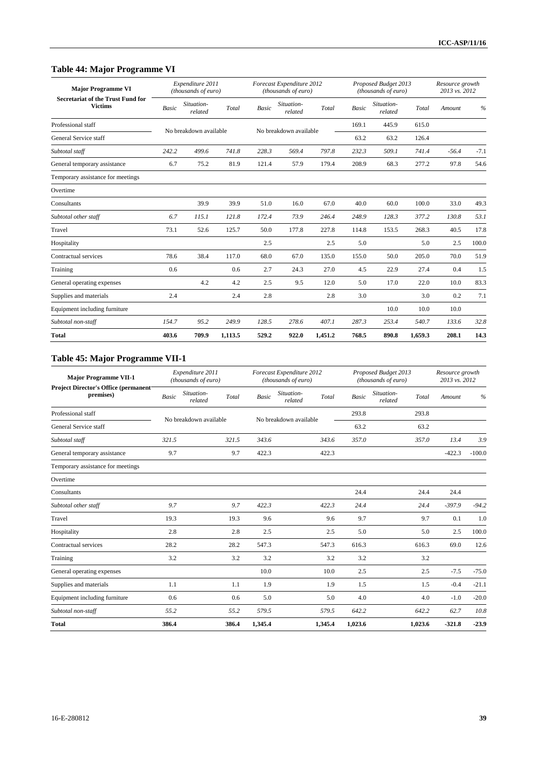# **Table 44: Major Programme VI**

| <b>Major Programme VI</b><br><b>Secretariat of the Trust Fund for</b> |              | Expenditure 2011<br>(thousands of euro) |         |              | Forecast Expenditure 2012<br>(thousands of euro) |         |              | Proposed Budget 2013<br>(thousands of euro) |         | Resource growth<br>2013 vs. 2012 |               |
|-----------------------------------------------------------------------|--------------|-----------------------------------------|---------|--------------|--------------------------------------------------|---------|--------------|---------------------------------------------|---------|----------------------------------|---------------|
| <b>Victims</b>                                                        | <b>Basic</b> | Situation-<br>related                   | Total   | <b>Basic</b> | Situation-<br>related                            | Total   | <b>Basic</b> | Situation-<br>related                       | Total   | Amount                           | $\frac{0}{0}$ |
| Professional staff                                                    |              | No breakdown available                  |         |              | No breakdown available                           |         | 169.1        | 445.9                                       | 615.0   |                                  |               |
| General Service staff                                                 |              |                                         |         |              |                                                  |         | 63.2         | 63.2                                        | 126.4   |                                  |               |
| Subtotal staff                                                        | 242.2        | 499.6                                   | 741.8   | 228.3        | 569.4                                            | 797.8   | 232.3        | 509.1                                       | 741.4   | $-56.4$                          | $-7.1$        |
| General temporary assistance                                          | 6.7          | 75.2                                    | 81.9    | 121.4        | 57.9                                             | 179.4   | 208.9        | 68.3                                        | 277.2   | 97.8                             | 54.6          |
| Temporary assistance for meetings                                     |              |                                         |         |              |                                                  |         |              |                                             |         |                                  |               |
| Overtime                                                              |              |                                         |         |              |                                                  |         |              |                                             |         |                                  |               |
| Consultants                                                           |              | 39.9                                    | 39.9    | 51.0         | 16.0                                             | 67.0    | 40.0         | 60.0                                        | 100.0   | 33.0                             | 49.3          |
| Subtotal other staff                                                  | 6.7          | 115.1                                   | 121.8   | 172.4        | 73.9                                             | 246.4   | 248.9        | 128.3                                       | 377.2   | 130.8                            | 53.1          |
| Travel                                                                | 73.1         | 52.6                                    | 125.7   | 50.0         | 177.8                                            | 227.8   | 114.8        | 153.5                                       | 268.3   | 40.5                             | 17.8          |
| Hospitality                                                           |              |                                         |         | 2.5          |                                                  | 2.5     | 5.0          |                                             | 5.0     | 2.5                              | 100.0         |
| Contractual services                                                  | 78.6         | 38.4                                    | 117.0   | 68.0         | 67.0                                             | 135.0   | 155.0        | 50.0                                        | 205.0   | 70.0                             | 51.9          |
| Training                                                              | 0.6          |                                         | 0.6     | 2.7          | 24.3                                             | 27.0    | 4.5          | 22.9                                        | 27.4    | 0.4                              | 1.5           |
| General operating expenses                                            |              | 4.2                                     | 4.2     | 2.5          | 9.5                                              | 12.0    | 5.0          | 17.0                                        | 22.0    | 10.0                             | 83.3          |
| Supplies and materials                                                | 2.4          |                                         | 2.4     | 2.8          |                                                  | 2.8     | 3.0          |                                             | 3.0     | 0.2                              | 7.1           |
| Equipment including furniture                                         |              |                                         |         |              |                                                  |         |              | 10.0                                        | 10.0    | 10.0                             |               |
| Subtotal non-staff                                                    | 154.7        | 95.2                                    | 249.9   | 128.5        | 278.6                                            | 407.1   | 287.3        | 253.4                                       | 540.7   | 133.6                            | 32.8          |
| <b>Total</b>                                                          | 403.6        | 709.9                                   | 1,113.5 | 529.2        | 922.0                                            | 1,451.2 | 768.5        | 890.8                                       | 1,659.3 | 208.1                            | 14.3          |

# **Table 45: Major Programme VII-1**

| <b>Major Programme VII-1</b>                              |              | Expenditure 2011<br>(thousands of euro) |       |         | Forecast Expenditure 2012<br>(thousands of euro) |         |              | Proposed Budget 2013<br>(thousands of euro) | Resource growth<br>2013 vs. 2012 |               |
|-----------------------------------------------------------|--------------|-----------------------------------------|-------|---------|--------------------------------------------------|---------|--------------|---------------------------------------------|----------------------------------|---------------|
| <b>Project Director's Office (permanent)</b><br>premises) | <b>Basic</b> | Situation-<br>related                   | Total | Basic   | Situation-<br>related                            | Total   | <b>Basic</b> | Situation-<br>Total<br>related              | Amount                           | $\frac{0}{0}$ |
| Professional staff                                        |              | No breakdown available                  |       |         | No breakdown available                           |         | 293.8        | 293.8                                       |                                  |               |
| General Service staff                                     |              |                                         |       |         |                                                  |         | 63.2         | 63.2                                        |                                  |               |
| Subtotal staff                                            | 321.5        |                                         | 321.5 | 343.6   |                                                  | 343.6   | 357.0        | 357.0                                       | 13.4                             | 3.9           |
| General temporary assistance                              | 9.7          |                                         | 9.7   | 422.3   |                                                  | 422.3   |              |                                             | $-422.3$                         | $-100.0$      |
| Temporary assistance for meetings                         |              |                                         |       |         |                                                  |         |              |                                             |                                  |               |
| Overtime                                                  |              |                                         |       |         |                                                  |         |              |                                             |                                  |               |
| Consultants                                               |              |                                         |       |         |                                                  |         | 24.4         | 24.4                                        | 24.4                             |               |
| Subtotal other staff                                      | 9.7          |                                         | 9.7   | 422.3   |                                                  | 422.3   | 24.4         | 24.4                                        | $-397.9$                         | $-94.2$       |
| Travel                                                    | 19.3         |                                         | 19.3  | 9.6     |                                                  | 9.6     | 9.7          | 9.7                                         | 0.1                              | 1.0           |
| Hospitality                                               | 2.8          |                                         | 2.8   | 2.5     |                                                  | 2.5     | 5.0          | 5.0                                         | 2.5                              | 100.0         |
| Contractual services                                      | 28.2         |                                         | 28.2  | 547.3   |                                                  | 547.3   | 616.3        | 616.3                                       | 69.0                             | 12.6          |
| Training                                                  | 3.2          |                                         | 3.2   | 3.2     |                                                  | 3.2     | 3.2          | 3.2                                         |                                  |               |
| General operating expenses                                |              |                                         |       | 10.0    |                                                  | 10.0    | 2.5          | 2.5                                         | $-7.5$                           | $-75.0$       |
| Supplies and materials                                    | 1.1          |                                         | 1.1   | 1.9     |                                                  | 1.9     | 1.5          | 1.5                                         | $-0.4$                           | $-21.1$       |
| Equipment including furniture                             | 0.6          |                                         | 0.6   | 5.0     |                                                  | 5.0     | 4.0          | 4.0                                         | $-1.0$                           | $-20.0$       |
| Subtotal non-staff                                        | 55.2         |                                         | 55.2  | 579.5   |                                                  | 579.5   | 642.2        | 642.2                                       | 62.7                             | 10.8          |
| <b>Total</b>                                              | 386.4        |                                         | 386.4 | 1.345.4 |                                                  | 1,345.4 | 1.023.6      | 1,023.6                                     | $-321.8$                         | $-23.9$       |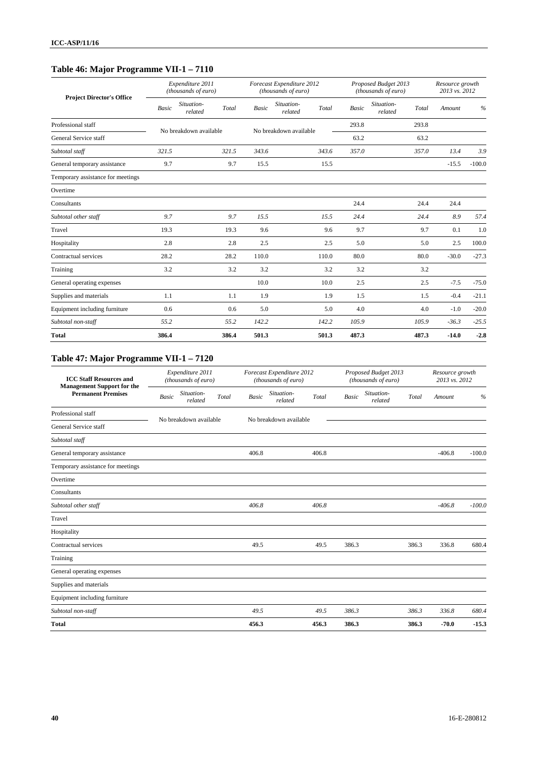# **Table 46: Major Programme VII-1 – 7110**

| <b>Project Director's Office</b>  |              | Expenditure 2011<br>(thousands of euro) |       |              | Forecast Expenditure 2012<br>(thousands of euro) |       |              | Proposed Budget 2013<br>(thousands of euro) | Resource growth<br>2013 vs. 2012 |          |
|-----------------------------------|--------------|-----------------------------------------|-------|--------------|--------------------------------------------------|-------|--------------|---------------------------------------------|----------------------------------|----------|
|                                   | <b>Basic</b> | Situation-<br>related                   | Total | <b>Basic</b> | Situation-<br>related                            | Total | <b>Basic</b> | Situation-<br>Total<br>related              | Amount                           | $\%$     |
| Professional staff                |              | No breakdown available                  |       |              | No breakdown available                           |       | 293.8        | 293.8                                       |                                  |          |
| General Service staff             |              |                                         |       |              |                                                  |       | 63.2         | 63.2                                        |                                  |          |
| Subtotal staff                    | 321.5        |                                         | 321.5 | 343.6        |                                                  | 343.6 | 357.0        | 357.0                                       | 13.4                             | 3.9      |
| General temporary assistance      | 9.7          |                                         | 9.7   | 15.5         |                                                  | 15.5  |              |                                             | $-15.5$                          | $-100.0$ |
| Temporary assistance for meetings |              |                                         |       |              |                                                  |       |              |                                             |                                  |          |
| Overtime                          |              |                                         |       |              |                                                  |       |              |                                             |                                  |          |
| Consultants                       |              |                                         |       |              |                                                  |       | 24.4         | 24.4                                        | 24.4                             |          |
| Subtotal other staff              | 9.7          |                                         | 9.7   | 15.5         |                                                  | 15.5  | 24.4         | 24.4                                        | 8.9                              | 57.4     |
| Travel                            | 19.3         |                                         | 19.3  | 9.6          |                                                  | 9.6   | 9.7          | 9.7                                         | 0.1                              | 1.0      |
| Hospitality                       | 2.8          |                                         | 2.8   | 2.5          |                                                  | 2.5   | 5.0          | 5.0                                         | 2.5                              | 100.0    |
| Contractual services              | 28.2         |                                         | 28.2  | 110.0        |                                                  | 110.0 | 80.0         | 80.0                                        | $-30.0$                          | $-27.3$  |
| Training                          | 3.2          |                                         | 3.2   | 3.2          |                                                  | 3.2   | 3.2          | 3.2                                         |                                  |          |
| General operating expenses        |              |                                         |       | 10.0         |                                                  | 10.0  | 2.5          | 2.5                                         | $-7.5$                           | $-75.0$  |
| Supplies and materials            | 1.1          |                                         | 1.1   | 1.9          |                                                  | 1.9   | 1.5          | 1.5                                         | $-0.4$                           | $-21.1$  |
| Equipment including furniture     | 0.6          |                                         | 0.6   | 5.0          |                                                  | 5.0   | 4.0          | 4.0                                         | $-1.0$                           | $-20.0$  |
| Subtotal non-staff                | 55.2         |                                         | 55.2  | 142.2        |                                                  | 142.2 | 105.9        | 105.9                                       | $-36.3$                          | $-25.5$  |
| <b>Total</b>                      | 386.4        |                                         | 386.4 | 501.3        |                                                  | 501.3 | 487.3        | 487.3                                       | $-14.0$                          | $-2.8$   |

# **Table 47: Major Programme VII-1 – 7120**

| <b>ICC Staff Resources and</b><br><b>Management Support for the</b> |              | Expenditure 2011<br>(thousands of euro) |       |              | Forecast Expenditure 2012<br>(thousands of euro) |       |              | Proposed Budget 2013<br>(thousands of euro) |       | Resource growth<br>2013 vs. 2012 |               |
|---------------------------------------------------------------------|--------------|-----------------------------------------|-------|--------------|--------------------------------------------------|-------|--------------|---------------------------------------------|-------|----------------------------------|---------------|
| <b>Permanent Premises</b>                                           | <b>Basic</b> | Situation-<br>related                   | Total | <b>Basic</b> | Situation-<br>related                            | Total | <b>Basic</b> | Situation-<br>related                       | Total | Amount                           | $\frac{0}{0}$ |
| Professional staff                                                  |              | No breakdown available                  |       |              | No breakdown available                           |       |              |                                             |       |                                  |               |
| General Service staff                                               |              |                                         |       |              |                                                  |       |              |                                             |       |                                  |               |
| Subtotal staff                                                      |              |                                         |       |              |                                                  |       |              |                                             |       |                                  |               |
| General temporary assistance                                        |              |                                         |       | 406.8        |                                                  | 406.8 |              |                                             |       | $-406.8$                         | $-100.0$      |
| Temporary assistance for meetings                                   |              |                                         |       |              |                                                  |       |              |                                             |       |                                  |               |
| Overtime                                                            |              |                                         |       |              |                                                  |       |              |                                             |       |                                  |               |
| Consultants                                                         |              |                                         |       |              |                                                  |       |              |                                             |       |                                  |               |
| Subtotal other staff                                                |              |                                         |       | 406.8        |                                                  | 406.8 |              |                                             |       | $-406.8$                         | $-100.0$      |
| Travel                                                              |              |                                         |       |              |                                                  |       |              |                                             |       |                                  |               |
| Hospitality                                                         |              |                                         |       |              |                                                  |       |              |                                             |       |                                  |               |
| Contractual services                                                |              |                                         |       | 49.5         |                                                  | 49.5  | 386.3        |                                             | 386.3 | 336.8                            | 680.4         |
| Training                                                            |              |                                         |       |              |                                                  |       |              |                                             |       |                                  |               |
| General operating expenses                                          |              |                                         |       |              |                                                  |       |              |                                             |       |                                  |               |
| Supplies and materials                                              |              |                                         |       |              |                                                  |       |              |                                             |       |                                  |               |
| Equipment including furniture                                       |              |                                         |       |              |                                                  |       |              |                                             |       |                                  |               |
| Subtotal non-staff                                                  |              |                                         |       | 49.5         |                                                  | 49.5  | 386.3        |                                             | 386.3 | 336.8                            | 680.4         |
| <b>Total</b>                                                        |              |                                         |       | 456.3        |                                                  | 456.3 | 386.3        |                                             | 386.3 | $-70.0$                          | $-15.3$       |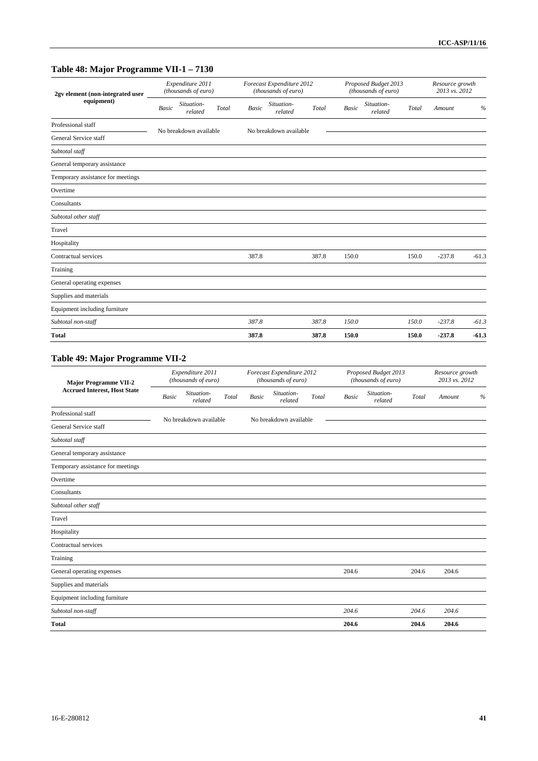# **Table 48: Major Programme VII-1 – 7130**

| 2gv element (non-integrated user<br>equipment) |              | Expenditure 2011<br>(thousands of euro) |       |              | Forecast Expenditure 2012<br>(thousands of euro) |       |              | Proposed Budget 2013<br>(thousands of euro) |       | Resource growth<br>2013 vs. 2012 |         |
|------------------------------------------------|--------------|-----------------------------------------|-------|--------------|--------------------------------------------------|-------|--------------|---------------------------------------------|-------|----------------------------------|---------|
|                                                | <b>Basic</b> | Situation-<br>related                   | Total | <b>Basic</b> | Situation-<br>related                            | Total | <b>Basic</b> | Situation-<br>related                       | Total | Amount                           | %       |
| Professional staff                             |              | No breakdown available                  |       |              | No breakdown available                           |       |              |                                             |       |                                  |         |
| General Service staff                          |              |                                         |       |              |                                                  |       |              |                                             |       |                                  |         |
| Subtotal staff                                 |              |                                         |       |              |                                                  |       |              |                                             |       |                                  |         |
| General temporary assistance                   |              |                                         |       |              |                                                  |       |              |                                             |       |                                  |         |
| Temporary assistance for meetings              |              |                                         |       |              |                                                  |       |              |                                             |       |                                  |         |
| Overtime                                       |              |                                         |       |              |                                                  |       |              |                                             |       |                                  |         |
| Consultants                                    |              |                                         |       |              |                                                  |       |              |                                             |       |                                  |         |
| Subtotal other staff                           |              |                                         |       |              |                                                  |       |              |                                             |       |                                  |         |
| Travel                                         |              |                                         |       |              |                                                  |       |              |                                             |       |                                  |         |
| Hospitality                                    |              |                                         |       |              |                                                  |       |              |                                             |       |                                  |         |
| Contractual services                           |              |                                         |       | 387.8        |                                                  | 387.8 | 150.0        |                                             | 150.0 | $-237.8$                         | $-61.3$ |
| Training                                       |              |                                         |       |              |                                                  |       |              |                                             |       |                                  |         |
| General operating expenses                     |              |                                         |       |              |                                                  |       |              |                                             |       |                                  |         |
| Supplies and materials                         |              |                                         |       |              |                                                  |       |              |                                             |       |                                  |         |
| Equipment including furniture                  |              |                                         |       |              |                                                  |       |              |                                             |       |                                  |         |
| Subtotal non-staff                             |              |                                         |       | 387.8        |                                                  | 387.8 | 150.0        |                                             | 150.0 | $-237.8$                         | $-61.3$ |
| <b>Total</b>                                   |              |                                         |       | 387.8        |                                                  | 387.8 | 150.0        |                                             | 150.0 | $-237.8$                         | $-61.3$ |

# **Table 49: Major Programme VII-2**

| <b>Major Programme VII-2</b><br><b>Accrued Interest, Host State</b> |              | Expenditure 2011<br>(thousands of euro) |       |       | Forecast Expenditure 2012<br>(thousands of euro) |       |              | Proposed Budget 2013<br>(thousands of euro) |       | Resource growth<br>2013 vs. 2012 |   |
|---------------------------------------------------------------------|--------------|-----------------------------------------|-------|-------|--------------------------------------------------|-------|--------------|---------------------------------------------|-------|----------------------------------|---|
|                                                                     | <b>Basic</b> | Situation-<br>related                   | Total | Basic | Situation-<br>related                            | Total | <b>Basic</b> | Situation-<br>related                       | Total | Amount                           | % |
| Professional staff                                                  |              | No breakdown available                  |       |       | No breakdown available                           |       |              |                                             |       |                                  |   |
| General Service staff                                               |              |                                         |       |       |                                                  |       |              |                                             |       |                                  |   |
| Subtotal staff                                                      |              |                                         |       |       |                                                  |       |              |                                             |       |                                  |   |
| General temporary assistance                                        |              |                                         |       |       |                                                  |       |              |                                             |       |                                  |   |
| Temporary assistance for meetings                                   |              |                                         |       |       |                                                  |       |              |                                             |       |                                  |   |
| Overtime                                                            |              |                                         |       |       |                                                  |       |              |                                             |       |                                  |   |
| Consultants                                                         |              |                                         |       |       |                                                  |       |              |                                             |       |                                  |   |
| Subtotal other staff                                                |              |                                         |       |       |                                                  |       |              |                                             |       |                                  |   |
| Travel                                                              |              |                                         |       |       |                                                  |       |              |                                             |       |                                  |   |
| Hospitality                                                         |              |                                         |       |       |                                                  |       |              |                                             |       |                                  |   |
| Contractual services                                                |              |                                         |       |       |                                                  |       |              |                                             |       |                                  |   |
| Training                                                            |              |                                         |       |       |                                                  |       |              |                                             |       |                                  |   |
| General operating expenses                                          |              |                                         |       |       |                                                  |       | 204.6        |                                             | 204.6 | 204.6                            |   |
| Supplies and materials                                              |              |                                         |       |       |                                                  |       |              |                                             |       |                                  |   |
| Equipment including furniture                                       |              |                                         |       |       |                                                  |       |              |                                             |       |                                  |   |
| Subtotal non-staff                                                  |              |                                         |       |       |                                                  |       | 204.6        |                                             | 204.6 | 204.6                            |   |
| <b>Total</b>                                                        |              |                                         |       |       |                                                  |       | 204.6        |                                             | 204.6 | 204.6                            |   |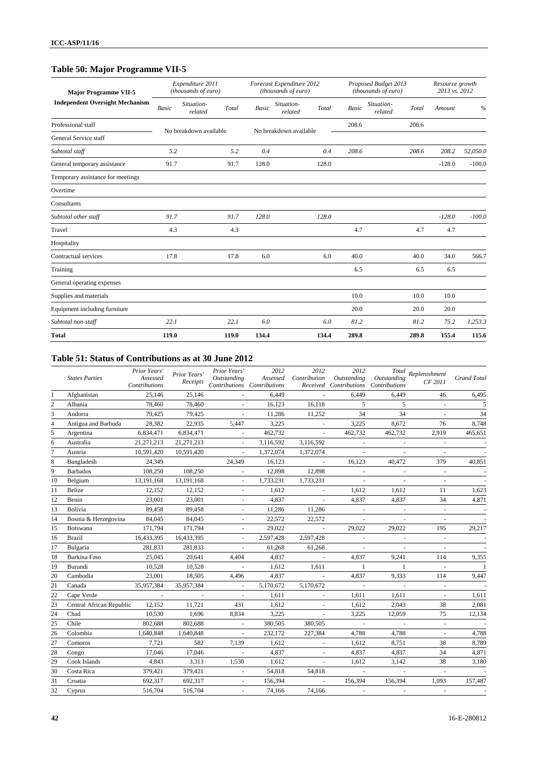# **Table 50: Major Programme VII-5**

| <b>Major Programme VII-5</b>           |              | Expenditure 2011<br>(thousands of euro) |       |              | Forecast Expenditure 2012<br>(thousands of euro) |       |              | Proposed Budget 2013<br>(thousands of euro) |       | Resource growth<br>2013 vs. 2012 |          |
|----------------------------------------|--------------|-----------------------------------------|-------|--------------|--------------------------------------------------|-------|--------------|---------------------------------------------|-------|----------------------------------|----------|
| <b>Independent Oversight Mechanism</b> | <b>Basic</b> | Situation-<br>related                   | Total | <b>Basic</b> | Situation-<br>related                            | Total | <b>Basic</b> | Situation-<br>related                       | Total | Amount                           | $\%$     |
| Professional staff                     |              | No breakdown available                  |       |              | No breakdown available                           |       | 208.6        |                                             | 208.6 |                                  |          |
| General Service staff                  |              |                                         |       |              |                                                  |       |              |                                             |       |                                  |          |
| Subtotal staff                         | 5.2          |                                         | 5.2   | 0.4          |                                                  | 0.4   | 208.6        |                                             | 208.6 | 208.2                            | 52,050.0 |
| General temporary assistance           | 91.7         |                                         | 91.7  | 128.0        |                                                  | 128.0 |              |                                             |       | $-128.0$                         | $-100.0$ |
| Temporary assistance for meetings      |              |                                         |       |              |                                                  |       |              |                                             |       |                                  |          |
| Overtime                               |              |                                         |       |              |                                                  |       |              |                                             |       |                                  |          |
| Consultants                            |              |                                         |       |              |                                                  |       |              |                                             |       |                                  |          |
| Subtotal other staff                   | 91.7         |                                         | 91.7  | 128.0        |                                                  | 128.0 |              |                                             |       | $-128.0$                         | $-100.0$ |
| Travel                                 | 4.3          |                                         | 4.3   |              |                                                  |       | 4.7          |                                             | 4.7   | 4.7                              |          |
| Hospitality                            |              |                                         |       |              |                                                  |       |              |                                             |       |                                  |          |
| Contractual services                   | 17.8         |                                         | 17.8  | 6.0          |                                                  | 6.0   | 40.0         |                                             | 40.0  | 34.0                             | 566.7    |
| Training                               |              |                                         |       |              |                                                  |       | 6.5          |                                             | 6.5   | 6.5                              |          |
| General operating expenses             |              |                                         |       |              |                                                  |       |              |                                             |       |                                  |          |
| Supplies and materials                 |              |                                         |       |              |                                                  |       | 10.0         |                                             | 10.0  | 10.0                             |          |
| Equipment including furniture          |              |                                         |       |              |                                                  |       | 20.0         |                                             | 20.0  | 20.0                             |          |
| Subtotal non-staff                     | 22.1         |                                         | 22.1  | 6.0          |                                                  | 6.0   | 81.2         |                                             | 81.2  | 75.2                             | 1,253.3  |
| <b>Total</b>                           | 119.0        |                                         | 119.0 | 134.4        |                                                  | 134.4 | 289.8        |                                             | 289.8 | 155.4                            | 115.6    |

#### **Table 51: Status of Contributions as at 30 June 2012**

|                | <b>States Parties</b>    | Prior Years'<br>Assessed<br>Contributions | Prior Years'<br>Receipts | Prior Years'<br>Outstanding<br>Contributions Contributions | 2012<br>Assessed | 2012<br>Contribution     | 2012<br>Outstanding<br>Received Contributions | Outstanding<br>Contributions | $\label{eq:total} Total \;\; Replenishment$<br>CF 2011 | <b>Grand Total</b> |
|----------------|--------------------------|-------------------------------------------|--------------------------|------------------------------------------------------------|------------------|--------------------------|-----------------------------------------------|------------------------------|--------------------------------------------------------|--------------------|
| 1              | Afghanistan              | 25,146                                    | 25,146                   |                                                            | 6,449            | $\omega$                 | 6.449                                         | 6.449                        | 46                                                     | 6,495              |
| $\overline{c}$ | Albania                  | 78,460                                    | 78,460                   |                                                            | 16,123           | 16,118                   | 5                                             | 5                            | $\omega$                                               | 5                  |
| 3              | Andorra                  | 79,425                                    | 79.425                   |                                                            | 11.286           | 11,252                   | 34                                            | 34                           |                                                        | 34                 |
| $\overline{4}$ | Antigua and Barbuda      | 28,382                                    | 22,935                   | 5,447                                                      | 3,225            | $\mathbf{r}$             | 3,225                                         | 8,672                        | 76                                                     | 8,748              |
| 5              | Argentina                | 6,834,471                                 | 6,834,471                | $\overline{\phantom{a}}$                                   | 462,732          | $\omega$                 | 462,732                                       | 462,732                      | 2,919                                                  | 465,651            |
| 6              | Australia                | 21,271,213                                | 21,271,213               | $\sim$                                                     | 3,116,592        | 3,116,592                | $\sim$                                        | $\overline{\phantom{a}}$     | $\omega$                                               |                    |
| 7              | Austria                  | 10,591,420                                | 10,591,420               |                                                            | 1,372,074        | 1,372,074                | $\sim$                                        |                              |                                                        |                    |
| 8              | Bangladesh               | 24,349                                    |                          | 24,349                                                     | 16,123           | $\sim$                   | 16,123                                        | 40,472                       | 379                                                    | 40,851             |
| 9              | <b>Barbados</b>          | 108,250                                   | 108,250                  |                                                            | 12,898           | 12,898                   |                                               |                              | ÷.                                                     |                    |
| 10             | Belgium                  | 13,191,168                                | 13,191,168               | $\blacksquare$                                             | 1,733,231        | 1,733,231                | $\sim$                                        | $\overline{\phantom{a}}$     | $\overline{\phantom{a}}$                               |                    |
| 11             | Belize                   | 12.152                                    | 12,152                   | $\omega$                                                   | 1,612            | $\blacksquare$           | 1,612                                         | 1.612                        | 11                                                     | 1,623              |
| 12             | Benin                    | 23,001                                    | 23,001                   | $\mathbf{r}$                                               | 4,837            | $\sim$                   | 4,837                                         | 4,837                        | 34                                                     | 4,871              |
| 13             | Bolivia                  | 89,458                                    | 89,458                   | ÷.                                                         | 11,286           | 11,286                   |                                               |                              | $\sim$                                                 |                    |
| 14             | Bosnia & Herzegovina     | 84,045                                    | 84,045                   |                                                            | 22,572           | 22,572                   | ÷.                                            |                              | $\bar{a}$                                              |                    |
| 15             | Botswana                 | 171,794                                   | 171,794                  |                                                            | 29,022           |                          | 29,022                                        | 29,022                       | 195                                                    | 29,217             |
| 16             | <b>Brazil</b>            | 16,433,395                                | 16,433,395               |                                                            | 2,597,428        | 2,597,428                | $\sim$                                        | $\blacksquare$               | $\overline{\phantom{a}}$                               |                    |
| 17             | Bulgaria                 | 281,833                                   | 281,833                  | $\omega$                                                   | 61,268           | 61,268                   | $\overline{\phantom{a}}$                      | $\overline{\phantom{a}}$     | $\overline{\phantom{a}}$                               |                    |
| 18             | Burkina Faso             | 25,045                                    | 20,641                   | 4,404                                                      | 4,837            | $\omega$                 | 4,837                                         | 9,241                        | 114                                                    | 9,355              |
| 19             | Burundi                  | 10,528                                    | 10,528                   |                                                            | 1,612            | 1,611                    | $\mathbf{1}$                                  | $\mathbf{1}$                 | $\omega$                                               | -1                 |
| 20             | Cambodia                 | 23,001                                    | 18,505                   | 4,496                                                      | 4,837            | $\omega$                 | 4,837                                         | 9,333                        | 114                                                    | 9,447              |
| 21             | Canada                   | 35,957,384                                | 35,957,384               |                                                            | 5,170,672        | 5,170,672                | $\sim$                                        | $\sim$                       | $\omega$                                               |                    |
| 22             | Cape Verde               | $\overline{\phantom{a}}$                  |                          | $\overline{\phantom{a}}$                                   | 1,611            |                          | 1,611                                         | 1,611                        | $\overline{\phantom{a}}$                               | 1,611              |
| 23             | Central African Republic | 12,152                                    | 11,721                   | 431                                                        | 1,612            | $\sim$                   | 1,612                                         | 2,043                        | 38                                                     | 2,081              |
| 24             | Chad                     | 10,530                                    | 1,696                    | 8,834                                                      | 3,225            | $\sim$                   | 3,225                                         | 12,059                       | 75                                                     | 12,134             |
| 25             | Chile                    | 802,688                                   | 802,688                  | $\mathcal{L}$                                              | 380,505          | 380,505                  | $\mathcal{L}$                                 | $\sim$                       | $\mathcal{L}$                                          |                    |
| 26             | Colombia                 | 1,640,848                                 | 1,640,848                | $\omega$                                                   | 232,172          | 227,384                  | 4,788                                         | 4,788                        | $\omega$                                               | 4,788              |
| 27             | Comoros                  | 7,721                                     | 582                      | 7,139                                                      | 1,612            |                          | 1,612                                         | 8,751                        | 38                                                     | 8,789              |
| 28             | Congo                    | 17,046                                    | 17,046                   | $\overline{\phantom{a}}$                                   | 4,837            |                          | 4,837                                         | 4,837                        | 34                                                     | 4,871              |
| 29             | Cook Islands             | 4,843                                     | 3,313                    | 1,530                                                      | 1,612            | $\overline{\phantom{a}}$ | 1,612                                         | 3,142                        | 38                                                     | 3,180              |
| 30             | Costa Rica               | 379,421                                   | 379,421                  | $\overline{\phantom{a}}$                                   | 54,818           | 54,818                   | $\omega$                                      |                              | $\omega$                                               |                    |
| 31             | Croatia                  | 692,317                                   | 692,317                  | $\overline{\phantom{a}}$                                   | 156,394          | $\equiv$                 | 156,394                                       | 156,394                      | 1,093                                                  | 157,487            |
| 32             | Cyprus                   | 516,704                                   | 516,704                  | ä,                                                         | 74,166           | 74,166                   | $\omega$                                      |                              | $\omega$                                               |                    |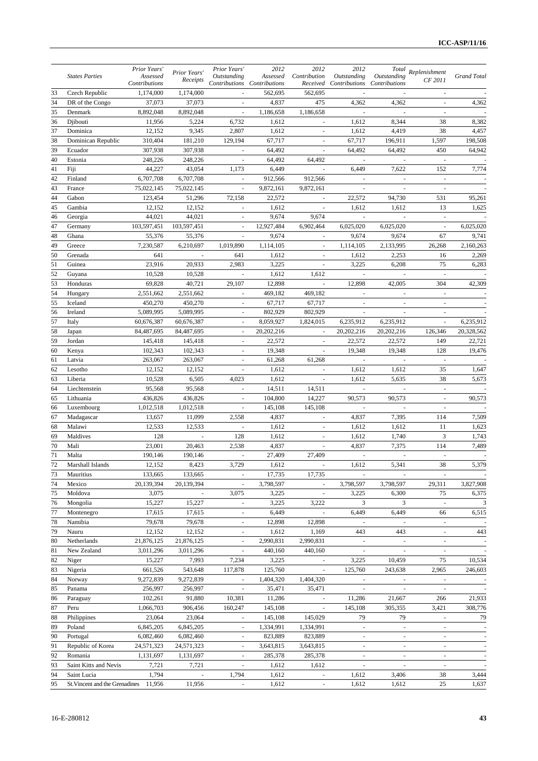|          |                                                      | Prior Years'              | Prior Years'             | Prior Years'             | 2012                                    | 2012                     | 2012                                  |                              | $\left. \right. \left. \right. \left. \right. \left. \right. \left. \right. \left. \right. \left. \left. \right. \left. \left. \right. \left. \right. \left. \right. \left. \left. \right. \left. \right. \left. \left. \right. \right. \left. \left. \right. \right. \left. \left. \right. \left. \left. \right. \right. \left. \left. \right. \right. \left. \left. \right. \right. \left. \left. \right. \left. \left. \right. \right. \left. \left. \right. \right. \left. \left. \right. \right. \left. \left. \right. \right. \left. \left. \right. \right. \$ |             |
|----------|------------------------------------------------------|---------------------------|--------------------------|--------------------------|-----------------------------------------|--------------------------|---------------------------------------|------------------------------|----------------------------------------------------------------------------------------------------------------------------------------------------------------------------------------------------------------------------------------------------------------------------------------------------------------------------------------------------------------------------------------------------------------------------------------------------------------------------------------------------------------------------------------------------------------------|-------------|
|          | <b>States Parties</b>                                | Assessed<br>Contributions | Receipts                 | Outstanding              | Assessed<br>Contributions Contributions | Contribution             | Outstanding<br>Received Contributions | Outstanding<br>Contributions | CF 2011                                                                                                                                                                                                                                                                                                                                                                                                                                                                                                                                                              | Grand Total |
| 33       | Czech Republic                                       | 1,174,000                 | 1,174,000                | $\omega$                 | 562,695                                 | 562,695                  |                                       |                              |                                                                                                                                                                                                                                                                                                                                                                                                                                                                                                                                                                      |             |
| 34       | DR of the Congo                                      | 37,073                    | 37,073                   | $\sim$                   | 4,837                                   | 475                      | 4,362                                 | 4,362                        | $\overline{\phantom{a}}$                                                                                                                                                                                                                                                                                                                                                                                                                                                                                                                                             | 4,362       |
| 35       | Denmark                                              | 8,892,048                 | 8,892,048                |                          | 1,186,658                               | 1,186,658                |                                       |                              |                                                                                                                                                                                                                                                                                                                                                                                                                                                                                                                                                                      |             |
| 36       | Djibouti                                             | 11,956                    | 5,224                    | 6,732                    | 1,612                                   |                          | 1,612                                 | 8,344                        | 38                                                                                                                                                                                                                                                                                                                                                                                                                                                                                                                                                                   | 8,382       |
| 37       | Dominica                                             | 12,152                    | 9,345                    | 2,807                    | 1,612                                   |                          | 1,612                                 | 4,419                        | 38                                                                                                                                                                                                                                                                                                                                                                                                                                                                                                                                                                   | 4,457       |
| 38       | Dominican Republic                                   | 310,404                   | 181,210                  | 129,194                  | 67,717                                  | $\overline{\phantom{a}}$ | 67,717                                | 196,911                      | 1,597                                                                                                                                                                                                                                                                                                                                                                                                                                                                                                                                                                | 198,508     |
| 39       | Ecuador                                              | 307,938                   | 307,938                  | $\overline{\phantom{a}}$ | 64,492                                  | $\overline{\phantom{a}}$ | 64,492                                | 64,492                       | 450                                                                                                                                                                                                                                                                                                                                                                                                                                                                                                                                                                  | 64,942      |
| 40       | Estonia                                              | 248,226                   | 248,226                  | $\overline{\phantom{a}}$ | 64,492                                  | 64,492                   | $\sim$                                | $\overline{\phantom{a}}$     | $\overline{\phantom{a}}$                                                                                                                                                                                                                                                                                                                                                                                                                                                                                                                                             |             |
| 41       | Fiji                                                 | 44,227                    | 43,054                   | 1,173                    | 6,449                                   |                          | 6,449                                 | 7,622                        | 152                                                                                                                                                                                                                                                                                                                                                                                                                                                                                                                                                                  | 7,774       |
| 42       | Finland                                              | 6,707,708                 | 6,707,708                | $\overline{\phantom{a}}$ | 912,566                                 | 912,566                  | $\overline{\phantom{a}}$              | $\overline{\phantom{a}}$     | $\blacksquare$                                                                                                                                                                                                                                                                                                                                                                                                                                                                                                                                                       |             |
| 43       | France                                               | 75,022,145                | 75,022,145               | $\overline{\phantom{a}}$ | 9,872,161                               | 9,872,161                | $\overline{\phantom{a}}$              | $\overline{\phantom{a}}$     | $\overline{\phantom{a}}$                                                                                                                                                                                                                                                                                                                                                                                                                                                                                                                                             |             |
| 44       | Gabon                                                | 123,454                   | 51,296                   | 72,158                   | 22,572                                  | ÷.                       | 22,572                                | 94,730                       | 531                                                                                                                                                                                                                                                                                                                                                                                                                                                                                                                                                                  | 95,261      |
| 45       | Gambia                                               | 12,152                    | 12,152                   |                          | 1,612                                   |                          | 1,612                                 | 1,612                        | 13                                                                                                                                                                                                                                                                                                                                                                                                                                                                                                                                                                   | 1,625       |
| 46       | Georgia                                              | 44,021                    | 44,021                   | $\omega$                 | 9,674                                   | 9,674                    | $\sim$                                | $\sim$                       | $\overline{\phantom{a}}$                                                                                                                                                                                                                                                                                                                                                                                                                                                                                                                                             |             |
| 47       | Germany                                              | 103,597,451               | 103,597,451              | $\overline{\phantom{a}}$ | 12,927,484                              | 6,902,464                | 6,025,020                             | 6,025,020                    | $\overline{\phantom{a}}$                                                                                                                                                                                                                                                                                                                                                                                                                                                                                                                                             | 6,025,020   |
| 48       | Ghana                                                | 55,376                    | 55,376                   | $\overline{\phantom{a}}$ | 9,674                                   | $\overline{\phantom{a}}$ | 9,674                                 | 9,674                        | 67                                                                                                                                                                                                                                                                                                                                                                                                                                                                                                                                                                   | 9,741       |
| 49       | Greece                                               | 7,230,587                 | 6,210,697                | 1,019,890                | 1,114,105                               |                          | 1,114,105                             | 2,133,995                    | 26,268                                                                                                                                                                                                                                                                                                                                                                                                                                                                                                                                                               | 2,160,263   |
| 50       | Grenada                                              | 641                       | $\bar{\phantom{a}}$      | 641                      | 1,612                                   | $\overline{\phantom{a}}$ | 1,612                                 | 2,253                        | 16                                                                                                                                                                                                                                                                                                                                                                                                                                                                                                                                                                   | 2,269       |
| 51       | Guinea                                               | 23,916                    | 20.933                   | 2,983                    | 3,225                                   | $\overline{\phantom{a}}$ | 3,225                                 | 6,208                        | 75                                                                                                                                                                                                                                                                                                                                                                                                                                                                                                                                                                   | 6,283       |
| 52       | Guyana                                               | 10,528                    | 10,528                   |                          | 1,612                                   | 1,612                    |                                       |                              | $\sim$                                                                                                                                                                                                                                                                                                                                                                                                                                                                                                                                                               |             |
| 53       | Honduras                                             | 69,828                    | 40,721                   | 29,107                   | 12,898                                  | $\overline{\phantom{a}}$ | 12,898                                | 42,005                       | 304                                                                                                                                                                                                                                                                                                                                                                                                                                                                                                                                                                  | 42,309      |
| 54       | Hungary                                              | 2,551,662                 | 2,551,662                | $\mathcal{L}$            | 469,182                                 | 469,182                  | $\omega$                              | $\overline{\phantom{a}}$     | $\mathcal{L}$                                                                                                                                                                                                                                                                                                                                                                                                                                                                                                                                                        |             |
| 55       | Iceland                                              | 450,270                   | 450,270                  | $\overline{\phantom{a}}$ | 67,717                                  | 67,717                   |                                       | $\overline{\phantom{a}}$     | $\overline{\phantom{a}}$                                                                                                                                                                                                                                                                                                                                                                                                                                                                                                                                             |             |
| 56       | Ireland                                              | 5,089,995                 | 5,089,995                |                          | 802,929                                 | 802,929                  | $\sim$                                |                              | $\sim$                                                                                                                                                                                                                                                                                                                                                                                                                                                                                                                                                               |             |
| 57       | Italy                                                | 60,676,387                | 60,676,387               |                          | 8,059,927                               | 1,824,015                | 6,235,912                             | 6,235,912                    |                                                                                                                                                                                                                                                                                                                                                                                                                                                                                                                                                                      | 6,235,912   |
| 58       | Japan                                                | 84,487,695                | 84,487,695               | $\omega$                 | 20,202,216                              | $\omega$                 | 20,202,216                            | 20,202,216                   | 126,346                                                                                                                                                                                                                                                                                                                                                                                                                                                                                                                                                              | 20,328,562  |
| 59       | Jordan                                               | 145,418                   | 145,418                  | $\overline{\phantom{a}}$ | 22,572                                  | $\blacksquare$           | 22,572                                | 22,572                       | 149                                                                                                                                                                                                                                                                                                                                                                                                                                                                                                                                                                  | 22,721      |
| 60       | Kenya                                                | 102,343                   | 102,343                  | $\sim$                   | 19,348                                  | $\sim$                   | 19,348                                | 19,348                       | 128                                                                                                                                                                                                                                                                                                                                                                                                                                                                                                                                                                  | 19,476      |
| 61       | Latvia                                               | 263,067                   | 263,067                  |                          | 61,268                                  | 61,268                   | $\overline{\phantom{a}}$              |                              | $\overline{\phantom{a}}$                                                                                                                                                                                                                                                                                                                                                                                                                                                                                                                                             |             |
| 62       | Lesotho                                              | 12,152                    | 12,152                   | $\mathbf{r}$             | 1,612                                   | $\mathbf{r}$             | 1,612                                 | 1,612                        | 35                                                                                                                                                                                                                                                                                                                                                                                                                                                                                                                                                                   | 1,647       |
| 63       | Liberia                                              | 10,528                    | 6,505                    | 4,023                    | 1,612                                   | $\overline{\phantom{a}}$ | 1,612                                 | 5,635                        | 38                                                                                                                                                                                                                                                                                                                                                                                                                                                                                                                                                                   | 5,673       |
| 64       | Liechtenstein                                        | 95,568                    | 95,568                   |                          | 14,511                                  | 14,511                   | ÷,                                    |                              | $\overline{\phantom{a}}$                                                                                                                                                                                                                                                                                                                                                                                                                                                                                                                                             |             |
| 65       | Lithuania                                            | 436,826                   | 436,826                  |                          | 104,800                                 | 14,227                   | 90,573                                | 90,573                       |                                                                                                                                                                                                                                                                                                                                                                                                                                                                                                                                                                      | 90,573      |
| 66       | Luxembourg                                           | 1,012,518                 | 1,012,518                |                          | 145,108                                 | 145,108                  |                                       |                              |                                                                                                                                                                                                                                                                                                                                                                                                                                                                                                                                                                      |             |
| 67       | Madagascar                                           | 13,657                    | 11,099                   | 2,558                    | 4,837                                   | $\overline{\phantom{a}}$ | 4,837                                 | 7,395                        | 114                                                                                                                                                                                                                                                                                                                                                                                                                                                                                                                                                                  | 7,509       |
| 68       | Malawi                                               | 12,533                    | 12,533                   | $\overline{\phantom{a}}$ | 1,612                                   | $\overline{\phantom{a}}$ | 1,612                                 | 1,612                        | 11                                                                                                                                                                                                                                                                                                                                                                                                                                                                                                                                                                   | 1,623       |
| 69       | Maldives                                             | 128                       | $\overline{\phantom{a}}$ | 128                      | 1,612                                   | $\overline{\phantom{a}}$ | 1,612                                 | 1,740                        | 3                                                                                                                                                                                                                                                                                                                                                                                                                                                                                                                                                                    | 1,743       |
| 70       | Mali                                                 | 23,001                    | 20,463                   | 2,538                    | 4,837                                   |                          | 4,837                                 | 7,375                        | 114                                                                                                                                                                                                                                                                                                                                                                                                                                                                                                                                                                  | 7,489       |
| 71       | Malta                                                | 190,146                   | 190,146                  | $\sim$                   | 27,409                                  | 27,409                   | $\overline{\phantom{a}}$              | $\blacksquare$               | $\blacksquare$                                                                                                                                                                                                                                                                                                                                                                                                                                                                                                                                                       |             |
| 72       | Marshall Islands                                     | 12,152                    | 8,423                    | 3,729                    | 1,612                                   |                          | 1,612                                 | 5,341                        | 38                                                                                                                                                                                                                                                                                                                                                                                                                                                                                                                                                                   | 5,379       |
| 73       | Mauritius                                            | 133,665                   | 133,665                  | $\overline{\phantom{a}}$ | 17,735                                  | 17,735                   |                                       |                              | $\overline{\phantom{a}}$                                                                                                                                                                                                                                                                                                                                                                                                                                                                                                                                             |             |
| 74       | Mexico                                               | 20,139,394                | 20,139,394               |                          | 3,798,597                               |                          | 3,798,597                             | 3,798,597                    | 29,311                                                                                                                                                                                                                                                                                                                                                                                                                                                                                                                                                               | 3,827,908   |
| 75       | Moldova                                              | 3,075                     | $\omega$                 | 3,075                    | 3,225                                   | $\omega$                 | 3,225                                 | 6,300                        | 75                                                                                                                                                                                                                                                                                                                                                                                                                                                                                                                                                                   | 6,375       |
| 76       | Mongolia                                             | 15,227                    | 15,227                   | $\overline{\phantom{a}}$ | 3,225                                   | 3,222                    | 3                                     | 3                            | $\overline{\phantom{a}}$                                                                                                                                                                                                                                                                                                                                                                                                                                                                                                                                             | 3           |
| 77       | Montenegro                                           | 17,615                    | 17,615                   | $\overline{\phantom{a}}$ | 6,449                                   | $\blacksquare$           | 6,449                                 | 6,449                        | 66                                                                                                                                                                                                                                                                                                                                                                                                                                                                                                                                                                   | 6,515       |
| 78       | Namibia                                              | 79,678                    | 79,678                   |                          | 12,898                                  | 12,898                   |                                       |                              |                                                                                                                                                                                                                                                                                                                                                                                                                                                                                                                                                                      |             |
| 79       | Nauru                                                | 12,152                    | 12,152                   | $\sim$                   | 1,612                                   | 1,169                    | 443                                   | 443                          | $\Box$                                                                                                                                                                                                                                                                                                                                                                                                                                                                                                                                                               | 443         |
| 80       | Netherlands                                          | 21,876,125                | 21,876,125               | $\overline{\phantom{a}}$ | 2,990,831                               | 2,990,831                | $\overline{\phantom{a}}$              | $\overline{\phantom{a}}$     | $\overline{\phantom{a}}$                                                                                                                                                                                                                                                                                                                                                                                                                                                                                                                                             |             |
| 81       | New Zealand                                          | 3,011,296                 | 3,011,296                | $\overline{\phantom{a}}$ | 440,160                                 | 440,160                  | $\overline{\phantom{a}}$              | $\overline{\phantom{a}}$     | $\overline{\phantom{a}}$                                                                                                                                                                                                                                                                                                                                                                                                                                                                                                                                             |             |
| 82       | Niger                                                | 15,227                    | 7,993                    | 7,234                    | 3,225                                   |                          | 3,225                                 | 10,459                       | 75                                                                                                                                                                                                                                                                                                                                                                                                                                                                                                                                                                   | 10,534      |
| 83       | Nigeria                                              | 661,526                   | 543,648                  | 117,878                  | 125,760                                 | $\omega$                 | 125,760                               | 243,638                      | 2,965                                                                                                                                                                                                                                                                                                                                                                                                                                                                                                                                                                | 246,603     |
| 84       | Norway                                               | 9,272,839                 | 9,272,839                | $\overline{\phantom{a}}$ | 1,404,320                               | 1,404,320                | $\blacksquare$                        | $\sim$                       | $\overline{\phantom{a}}$                                                                                                                                                                                                                                                                                                                                                                                                                                                                                                                                             | $\sim$      |
| 85       | Panama                                               | 256,997                   | 256,997                  | $\overline{\phantom{a}}$ | 35,471                                  | 35,471                   | $\overline{\phantom{a}}$              | $\overline{\phantom{a}}$     | $\overline{\phantom{a}}$                                                                                                                                                                                                                                                                                                                                                                                                                                                                                                                                             |             |
| 86       | Paraguay                                             | 102,261                   | 91,880                   | 10,381                   | 11,286                                  |                          | 11,286                                | 21,667                       | 266                                                                                                                                                                                                                                                                                                                                                                                                                                                                                                                                                                  | 21,933      |
| 87       | Peru                                                 | 1,066,703                 | 906,456                  | 160,247                  | 145,108                                 | $\omega$                 | 145,108                               | 305,355                      | 3,421                                                                                                                                                                                                                                                                                                                                                                                                                                                                                                                                                                | 308,776     |
| 88       | Philippines                                          | 23,064                    | 23,064                   | $\overline{\phantom{a}}$ | 145,108                                 | 145,029                  | 79                                    | 79                           | $\sim$                                                                                                                                                                                                                                                                                                                                                                                                                                                                                                                                                               | 79          |
| 89       | Poland                                               | 6,845,205                 | 6,845,205                | $\overline{\phantom{a}}$ | 1,334,991                               | 1,334,991                | $\overline{\phantom{a}}$              | $\blacksquare$               | $\blacksquare$                                                                                                                                                                                                                                                                                                                                                                                                                                                                                                                                                       |             |
| 90       | Portugal                                             | 6,082,460                 | 6,082,460                |                          | 823,889                                 | 823,889                  |                                       | $\overline{\phantom{a}}$     | $\overline{\phantom{a}}$                                                                                                                                                                                                                                                                                                                                                                                                                                                                                                                                             |             |
| 91<br>92 | Republic of Korea                                    | 24,571,323                | 24,571,323               | $\blacksquare$           | 3,643,815                               | 3,643,815                | $\bar{\phantom{a}}$                   | ä,                           | $\overline{\phantom{a}}$                                                                                                                                                                                                                                                                                                                                                                                                                                                                                                                                             |             |
| 93       | Romania<br>Saint Kitts and Nevis                     | 1,131,697                 | 1,131,697<br>7,721       | $\overline{\phantom{a}}$ | 285,378                                 | 285,378                  | $\overline{\phantom{a}}$              | $\overline{\phantom{a}}$     | $\overline{\phantom{a}}$                                                                                                                                                                                                                                                                                                                                                                                                                                                                                                                                             |             |
| 94       |                                                      | 7,721<br>1,794            |                          | $\overline{\phantom{a}}$ | 1,612                                   | 1,612                    | $\blacksquare$                        | $\blacksquare$               | $\overline{\phantom{a}}$                                                                                                                                                                                                                                                                                                                                                                                                                                                                                                                                             | 3,444       |
| 95       | Saint Lucia<br>St. Vincent and the Grenadines 11,956 |                           | $\overline{\phantom{a}}$ | 1,794                    | 1,612                                   | $\overline{\phantom{a}}$ | 1,612                                 | 3,406<br>1,612               | 38<br>25                                                                                                                                                                                                                                                                                                                                                                                                                                                                                                                                                             |             |
|          |                                                      |                           | 11,956                   |                          | 1,612                                   |                          | 1,612                                 |                              |                                                                                                                                                                                                                                                                                                                                                                                                                                                                                                                                                                      | 1,637       |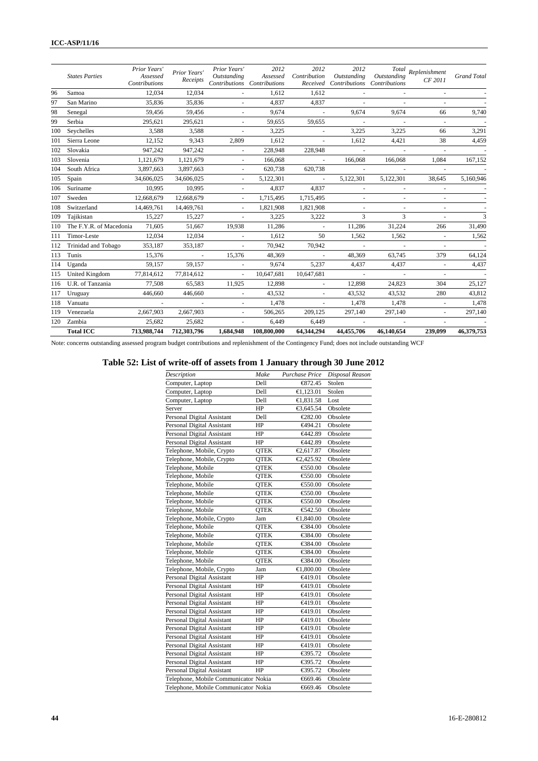#### **ICC-ASP/11/16**

| 119        | Venezuela                       | 2,667,903                 | 2,667,903                          | $\sim$           | 506,265                                 | 209,125             | 297,140                               | 297,140                             | $\mathcal{L}_{\mathcal{A}}$        | 297,140            |
|------------|---------------------------------|---------------------------|------------------------------------|------------------|-----------------------------------------|---------------------|---------------------------------------|-------------------------------------|------------------------------------|--------------------|
| 118        | Vanuatu                         | $\sim$                    |                                    | $\sim$           | 1.478                                   | $\sim$              | 1.478                                 | 1,478                               |                                    | 1,478              |
| 117        | Uruguay                         | 446,660                   | 446,660                            | $\sim$           | 43,532                                  | $\omega$            | 43,532                                | 43,532                              | 280                                | 43,812             |
| 116        | U.R. of Tanzania                | 77.508                    | 65,583                             | 11,925           | 12,898                                  | $\sim$              | 12,898                                | 24,823                              | 304                                | 25,127             |
| 114<br>115 | Uganda<br><b>United Kingdom</b> | 77,814,612                | 77,814,612                         | $\sim$<br>$\sim$ | 10,647,681                              | 5,237<br>10,647,681 | 4,437<br>$\sim$                       | 4,437<br>$\sim$                     | $\sim$<br>$\overline{\phantom{a}}$ | 4,437              |
| 113        | Tunis                           | 15,376<br>59.157          | $\overline{\phantom{a}}$<br>59.157 | 15,376           | 48,369<br>9.674                         | $\sim$              | 48,369                                | 63,745                              | 379                                | 64,124             |
| 112        | Trinidad and Tobago             | 353,187                   | 353,187                            | $\sim$           | 70,942                                  | 70,942              | $\sim$                                | $\sim$                              | $\blacksquare$                     |                    |
| 111        | Timor-Leste                     | 12,034                    | 12.034                             | $\sim$           | 1.612                                   | 50                  | 1,562                                 | 1,562                               | $\sim$                             | 1,562              |
| 110        | The F.Y.R. of Macedonia         | 71,605                    | 51,667                             | 19,938           | 11,286                                  | $\sim$              | 11,286                                | 31,224                              | 266                                | 31,490             |
| 109        | Tajikistan                      | 15,227                    | 15.227                             | $\sim$           | 3,225                                   | 3,222               | 3                                     | 3                                   | $\sim$                             | 3                  |
| 108        | Switzerland                     | 14,469,761                | 14,469,761                         |                  | 1,821,908                               | 1,821,908           |                                       | $\overline{\phantom{a}}$            | $\bar{a}$                          |                    |
| 107        | Sweden                          | 12,668,679                | 12,668,679                         | ÷.               | 1,715,495                               | 1,715,495           | $\sim$                                |                                     |                                    |                    |
| 106        | Suriname                        | 10,995                    | 10.995                             | ÷.               | 4,837                                   | 4,837               | $\sim$                                |                                     |                                    |                    |
| 105        | Spain                           | 34,606,025                | 34,606,025                         | $\sim$           | 5,122,301                               | $\sim$              | 5,122,301                             | 5,122,301                           | 38,645                             | 5,160,946          |
| 104        | South Africa                    | 3,897,663                 | 3,897,663                          | $\sim$           | 620,738                                 | 620,738             |                                       |                                     |                                    |                    |
| 103        | Slovenia                        | 1,121,679                 | 1,121,679                          | $\blacksquare$   | 166,068                                 | $\sim$              | 166,068                               | 166,068                             | 1,084                              | 167,152            |
| 102        | Slovakia                        | 947,242                   | 947,242                            | $\sim$           | 228,948                                 | 228,948             | $\sim$                                | $\sim$                              | $\sim$                             |                    |
| 101        | Sierra Leone                    | 12,152                    | 9,343                              | 2,809            | 1,612                                   | $\sim$              | 1,612                                 | 4,421                               | 38                                 | 4,459              |
| 100        | Seychelles                      | 3,588                     | 3,588                              | $\sim$           | 3,225                                   | $\sim$              | 3,225                                 | 3,225                               | 66                                 | 3,291              |
| 99         | Serbia                          | 295,621                   | 295,621                            | $\sim$           | 59,655                                  | 59,655              | $\sim$                                | $\sim$                              | $\sim$                             |                    |
| 98         | Senegal                         | 59,456                    | 59.456                             | $\sim$           | 9.674                                   | $\sim$              | 9.674                                 | 9.674                               | 66                                 | 9,740              |
| 97         | San Marino                      | 35,836                    | 35,836                             | $\sim$           | 4.837                                   | 4.837               | $\sim$                                | $\sim$                              | $\sim$                             |                    |
| 96         | Samoa                           | 12,034                    | 12.034                             |                  | 1.612                                   | 1.612               | $\sim$                                |                                     |                                    |                    |
|            | <b>States Parties</b>           | Assessed<br>Contributions | Receipts                           | Outstanding      | Assessed<br>Contributions Contributions | Contribution        | Outstanding<br>Received Contributions | Outstanding<br><b>Contributions</b> | CF 2011                            | <b>Grand Total</b> |
|            |                                 | Prior Years'              | Prior Years'                       | Prior Years'     | 2012                                    | 2012                | 2012                                  |                                     | Total Replenishment                |                    |

Note: concerns outstanding assessed program budget contributions and replenishment of the Contingency Fund; does not include outstanding WCF

#### **Table 52: List of write-off of assets from 1 January through 30 June 2012**

| Description                          | Make        | Purchase Price | Disposal Reason |
|--------------------------------------|-------------|----------------|-----------------|
| Computer, Laptop                     | Dell        | €872.45        | Stolen          |
| Computer, Laptop                     | Dell        | €1,123.01      | Stolen          |
| Computer, Laptop                     | Dell        | €1,831.58      | Lost            |
| Server                               | HP          | €3,645.54      | Obsolete        |
| Personal Digital Assistant           | Dell        | €282.00        | Obsolete        |
| Personal Digital Assistant           | HP          | €494.21        | Obsolete        |
| Personal Digital Assistant           | HP          | €442.89        | Obsolete        |
| Personal Digital Assistant           | HP          | €442.89        | Obsolete        |
| Telephone, Mobile, Crypto            | <b>QTEK</b> | €2,617.87      | Obsolete        |
| Telephone, Mobile, Crypto            | <b>QTEK</b> | €2,425.92      | Obsolete        |
| Telephone, Mobile                    | <b>OTEK</b> | €50.00         | Obsolete        |
| Telephone, Mobile                    | <b>QTEK</b> | €50.00         | Obsolete        |
| Telephone, Mobile                    | <b>QTEK</b> | €50.00         | Obsolete        |
| Telephone, Mobile                    | <b>QTEK</b> | €50.00         | Obsolete        |
| Telephone, Mobile                    | <b>QTEK</b> | €50.00         | Obsolete        |
| Telephone, Mobile                    | <b>QTEK</b> | €42.50         | Obsolete        |
| Telephone, Mobile, Crypto            | Jam         | €1,840.00      | Obsolete        |
| Telephone, Mobile                    | <b>OTEK</b> | €384.00        | Obsolete        |
| Telephone, Mobile                    | <b>QTEK</b> | €384.00        | Obsolete        |
| Telephone, Mobile                    | <b>QTEK</b> | €384.00        | Obsolete        |
| Telephone, Mobile                    | <b>QTEK</b> | €384.00        | Obsolete        |
| Telephone, Mobile                    | <b>OTEK</b> | €384.00        | Obsolete        |
| Telephone, Mobile, Crypto            | Jam         | €1,800.00      | Obsolete        |
| Personal Digital Assistant           | HP          | €419.01        | Obsolete        |
| Personal Digital Assistant           | HP          | €419.01        | Obsolete        |
| Personal Digital Assistant           | HP          | €419.01        | Obsolete        |
| Personal Digital Assistant           | HP          | €419.01        | Obsolete        |
| Personal Digital Assistant           | HP          | €419.01        | Obsolete        |
| Personal Digital Assistant           | HP          | €419.01        | Obsolete        |
| Personal Digital Assistant           | HP          | €419.01        | Obsolete        |
| Personal Digital Assistant           | HP          | €419.01        | Obsolete        |
| Personal Digital Assistant           | HP          | €419.01        | Obsolete        |
| Personal Digital Assistant           | HP          | €395.72        | Obsolete        |
| Personal Digital Assistant           | HP          | €395.72        | Obsolete        |
| Personal Digital Assistant           | HP          | €395.72        | Obsolete        |
| Telephone, Mobile Communicator Nokia |             | €669.46        | Obsolete        |
| Telephone, Mobile Communicator Nokia |             | €669.46        | Obsolete        |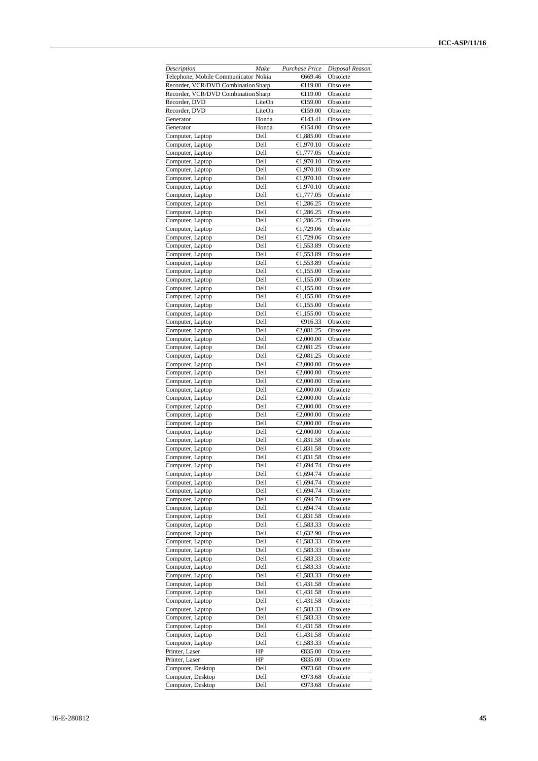| Description                          | Make   | Purchase Price    | Disposal Reason |
|--------------------------------------|--------|-------------------|-----------------|
| Telephone, Mobile Communicator Nokia |        | €669.46           | Obsolete        |
| Recorder, VCR/DVD Combination Sharp  |        | €19.00            | Obsolete        |
| Recorder, VCR/DVD Combination Sharp  |        | $\bigoplus$ 19.00 | Obsolete        |
| Recorder, DVD                        | LiteOn | €159.00           | Obsolete        |
| Recorder, DVD                        | LiteOn | €159.00           | Obsolete        |
| Generator                            | Honda  | €143.41           | Obsolete        |
| Generator                            | Honda  | €154.00           | Obsolete        |
| Computer, Laptop                     | Dell   | €1,885.00         | Obsolete        |
| Computer, Laptop                     | Dell   | €1,970.10         | Obsolete        |
| Computer, Laptop                     | Dell   | €1,777.05         | Obsolete        |
| Computer, Laptop                     | Dell   | €1,970.10         | Obsolete        |
|                                      | Dell   | €1,970.10         | Obsolete        |
| Computer, Laptop<br>Computer, Laptop | Dell   | €1,970.10         | Obsolete        |
|                                      |        |                   |                 |
| Computer, Laptop                     | Dell   | €1,970.10         | Obsolete        |
| Computer, Laptop                     | Dell   | €1,777.05         | Obsolete        |
| Computer, Laptop                     | Dell   | €1,286.25         | Obsolete        |
| Computer, Laptop                     | Dell   | €1,286.25         | Obsolete        |
| Computer, Laptop                     | Dell   | €1,286.25         | Obsolete        |
| Computer, Laptop                     | Dell   | €1,729.06         | Obsolete        |
| Computer, Laptop                     | Dell   | €1,729.06         | Obsolete        |
| Computer, Laptop                     | Dell   | €1,553.89         | Obsolete        |
| Computer, Laptop                     | Dell   | €1,553.89         | Obsolete        |
| Computer, Laptop                     | Dell   | €1,553.89         | Obsolete        |
| Computer, Laptop                     | Dell   | €1,155.00         | Obsolete        |
| Computer, Laptop                     | Dell   | €1,155.00         | Obsolete        |
| Computer, Laptop                     | Dell   | €1,155.00         | Obsolete        |
| Computer, Laptop                     | Dell   | €1,155.00         | Obsolete        |
| Computer, Laptop                     | Dell   | €1,155.00         | Obsolete        |
| Computer, Laptop                     | Dell   | €1,155.00         | Obsolete        |
|                                      | Dell   | $\bigoplus$ 16.33 | Obsolete        |
| Computer, Laptop                     |        |                   |                 |
| Computer, Laptop                     | Dell   | €2,081.25         | Obsolete        |
| Computer, Laptop                     | Dell   | €2,000.00         | Obsolete        |
| Computer, Laptop                     | Dell   | €2,081.25         | Obsolete        |
| Computer, Laptop                     | Dell   | €2,081.25         | Obsolete        |
| Computer, Laptop                     | Dell   | €2,000.00         | Obsolete        |
| Computer, Laptop                     | Dell   | €2,000.00         | Obsolete        |
| Computer, Laptop                     | Dell   | €2,000.00         | Obsolete        |
| Computer, Laptop                     | Dell   | €2,000.00         | Obsolete        |
| Computer, Laptop                     | Dell   | €2,000.00         | Obsolete        |
| Computer, Laptop                     | Dell   | €2,000.00         | Obsolete        |
| Computer, Laptop                     | Dell   | €2,000.00         | Obsolete        |
| Computer, Laptop                     | Dell   | €2,000.00         | Obsolete        |
| Computer, Laptop                     | Dell   | €2,000.00         | Obsolete        |
| Computer, Laptop                     | Dell   | €1,831.58         | Obsolete        |
| Computer, Laptop                     | Dell   | €1,831.58         | Obsolete        |
| Computer, Laptop                     | Dell   | €1,831.58         | Obsolete        |
|                                      | Dell   | €1,694.74         | Obsolete        |
| Computer, Laptop                     |        |                   |                 |
| Computer, Laptop                     | Dell   | €1,694.74         | Obsolete        |
| Computer, Laptop                     | Dell   | €1,694.74         | Obsolete        |
| Computer, Laptop                     | Dell   | €1,694.74         | Obsolete        |
| Computer, Laptop                     | Dell   | €1,694.74         | Obsolete        |
| Computer, Laptop                     | Dell   | €1,694.74         | Obsolete        |
| Computer, Laptop                     | Dell   | €1,831.58         | Obsolete        |
| Computer, Laptop                     | Dell   | €1,583.33         | Obsolete        |
| Computer, Laptop                     | Dell   | €1,632.90         | Obsolete        |
| Computer, Laptop                     | Dell   | €1,583.33         | Obsolete        |
| Computer, Laptop                     | Dell   | €1,583.33         | Obsolete        |
| Computer, Laptop                     | Dell   | €1,583.33         | Obsolete        |
| Computer, Laptop                     | Dell   | €1,583.33         | Obsolete        |
| Computer, Laptop                     | Dell   | €1,583.33         | Obsolete        |
| Computer, Laptop                     | Dell   | €1,431.58         | Obsolete        |
| Computer, Laptop                     | Dell   | €1,431.58         | Obsolete        |
| Computer, Laptop                     | Dell   | €1,431.58         | Obsolete        |
| Computer, Laptop                     | Dell   | €1,583.33         | Obsolete        |
| Computer, Laptop                     |        |                   |                 |
|                                      | Dell   | €1,583.33         | Obsolete        |
| Computer, Laptop                     | Dell   | €1,431.58         | Obsolete        |
| Computer, Laptop                     | Dell   | €1,431.58         | Obsolete        |
| Computer, Laptop                     | Dell   | €1,583.33         | Obsolete        |
| Printer, Laser                       | HP     | €835.00           | Obsolete        |
| Printer, Laser                       | HP     | €835.00           | Obsolete        |
| Computer, Desktop                    | Dell   | $-073.68$         | Obsolete        |
| Computer, Desktop                    | Dell   | $-4973.68$        | Obsolete        |
| Computer, Desktop                    | Dell   | $-073.68$         | Obsolete        |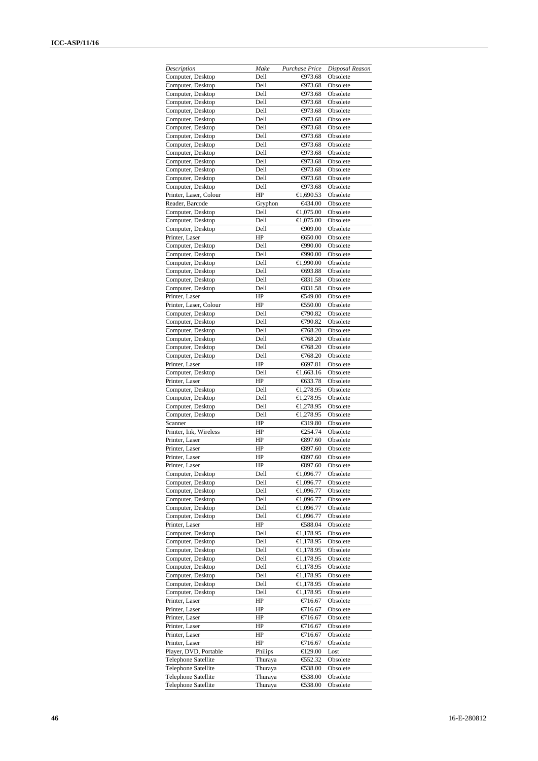| Description                | Make    | Purchase Price        | Disposal Reason |
|----------------------------|---------|-----------------------|-----------------|
| Computer, Desktop          | Dell    | $-073.68$             | Obsolete        |
| Computer, Desktop          | Dell    | $-4973.68$            | Obsolete        |
| Computer, Desktop          | Dell    | $\bigoplus$ 73.68     | Obsolete        |
| Computer, Desktop          | Dell    | $-073.68$             | Obsolete        |
| Computer, Desktop          | Dell    | $-073.68$             | Obsolete        |
|                            | Dell    | $-073.68$             |                 |
| Computer, Desktop          |         |                       | Obsolete        |
| Computer, Desktop          | Dell    | $-4973.68$            | Obsolete        |
| Computer, Desktop          | Dell    | $-4973.68$            | Obsolete        |
| Computer, Desktop          | Dell    | $-4973.68$            | Obsolete        |
| Computer, Desktop          | Dell    | $-073.68$             | Obsolete        |
| Computer, Desktop          | Dell    | $-4973.68$            | Obsolete        |
| Computer, Desktop          | Dell    | $\bigoplus$ 73.68     | Obsolete        |
| Computer, Desktop          | Dell    | $-073.68$             | Obsolete        |
| Computer, Desktop          | Dell    | $-4973.68$            | Obsolete        |
| Printer, Laser, Colour     | HP      | €1,690.53             | Obsolete        |
| Reader, Barcode            | Gryphon | €434.00               | Obsolete        |
| Computer, Desktop          | Dell    | €1,075.00             | Obsolete        |
| Computer, Desktop          | Dell    | €1,075.00             | Obsolete        |
| Computer, Desktop          | Dell    | €909.00               | Obsolete        |
| Printer, Laser             | HP      | €650.00               | Obsolete        |
| Computer, Desktop          | Dell    | $\bigoplus$ 90.00     | Obsolete        |
|                            |         |                       |                 |
| Computer, Desktop          | Dell    | $\bigoplus$ 90.00     | Obsolete        |
| Computer, Desktop          | Dell    | €1,990.00             | Obsolete        |
| Computer, Desktop          | Dell    | €693.88               | Obsolete        |
| Computer, Desktop          | Dell    | €31.58                | Obsolete        |
| Computer, Desktop          | Dell    | €31.58                | Obsolete        |
| Printer, Laser             | HP      | €49.00                | Obsolete        |
| Printer, Laser, Colour     | HP      | €50.00                | Obsolete        |
| Computer, Desktop          | Dell    | €790.82               | Obsolete        |
| Computer, Desktop          | Dell    | €790.82               | Obsolete        |
| Computer, Desktop          | Dell    | €768.20               | Obsolete        |
|                            | Dell    | €768.20               | Obsolete        |
| Computer, Desktop          |         |                       |                 |
| Computer, Desktop          | Dell    | €768.20               | Obsolete        |
| Computer, Desktop          | Dell    | €768.20               | Obsolete        |
| Printer, Laser             | HP      | €697.81               | Obsolete        |
| Computer, Desktop          | Dell    | $\overline{6,663.16}$ | Obsolete        |
| Printer, Laser             | HP      | €633.78               | Obsolete        |
| Computer, Desktop          | Dell    | €1,278.95             | Obsolete        |
| Computer, Desktop          | Dell    | €1,278.95             | Obsolete        |
| Computer, Desktop          | Dell    | €1,278.95             | Obsolete        |
| Computer, Desktop          | Dell    | €1,278.95             | Obsolete        |
| Scanner                    | HP      | € $19.80$             | Obsolete        |
| Printer, Ink, Wireless     | HP      | €254.74               | Obsolete        |
|                            | HP      |                       |                 |
| Printer, Laser             |         | €897.60               | Obsolete        |
| Printer, Laser             | HP      | €897.60               | Obsolete        |
| Printer, Laser             | HP      | €897.60               | Obsolete        |
| Printer, Laser             | HP      | €897.60               | Obsolete        |
| Computer, Desktop          | Dell    | €1,096.77             | Obsolete        |
| Computer, Desktop          | Dell    | €1,096.77             | Obsolete        |
| Computer, Desktop          | Dell    | €1,096.77             | Obsolete        |
| Computer, Desktop          | Dell    | €1,096.77             | Obsolete        |
| Computer, Desktop          | Dell    | €1,096.77             | Obsolete        |
| Computer, Desktop          | Dell    | €1,096.77             | Obsolete        |
| Printer, Laser             | HP      | €88.04                | Obsolete        |
| Computer, Desktop          | Dell    | €1,178.95             | Obsolete        |
| Computer, Desktop          | Dell    | €1,178.95             | Obsolete        |
|                            |         |                       |                 |
| Computer, Desktop          | Dell    | €1,178.95             | Obsolete        |
| Computer, Desktop          | Dell    | €1,178.95             | Obsolete        |
| Computer, Desktop          | Dell    | €1,178.95             | Obsolete        |
| Computer, Desktop          | Dell    | €1,178.95             | Obsolete        |
| Computer, Desktop          | Dell    | €1,178.95             | Obsolete        |
| Computer, Desktop          | Dell    | €1,178.95             | Obsolete        |
| Printer, Laser             | HP      | €716.67               | Obsolete        |
| Printer, Laser             | HP      | €716.67               | Obsolete        |
| Printer, Laser             | HP      | €716.67               | Obsolete        |
| Printer, Laser             | HP      | €716.67               | Obsolete        |
| Printer, Laser             | HP      | €716.67               | Obsolete        |
| Printer, Laser             | HP      | €716.67               | Obsolete        |
|                            |         |                       |                 |
| Player, DVD, Portable      | Philips | €129.00               | Lost            |
| <b>Telephone Satellite</b> | Thuraya | €52.32                | Obsolete        |
| <b>Telephone Satellite</b> | Thuraya | €38.00                | Obsolete        |
| Telephone Satellite        | Thuraya | €38.00                | Obsolete        |
| <b>Telephone Satellite</b> | Thuraya | €538.00               | Obsolete        |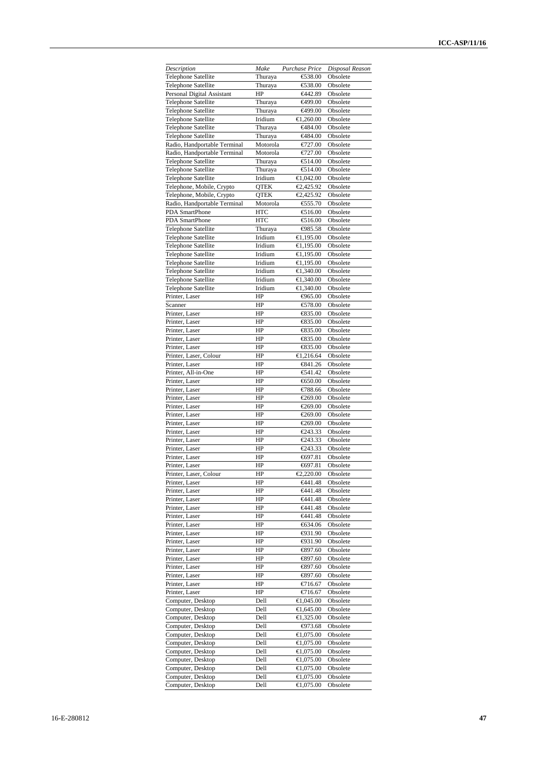| Description                                | Make               | Purchase Price          | Disposal Reason      |
|--------------------------------------------|--------------------|-------------------------|----------------------|
| <b>Telephone Satellite</b>                 | Thuraya            | €538.00                 | Obsolete             |
| <b>Telephone Satellite</b>                 | Thuraya            | €538.00                 | Obsolete             |
| Personal Digital Assistant                 | HP                 | €442.89                 | Obsolete             |
| <b>Telephone Satellite</b>                 | Thuraya            | €499.00                 | Obsolete             |
| <b>Telephone Satellite</b>                 | Thuraya            | €499.00                 | Obsolete             |
| Telephone Satellite                        | Iridium            | €1,260.00               | Obsolete             |
| <b>Telephone Satellite</b>                 | Thuraya            | €484.00                 | Obsolete             |
| <b>Telephone Satellite</b>                 | Thuraya            | €484.00                 | Obsolete             |
| Radio, Handportable Terminal               | Motorola           | €727.00                 | Obsolete             |
| Radio, Handportable Terminal               | Motorola           | €727.00                 | Obsolete             |
| <b>Telephone Satellite</b>                 | Thuraya            | € $14.00$               | Obsolete             |
| Telephone Satellite<br>Telephone Satellite | Thuraya<br>Iridium | €14.00<br>€1,042.00     | Obsolete<br>Obsolete |
| Telephone, Mobile, Crypto                  | QTEK               | €2,425.92               | Obsolete             |
| Telephone, Mobile, Crypto                  | <b>QTEK</b>        | €2,425.92               | Obsolete             |
| Radio, Handportable Terminal               | Motorola           | €55.70                  | Obsolete             |
| PDA SmartPhone                             | <b>HTC</b>         | €16.00                  | Obsolete             |
| PDA SmartPhone                             | <b>HTC</b>         | €16.00                  | Obsolete             |
| <b>Telephone Satellite</b>                 | Thuraya            | $€985.58$               | Obsolete             |
| <b>Telephone Satellite</b>                 | Iridium            | €1,195.00               | Obsolete             |
| <b>Telephone Satellite</b>                 | Iridium            | €1,195.00               | Obsolete             |
| <b>Telephone Satellite</b>                 | Iridium            | €1,195.00               | Obsolete             |
| <b>Telephone Satellite</b>                 | Iridium            | €1,195.00               | Obsolete             |
| <b>Telephone Satellite</b>                 | Iridium            | €1,340.00               | Obsolete             |
| <b>Telephone Satellite</b>                 | Iridium            | €1,340.00               | Obsolete             |
| <b>Telephone Satellite</b>                 | Iridium            | €1,340.00               | Obsolete             |
| Printer, Laser                             | HP                 | ⊕65.00                  | Obsolete             |
| Scanner                                    | HP                 | € $78.00$               | Obsolete             |
| Printer, Laser                             | HP                 | €835.00                 | Obsolete             |
| Printer, Laser                             | HP                 | €835.00                 | Obsolete             |
| Printer, Laser                             | HP                 | € $835.00$              | Obsolete             |
| Printer, Laser                             | HP                 | €35.00                  | Obsolete             |
| Printer, Laser                             | HP                 | €35.00                  | Obsolete             |
| Printer, Laser, Colour                     | HP                 | €1,216.64               | Obsolete             |
| Printer, Laser                             | HP                 | €841.26                 | Obsolete             |
| Printer, All-in-One                        | HP                 | €41.42                  | Obsolete             |
| Printer, Laser                             | HP                 | €650.00                 | Obsolete             |
| Printer, Laser                             | HP                 | €788.66                 | Obsolete             |
| Printer, Laser                             | HP                 | €269.00                 | Obsolete             |
| Printer, Laser<br>Printer, Laser           | HP<br>HP           | €269.00<br>€269.00      | Obsolete             |
| Printer, Laser                             | HP                 | €269.00                 | Obsolete<br>Obsolete |
| Printer, Laser                             | HP                 | €243.33                 | Obsolete             |
| Printer, Laser                             | HP                 | €243.33                 | Obsolete             |
| Printer, Laser                             | HP                 | €243.33                 | Obsolete             |
| Printer, Laser                             | HP                 | $-697.81$               | Obsolete             |
| Printer, Laser                             | HP                 | €697.81                 | Obsolete             |
| Printer, Laser, Colour                     | HP                 | €2,220.00               | Obsolete             |
| Printer, Laser                             | HP                 | €441.48                 | Obsolete             |
| Printer, Laser                             | HP                 | €441.48                 | Obsolete             |
| Printer, Laser                             | HP                 | €441.48                 | Obsolete             |
| Printer, Laser                             | HP                 | <del>€</del> 441.48     | Obsolete             |
| Printer, Laser                             | HP                 | <del>€</del> 441.48     | Obsolete             |
| Printer, Laser                             | HP                 | €634.06                 | Obsolete             |
| Printer, Laser                             | HP                 | $\bigoplus$ 31.90       | Obsolete             |
| Printer, Laser                             | HP                 | $\Leftrightarrow$ 31.90 | Obsolete             |
| Printer, Laser                             | HP                 | €897.60                 | Obsolete             |
| Printer, Laser                             | HP                 | €897.60                 | Obsolete             |
| Printer, Laser                             | HP                 | €897.60                 | Obsolete             |
| Printer, Laser                             | HP                 | €897.60                 | Obsolete             |
| Printer, Laser                             | HP                 | €716.67                 | Obsolete             |
| Printer, Laser                             | HP                 | €716.67                 | Obsolete             |
| Computer, Desktop                          | Dell               | €1,045.00               | Obsolete             |
| Computer, Desktop                          | Dell               | €1,645.00               | Obsolete             |
| Computer, Desktop                          | Dell               | €1,325.00               | Obsolete             |
| Computer, Desktop                          | Dell               | $-073.68$               | Obsolete             |
| Computer, Desktop                          | Dell<br>Dell       | €1,075.00<br>€1,075.00  | Obsolete             |
| Computer, Desktop<br>Computer, Desktop     | Dell               | €1,075.00               | Obsolete<br>Obsolete |
| Computer, Desktop                          | Dell               | €1,075.00               | Obsolete             |
| Computer, Desktop                          | Dell               | €1,075.00               | Obsolete             |
| Computer, Desktop                          | Dell               | €1,075.00               | Obsolete             |
| Computer, Desktop                          | Dell               | €1,075.00               | Obsolete             |